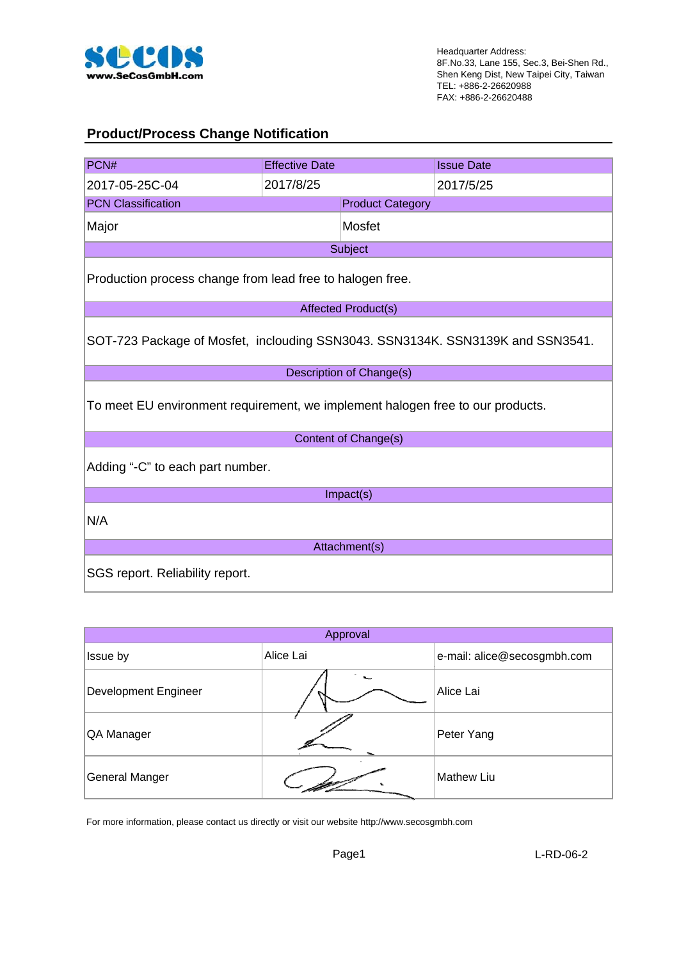

### **Product/Process Change Notification**

| PCN#                                                                           | <b>Effective Date</b> |                          | <b>Issue Date</b> |  |  |  |  |
|--------------------------------------------------------------------------------|-----------------------|--------------------------|-------------------|--|--|--|--|
| 2017-05-25C-04                                                                 | 2017/8/25             |                          | 2017/5/25         |  |  |  |  |
| <b>PCN Classification</b>                                                      |                       | <b>Product Category</b>  |                   |  |  |  |  |
| Major                                                                          |                       | Mosfet                   |                   |  |  |  |  |
| Subject                                                                        |                       |                          |                   |  |  |  |  |
| Production process change from lead free to halogen free.                      |                       |                          |                   |  |  |  |  |
|                                                                                |                       | Affected Product(s)      |                   |  |  |  |  |
| SOT-723 Package of Mosfet, inclouding SSN3043. SSN3134K. SSN3139K and SSN3541. |                       |                          |                   |  |  |  |  |
|                                                                                |                       | Description of Change(s) |                   |  |  |  |  |
| To meet EU environment requirement, we implement halogen free to our products. |                       |                          |                   |  |  |  |  |
|                                                                                |                       | Content of Change(s)     |                   |  |  |  |  |
| Adding "-C" to each part number.                                               |                       |                          |                   |  |  |  |  |
|                                                                                |                       | Impact(s)                |                   |  |  |  |  |
| N/A                                                                            |                       |                          |                   |  |  |  |  |
|                                                                                |                       | Attachment(s)            |                   |  |  |  |  |
| SGS report. Reliability report.                                                |                       |                          |                   |  |  |  |  |

| Approval              |           |                             |  |  |  |  |  |
|-----------------------|-----------|-----------------------------|--|--|--|--|--|
| Issue by              | Alice Lai | e-mail: alice@secosgmbh.com |  |  |  |  |  |
| Development Engineer  |           | Alice Lai                   |  |  |  |  |  |
| QA Manager            |           | Peter Yang                  |  |  |  |  |  |
| <b>General Manger</b> |           | <b>Mathew Liu</b>           |  |  |  |  |  |

For more information, please contact us directly or visit our website http://www.secosgmbh.com

Page1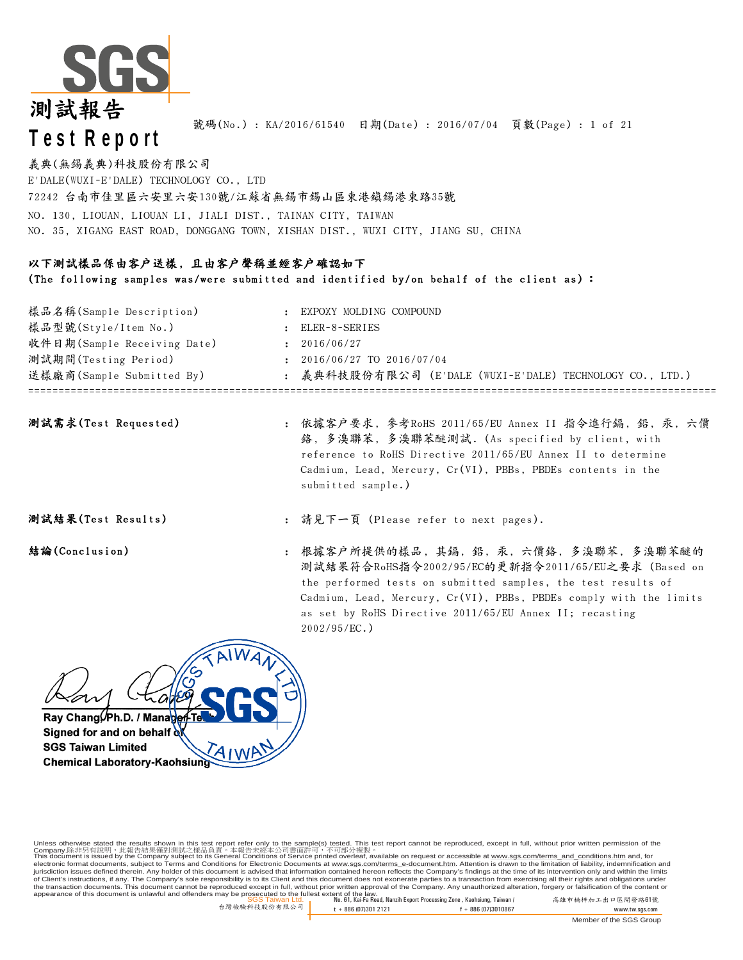

號碼(No.) : KA/2016/61540 日期(Date) : 2016/07/04 頁數(Page) : 1 of 21

義典(無錫義典)科技股份有限公司 E'DALE(WUXI-E'DALE) TECHNOLOGY CO., LTD NO. 130, LIOUAN, LIOUAN LI, JIALI DIST., TAINAN CITY, TAIWAN NO. 35, XIGANG EAST ROAD, DONGGANG TOWN, XISHAN DIST., WUXI CITY, JIANG SU, CHINA 72242 台南市佳里區六安里六安130號/江蘇省無錫市錫山區東港鎮錫港東路35號

### 以下測試樣品係由客戶送樣, 且由客戶聲稱並經客戶確認如下

(The following samples was/were submitted and identified by/on behalf of the client as) :

| 樣品型號(Style/Item No.)<br>收件日期(Sample Receiving Date)<br>測試期間(Testing Period)<br>送樣廠商(Sample Submitted By) | ELER-8-SERIES<br>2016/06/27<br>2016/06/27 TO 2016/07/04<br>: 義典科技股份有限公司 (E'DALE (WUXI-E'DALE) TECHNOLOGY CO., LTD.) |
|----------------------------------------------------------------------------------------------------------|---------------------------------------------------------------------------------------------------------------------|
| 樣品名稱(Sample Description)                                                                                 | EXPOXY MOLDING COMPOUND                                                                                             |
|                                                                                                          |                                                                                                                     |
|                                                                                                          |                                                                                                                     |
|                                                                                                          |                                                                                                                     |
|                                                                                                          |                                                                                                                     |
|                                                                                                          |                                                                                                                     |

| 測試需求(Test Requested) |  |
|----------------------|--|
|----------------------|--|

: 測試需求(Test Requested) 依據客戶要求, 參考RoHS 2011/65/EU Annex II 指令進行鎘, 鉛, 汞, 六價 鉻, 多溴聯苯, 多溴聯苯醚測試. (As specified by client, with reference to RoHS Directive 2011/65/EU Annex II to determine Cadmium, Lead, Mercury, Cr(VI), PBBs, PBDEs contents in the submitted sample.)

**测試結果(Test Results) :** 請見下一頁 (Please refer to next pages).

結論(Conclusion) 根據客户所提供的樣品,其鎘,鉛,汞,六價鉻,多溴聯苯,多溴聯苯醚的 測試結果符合RoHS指令2002/95/EC的更新指令2011/65/EU之要求 (Based on the performed tests on submitted samples, the test results of Cadmium, Lead, Mercury, Cr(VI), PBBs, PBDEs comply with the limits as set by RoHS Directive 2011/65/EU Annex II; recasting 2002/95/EC.)



Unless otherwise stated the results shown in this test report refer only to the sample(s) tested. This test report cannot be reproduced, except in full, without prior written permission of the

SGS Taiwan Ltd. No. 61, Kai-Fa Road, Nanzih Export Processing Zone , Kaohsiung, Taiwan / 高雄市楠梓加工出口區開發路61號 appearance of this document is unlawful and offenders may be prosecuted to the fullest extent of the law. Company.除非另有說明,此報告結果僅對測試之樣品負責。本報告未經本公司書面許可,不可部分複製。<br>This document is issued by the Company subject to its General Conditions of Service printed overleaf, available on request or accessible at <u>www.sgs.com/terms\_and\_conditi</u> of Client's instructions, if any. The Company's sole responsibility is to its Client and this document does not exonerate parties to a transaction from exercising all their rights and obligations under<br>the transaction docu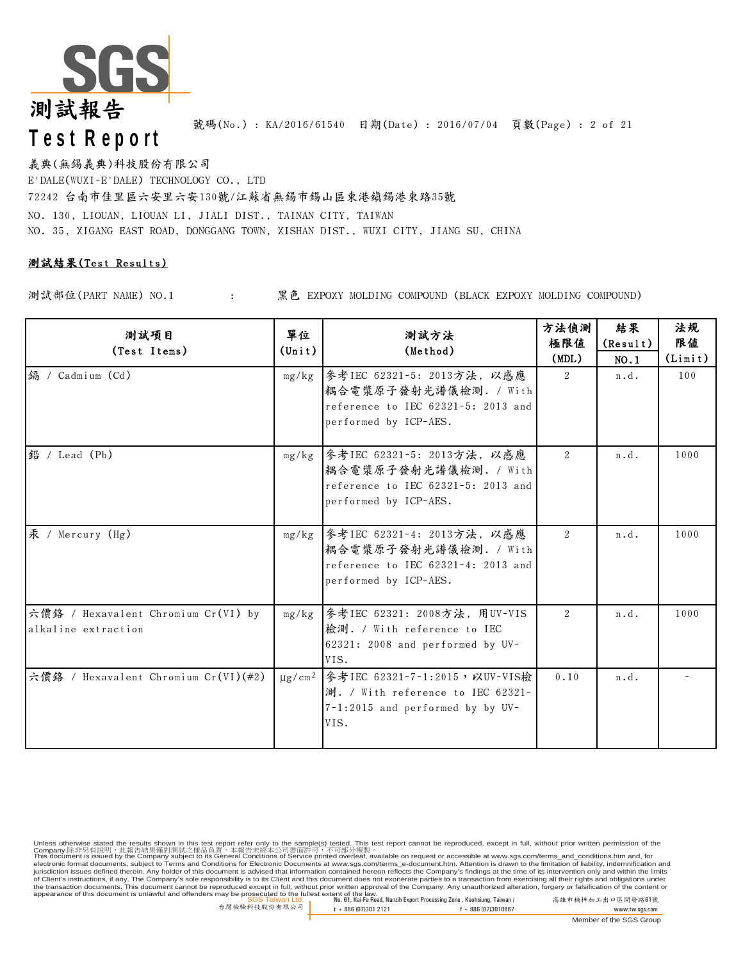

號碼(No.) : KA/2016/61540 日期(Date) : 2016/07/04 頁數(Page) : 2 of 21

義典(無錫義典)科技股份有限公司 E'DALE(WUXI-E'DALE) TECHNOLOGY CO., LTD 72242 台南市佳里區六安里六安130號/江蘇省無錫市錫山區東港鎮錫港東路35號 NO. 130, LIOUAN, LIOUAN LI, JIALI DIST., TAINAN CITY, TAIWAN NO. 35, XIGANG EAST ROAD, DONGGANG TOWN, XISHAN DIST., WUXI CITY, JIANG SU, CHINA

### 測試結果(Test Results)

測試部位(PART NAME) NO.1 : 黑色 EXPOXY MOLDING COMPOUND (BLACK EXPOXY MOLDING COMPOUND)

| 测試項目<br>(Test Items)                                       | 單位<br>$(\text{Unit})$ | 測試方法<br>(Method)                                                                                                                     | 方法偵測<br>極限値<br>(MDL) | 結果<br>(Result)<br>NO.1 | 法規<br>限值<br>(Limit) |
|------------------------------------------------------------|-----------------------|--------------------------------------------------------------------------------------------------------------------------------------|----------------------|------------------------|---------------------|
| 编 / Cadmium (Cd)                                           |                       | mg/kg   參考IEC 62321-5: 2013方法, 以感應<br>耦合電漿原子發射光譜儀檢測. / With<br>reference to IEC 62321-5: 2013 and<br>performed by ICP-AES.           | 2                    | n.d.                   | 100                 |
| 鉛 / Lead (Pb)                                              |                       | mg/kg 参考IEC 62321-5: 2013方法, 以感應<br>耦合電漿原子發射光譜儀檢測. / With<br>reference to IEC 62321-5: 2013 and<br>performed by ICP-AES.             | 2                    | n.d.                   | 1000                |
| 汞 / Mercury (Hg)                                           |                       | mg/kg 参考IEC 62321-4: 2013方法, 以感應<br> 耦合電漿原子發射光譜儀檢測. / With<br>reference to IEC 62321-4: 2013 and<br>performed by ICP-AES.            | $\mathcal{L}$        | n.d.                   | 1000                |
| 六價鉻 / Hexavalent Chromium Cr(VI) by<br>alkaline extraction |                       | mg/kg   參考IEC 62321: 2008方法, 用UV-VIS<br>檢測. / With reference to IEC<br>62321: 2008 and performed by UV-<br>VIS.                      | 2                    | n.d.                   | 1000                |
| 六價鉻 / Hexavalent Chromium Cr(VI)(#2)                       |                       | µg/cm <sup>2</sup>   参考IEC 62321-7-1:2015, 以UV-VIS檢<br>測. / With reference to IEC 62321-<br>7-1:2015 and performed by by UV-<br>VIS. | 0.10                 | n.d.                   |                     |

SGS Taiwan Ltd. No. 61, Kai-Fa Road, Nanzih Export Processing Zone , Kaohsiung, Taiwan / 高雄市楠梓加工出口區開發路61號 appearance of this document is unlawful and offenders may be prosecuted to the fullest extent of the law. Unless otherwise stated the results shown in this test report refer only to the sample(s) tested. This test report cannot be reproduced, except in full, without prior written permission of the<br>Company.除非另有說明,此當告誤果僅對測試之樣品 of Client's instructions, if any. The Company's sole responsibility is to its Client and this document does not exonerate parties to a transaction from exercising all their rights and obligations under<br>the transaction docu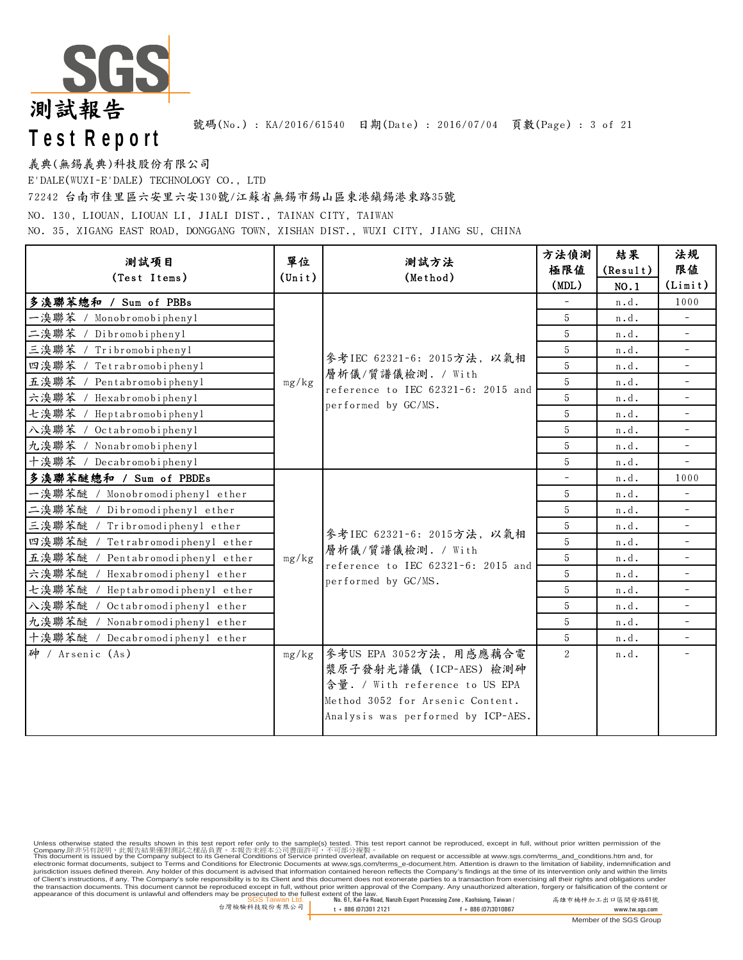

號碼(No.) : KA/2016/61540 日期(Date) : 2016/07/04 頁數(Page) : 3 of 21

義典(無錫義典)科技股份有限公司

E'DALE(WUXI-E'DALE) TECHNOLOGY CO., LTD

72242 台南市佳里區六安里六安130號/江蘇省無錫市錫山區東港鎮錫港東路35號

NO. 130, LIOUAN, LIOUAN LI, JIALI DIST., TAINAN CITY, TAIWAN

NO. 35, XIGANG EAST ROAD, DONGGANG TOWN, XISHAN DIST., WUXI CITY, JIANG SU, CHINA

| 單位<br>测試項目                          |                                                                  | 測試方法                                                                           | 方法偵測<br>極限值    | 結果<br>(Result) | 法規<br>限值                 |
|-------------------------------------|------------------------------------------------------------------|--------------------------------------------------------------------------------|----------------|----------------|--------------------------|
| (Test Items)                        | $(\text{Unit})$                                                  | (Method)                                                                       | (MDL)          | NO.1           | (Limit)                  |
| 多溴聯苯總和 / Sum of PBBs                |                                                                  |                                                                                |                | n.d.           | 1000                     |
| Monobromobiphenyl<br>一溴聯苯 /         |                                                                  |                                                                                | 5              | n.d.           |                          |
| 二溴聯苯<br>Dibromobiphenyl             |                                                                  |                                                                                | 5              | n.d.           | $\overline{\phantom{a}}$ |
| 三溴聯苯 / Tribromobiphenyl             |                                                                  |                                                                                | 5              | n.d.           |                          |
| 四溴聯苯 /<br>Tetrabromobiphenyl        |                                                                  | 參考IEC 62321-6: 2015方法, 以氣相                                                     | 5              | n.d.           | $\overline{\phantom{a}}$ |
| 五溴聯苯 / Pentabromobiphenyl           | 層析儀/質譜儀檢測. / With<br>mg/kg<br>reference to IEC 62321-6: 2015 and |                                                                                | 5              | n.d.           |                          |
| 六溴聯苯<br>Hexabromobiphenyl           |                                                                  | performed by GC/MS.                                                            | 5              | n.d.           | $\overline{\phantom{a}}$ |
| 七溴聯苯 / Heptabromobiphenyl           |                                                                  |                                                                                | 5              | n.d.           |                          |
| 入溴聯苯 / Octabromobiphenyl            |                                                                  |                                                                                | 5              | n.d.           | $\overline{\phantom{a}}$ |
| 九溴聯苯 / Nonabromobiphenyl            |                                                                  |                                                                                | 5              | n.d.           |                          |
| 十溴聯苯 / Decabromobiphenyl            |                                                                  |                                                                                | 5              | n.d.           |                          |
| 多溴聯苯醚總和 / Sum of PBDEs              |                                                                  |                                                                                |                | n.d.           | 1000                     |
| 一溴聯苯醚<br>Monobromodiphenyl ether    |                                                                  |                                                                                | 5              | n.d.           |                          |
| 二溴聯苯醚 /<br>Dibromodiphenyl ether    |                                                                  |                                                                                | 5              | n.d.           | $\overline{\phantom{a}}$ |
| 三溴聯苯醚<br>Tribromodiphenyl ether     |                                                                  | 參考IEC 62321-6: 2015方法, 以氣相                                                     | 5              | n.d.           |                          |
| 四溴聯苯醚<br>Tetrabromodiphenyl ether   |                                                                  | 層析儀/質譜儀檢測. / With<br>reference to IEC 62321-6: 2015 and<br>performed by GC/MS. | 5              | n.d.           | $\overline{\phantom{a}}$ |
| 五溴聯苯醚 /<br>Pentabromodiphenyl ether | mg/kg                                                            |                                                                                | 5              | n.d.           |                          |
| 六溴聯苯醚<br>Hexabromodiphenyl ether    |                                                                  |                                                                                | 5              | n.d.           | $\overline{\phantom{a}}$ |
| 七溴聯苯醚 /<br>Heptabromodiphenyl ether |                                                                  |                                                                                | 5              | n.d.           |                          |
| 八溴聯苯醚<br>Octabromodiphenyl ether    |                                                                  |                                                                                | 5              | n.d.           |                          |
| 九溴聯苯醚<br>Nonabromodiphenyl ether    |                                                                  |                                                                                | 5              | n.d.           |                          |
| 十溴聯苯醚 /<br>Decabromodiphenyl ether  |                                                                  |                                                                                | 5              | n.d.           | $\overline{\phantom{a}}$ |
| 神 / Arsenic $(As)$                  | mg/kg                                                            | 參考US EPA 3052方法, 用感應藕合電                                                        | $\overline{2}$ | n.d.           | $\overline{\phantom{a}}$ |
|                                     |                                                                  | 漿原子發射光譜儀 (ICP-AES) 檢測砷                                                         |                |                |                          |
|                                     |                                                                  | 含量. / With reference to US EPA                                                 |                |                |                          |
|                                     |                                                                  | Method 3052 for Arsenic Content.                                               |                |                |                          |
|                                     |                                                                  | Analysis was performed by ICP-AES.                                             |                |                |                          |
|                                     |                                                                  |                                                                                |                |                |                          |

Unless otherwise stated the results shown in this test report refer only to the sample(s) tested. This test report cannot be reproduced, except in full, without prior written permission of the<br>Company.除非另有說明,此當告誤果僅對測試之樣品 of Client's instructions, if any. The Company's sole responsibility is to its Client and this document does not exonerate parties to a transaction from exercising all their rights and obligations under<br>the transaction docu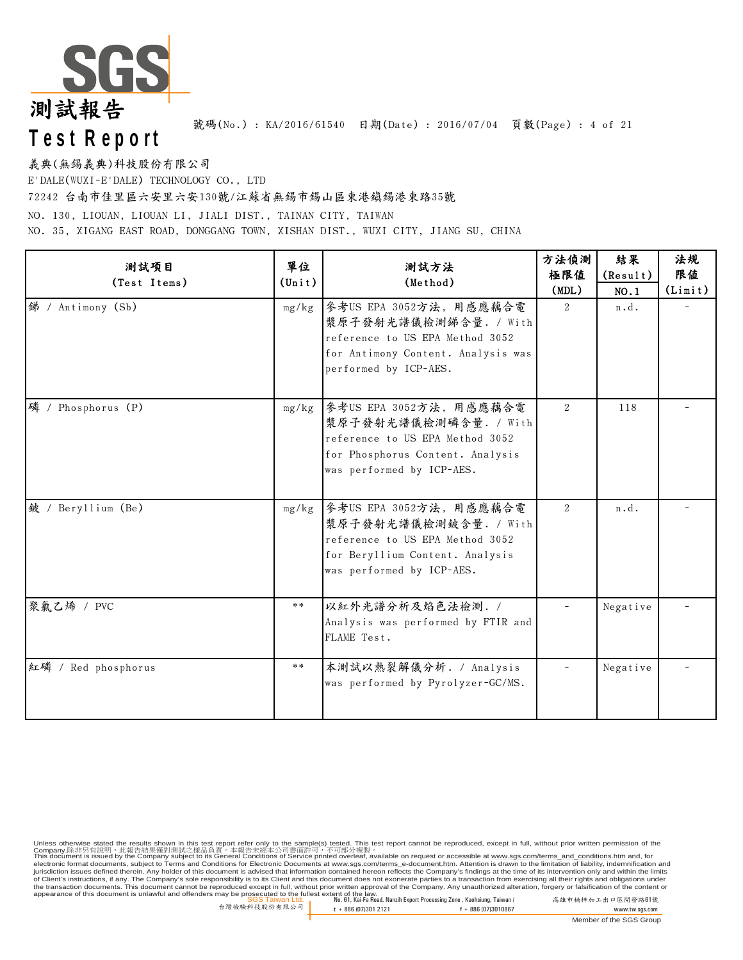

號碼(No.) : KA/2016/61540 日期(Date) : 2016/07/04 頁數(Page) : 4 of 21

義典(無錫義典)科技股份有限公司

E'DALE(WUXI-E'DALE) TECHNOLOGY CO., LTD

72242 台南市佳里區六安里六安130號/江蘇省無錫市錫山區東港鎮錫港東路35號

NO. 130, LIOUAN, LIOUAN LI, JIALI DIST., TAINAN CITY, TAIWAN

NO. 35, XIGANG EAST ROAD, DONGGANG TOWN, XISHAN DIST., WUXI CITY, JIANG SU, CHINA

| 测試項目<br>(Test Items) | 單位<br>$(\text{Unit})$ | 測試方法<br>(Method)                                                                                                                                     | 方法偵測<br>極限値<br>(MDL) | 結果<br>(Result)<br>NO.1 | 法規<br>限值<br>(Limit) |
|----------------------|-----------------------|------------------------------------------------------------------------------------------------------------------------------------------------------|----------------------|------------------------|---------------------|
| 锑 / Antimony (Sb)    | mg/kg                 | 參考US EPA 3052方法, 用感應藕合電<br>漿原子發射光譜儀檢測錦含量. / With<br>reference to US EPA Method 3052<br>for Antimony Content. Analysis was<br>performed by ICP-AES.   | $\overline{2}$       | n.d.                   |                     |
| 磷 / Phosphorus (P)   | mg/kg                 | 參考US EPA 3052方法, 用感應藕合電<br>漿原子發射光譜儀檢測磷含量. / With<br>reference to US EPA Method 3052<br>for Phosphorus Content. Analysis<br>was performed by ICP-AES. | 2                    | 118                    |                     |
| 鈹 / Beryllium (Be)   | mg/kg                 | 參考US EPA 3052方法, 用感應藕合電<br>漿原子發射光譜儀檢測鈹含量. / With<br>reference to US EPA Method 3052<br>for Beryllium Content. Analysis<br>was performed by ICP-AES.  | $\mathfrak{D}$       | n.d.                   |                     |
| 聚氯乙烯 / PVC           | **                    | 以紅外光譜分析及焰色法檢測. /<br>Analysis was performed by FTIR and<br>FLAME Test.                                                                                |                      | Negative               |                     |
| 紅磷 / Red phosphorus  | **                    | 本測試以熱裂解儀分析. / Analysis<br>was performed by Pyrolyzer-GC/MS.                                                                                          |                      | Negative               |                     |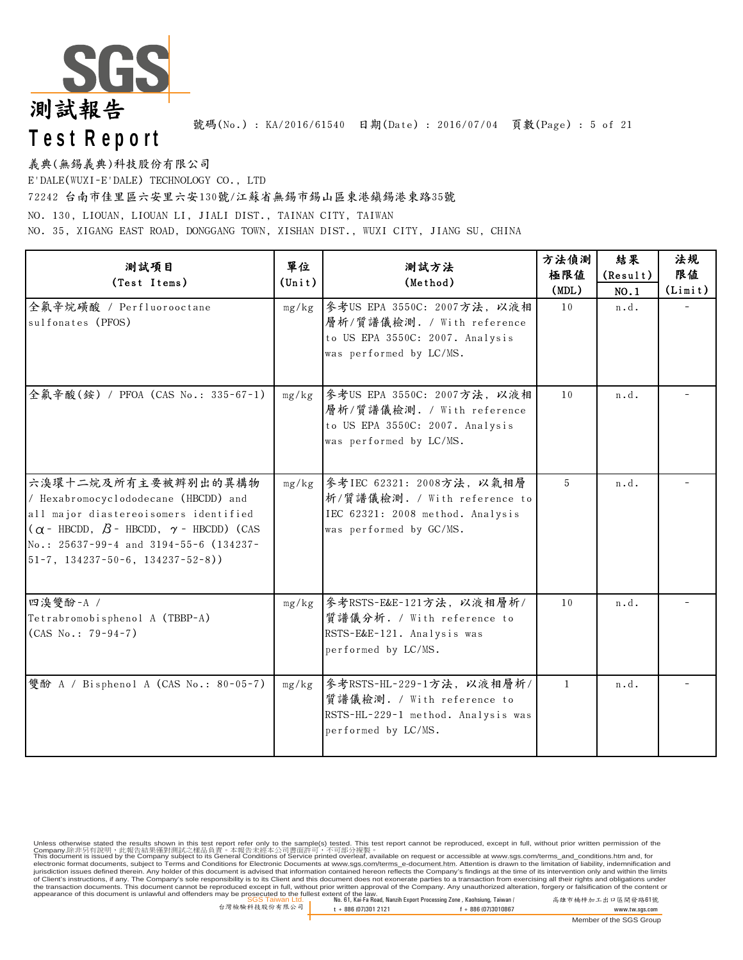

號碼(No.) : KA/2016/61540 日期(Date) : 2016/07/04 頁數(Page) : 5 of 21

義典(無錫義典)科技股份有限公司

E'DALE(WUXI-E'DALE) TECHNOLOGY CO., LTD

72242 台南市佳里區六安里六安130號/江蘇省無錫市錫山區東港鎮錫港東路35號

NO. 130, LIOUAN, LIOUAN LI, JIALI DIST., TAINAN CITY, TAIWAN

NO. 35, XIGANG EAST ROAD, DONGGANG TOWN, XISHAN DIST., WUXI CITY, JIANG SU, CHINA

| 测試項目<br>(Test Items)                                                                                                                                                                                                                                 | 單位<br>$(\text{Unit})$ | 測試方法<br>(Method)                                                                                                         | 方法偵測<br>極限値<br>(MDL) | 結果<br>(Result)<br>NO.1 | 法規<br>限值<br>(Limit) |
|------------------------------------------------------------------------------------------------------------------------------------------------------------------------------------------------------------------------------------------------------|-----------------------|--------------------------------------------------------------------------------------------------------------------------|----------------------|------------------------|---------------------|
| 全氟辛烷磺酸 / Perfluorooctane<br>sulfonates (PFOS)                                                                                                                                                                                                        | mg/kg                 | 參考US EPA 3550C: 2007方法, 以液相<br>層析/質譜儀檢測. / With reference<br>to US EPA 3550C: 2007. Analysis<br>was performed by LC/MS.  | 10                   | n.d.                   |                     |
| 全氟辛酸(銨) / PFOA (CAS No.: 335-67-1)                                                                                                                                                                                                                   | mg/kg                 | 參考US EPA 3550C: 2007方法, 以液相<br>層析/質譜儀檢測. / With reference<br>to US EPA 3550C: 2007. Analysis<br>was performed by LC/MS.  | 10                   | n.d.                   |                     |
| 六溴環十二烷及所有主要被辨别出的異構物<br>/ Hexabromocyclododecane (HBCDD) and<br>all major diastereoisomers identified<br>$(\alpha - HBCDD, \beta - HBCDD, \gamma - HBCDD)$ (CAS<br>No.: 25637-99-4 and 3194-55-6 (134237-<br>$51-7$ , $134237-50-6$ , $134237-52-8$ ) | mg/kg                 | 參考IEC 62321: 2008方法, 以氣相層<br>析/質譜儀檢測. / With reference to<br>IEC 62321: 2008 method. Analysis<br>was performed by GC/MS. | 5                    | n.d.                   |                     |
| 四溴雙酚-A /<br>Tetrabromobisphenol A (TBBP-A)<br>$(CAS No.: 79-94-7)$                                                                                                                                                                                   | mg/kg                 | 參考RSTS-E&E-121方法,以液相層析/<br>質譜儀分析. / With reference to<br>RSTS-E&E-121. Analysis was<br>performed by LC/MS.               | 10                   | n.d.                   |                     |
| 雙酚 A / Bisphenol A (CAS No.: 80-05-7)                                                                                                                                                                                                                | mg/kg                 | 參考RSTS-HL-229-1方法, 以液相層析/<br>質譜儀檢測. / With reference to<br>RSTS-HL-229-1 method. Analysis was<br>performed by LC/MS.     | $\mathbf{1}$         | n.d.                   |                     |

SGS Taiwan Ltd. No. 61, Kai-Fa Road, Nanzih Export Processing Zone , Kaohsiung, Taiwan / 高雄市楠梓加工出口區開發路61號 appearance of this document is unlawful and offenders may be prosecuted to the fullest extent of the law. Unless otherwise stated the results shown in this test report refer only to the sample(s) tested. This test report cannot be reproduced, except in full, without prior written permission of the<br>Company.除非另有說明,此當告誤果僅對測試之樣品 of Client's instructions, if any. The Company's sole responsibility is to its Client and this document does not exonerate parties to a transaction from exercising all their rights and obligations under<br>the transaction docu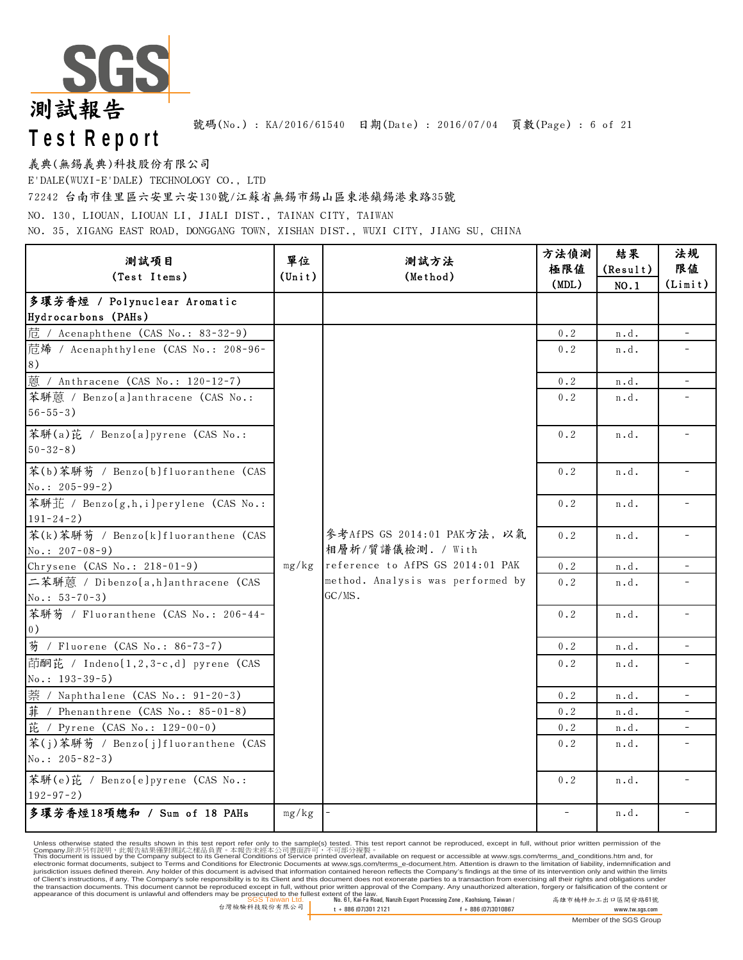

義典(無錫義典)科技股份有限公司

E'DALE(WUXI-E'DALE) TECHNOLOGY CO., LTD

72242 台南市佳里區六安里六安130號/江蘇省無錫市錫山區東港鎮錫港東路35號

NO. 130, LIOUAN, LIOUAN LI, JIALI DIST., TAINAN CITY, TAIWAN

NO. 35, XIGANG EAST ROAD, DONGGANG TOWN, XISHAN DIST., WUXI CITY, JIANG SU, CHINA

| 测試項目                                  | 單位              | 測試方法                                             | 方法偵測        | 結果       | 法規                       |
|---------------------------------------|-----------------|--------------------------------------------------|-------------|----------|--------------------------|
| (Test Items)                          | $(\text{Unit})$ | (Method)                                         | 極限値         | (Result) | 限值                       |
|                                       |                 |                                                  | (MDL)       | NO.1     | (Limit)                  |
| 多環芳香煙 / Polynuclear Aromatic          |                 |                                                  |             |          |                          |
| Hydrocarbons (PAHs)                   |                 |                                                  |             |          |                          |
| 苊 / Acenaphthene (CAS No.: 83-32-9)   |                 |                                                  | $0$ . $2\,$ | n.d.     | $\equiv$                 |
| 苊烯 / Acenaphthylene (CAS No.: 208-96- |                 |                                                  | 0.2         | n.d.     |                          |
| 8)                                    |                 |                                                  |             |          |                          |
| 蒽 / Anthracene (CAS No.: 120-12-7)    |                 |                                                  | 0.2         | n.d.     | $\overline{\phantom{a}}$ |
| 苯駢蒽 / Benzo(a)anthracene (CAS No.:    |                 |                                                  | 0.2         | n.d.     |                          |
| $56 - 55 - 3$ )                       |                 |                                                  |             |          |                          |
| 苯駢(a)芘 / Benzo[a]pyrene (CAS No.:     |                 |                                                  | $0$ . $2\,$ | n.d.     |                          |
| $50 - 32 - 8$ )                       |                 |                                                  |             |          |                          |
| 苯(b)苯駢芴 / Benzo[b]fluoranthene (CAS   |                 |                                                  | 0.2         | n.d.     |                          |
| $No.: 205 - 99 - 2)$                  |                 |                                                  |             |          |                          |
| 苯駢芷 / Benzo(g,h,i)perylene (CAS No.:  |                 | 參考AfPS GS 2014:01 PAK方法, 以氣<br>相層析/質譜儀檢測. / With | 0.2         | n.d.     |                          |
| $191 - 24 - 2)$                       |                 |                                                  |             |          |                          |
| 苯(k)苯駢芴 / Benzo[k]fluoranthene (CAS   |                 |                                                  | $0\,.\,2$   | n.d.     |                          |
| No.: $207 - 08 - 9$ )                 |                 |                                                  |             |          |                          |
| Chrysene (CAS No.: 218-01-9)          | mg/kg           | reference to AfPS GS 2014:01 PAK                 | $0.2$       | n.d.     |                          |
| 二苯駢蒽 / Dibenzo(a,h)anthracene (CAS    |                 | method. Analysis was performed by<br>GC/MS.      | $0.2$       | n.d.     |                          |
| $No.: 53-70-3)$                       |                 |                                                  |             |          |                          |
| 苯駢芴 / Fluoranthene (CAS No.: 206-44-  |                 |                                                  | 0.2         | n.d.     | $\overline{\phantom{a}}$ |
| (0)                                   |                 |                                                  |             |          |                          |
| 芴 / Fluorene (CAS No.: 86-73-7)       |                 |                                                  | 0.2         | n.d.     | $\overline{\phantom{a}}$ |
| 茚酮芘 / Indeno[1,2,3-c,d] pyrene (CAS   |                 |                                                  | 0.2         | n.d.     |                          |
| $No.: 193-39-5)$                      |                 |                                                  |             |          |                          |
| 萘 / Naphthalene (CAS No.: 91-20-3)    |                 |                                                  | 0.2         | n.d.     |                          |
| $#$ / Phenanthrene (CAS No.: 85-01-8) |                 |                                                  | 0.2         | n.d.     |                          |
| 芘 / Pyrene (CAS No.: 129-00-0)        |                 |                                                  | 0.2         | n.d.     |                          |
| 苯(j)苯駢芴 / Benzo[j]fluoranthene (CAS   |                 |                                                  | 0.2         | n.d.     |                          |
| No.: $205 - 82 - 3$ )                 |                 |                                                  |             |          |                          |
| 苯駢(e)芘 / Benzo[e]pyrene (CAS No.:     |                 |                                                  | 0.2         | n.d.     |                          |
| $192 - 97 - 2$ )                      |                 |                                                  |             |          |                          |
| 多環芳香煙18項總和 / Sum of 18 PAHs           | mg/kg           |                                                  |             | n.d.     |                          |

Unless otherwise stated the results shown in this test report refer only to the sample(s) tested. This test report cannot be reproduced, except in full, without prior written permission of the<br>Company.除非另有說明,此當告誤果僅對測試之樣品

SGS Taiwan Ltd. No. 61, Kai-Fa Road, Nanzih Export Processing Zone , Kaohsiung, Taiwan / 高雄市楠梓加工出口區開發路61號 appearance of this document is unlawful and offenders may be prosecuted to the fullest extent of the law. of Client's instructions, if any. The Company's sole responsibility is to its Client and this document does not exonerate parties to a transaction from exercising all their rights and obligations under<br>the transaction docu

Member of the SGS Group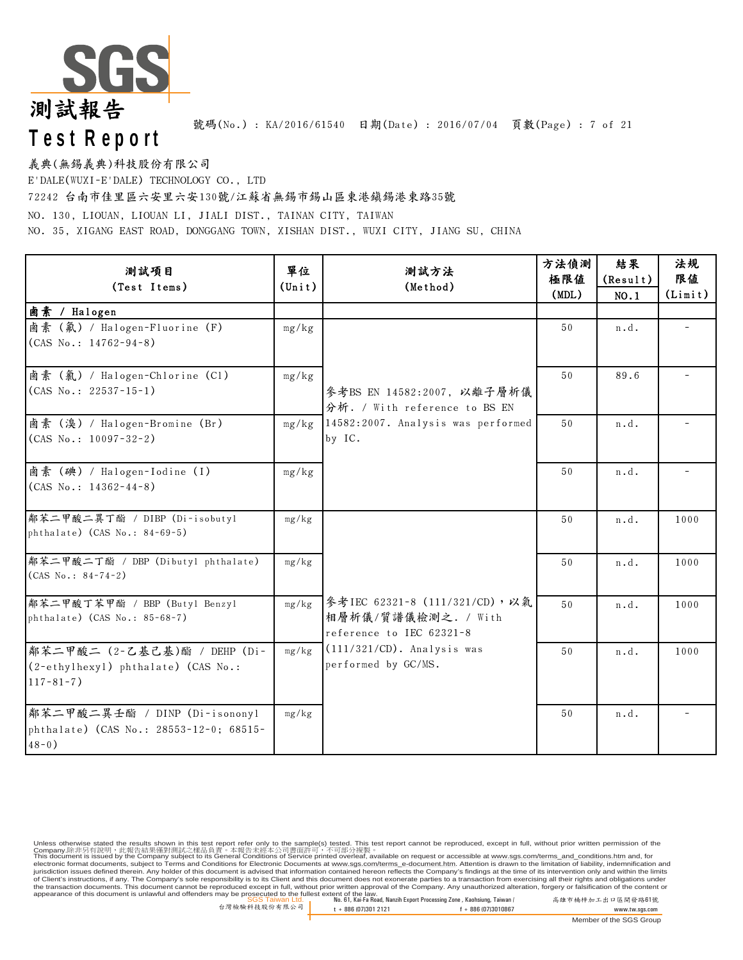

號碼(No.): KA/2016/61540 日期(Date): 2016/07/04 頁數(Page): 7 of 21

義典(無錫義典)科技股份有限公司

E'DALE(WUXI-E'DALE) TECHNOLOGY CO., LTD

72242 台南市佳里區六安里六安130號/江蘇省無錫市錫山區東港鎮錫港東路35號

NO. 130, LIOUAN, LIOUAN LI, JIALI DIST., TAINAN CITY, TAIWAN

NO. 35, XIGANG EAST ROAD, DONGGANG TOWN, XISHAN DIST., WUXI CITY, JIANG SU, CHINA

| 测試項目<br>(Test Items)                                                                    | 單位<br>$(\text{Unit})$ | 測試方法<br>(Method)                                                                 | 方法偵測<br>極限値<br>(MDL) | 結果<br>(Result)<br>NO.1 | 法規<br>限值<br>(Limit) |
|-----------------------------------------------------------------------------------------|-----------------------|----------------------------------------------------------------------------------|----------------------|------------------------|---------------------|
| 鹵素 / Halogen                                                                            |                       |                                                                                  |                      |                        |                     |
| 鹵素 (氟) / Halogen-Fluorine (F)<br>$(CAS No.: 14762-94-8)$                                | mg/kg                 |                                                                                  | 50                   | n.d.                   |                     |
| 鹵素 (氣) / Halogen-Chlorine (C1)<br>$(CAS No.: 22537-15-1)$                               | mg/kg                 | 參考BS EN 14582:2007, 以離子層析儀<br>分析. / With reference to BS EN                      | 50                   | 89.6                   |                     |
| 鹵素 (溴) / Halogen-Bromine (Br)<br>$(CAS No.: 10097-32-2)$                                | mg/kg                 | 14582:2007. Analysis was performed<br>by IC.                                     | 50                   | n.d.                   |                     |
| 鹵素 (碘) / Halogen-Iodine (I)<br>$(CAS No.: 14362-44-8)$                                  | mg/kg                 |                                                                                  | 50                   | n.d.                   |                     |
| 鄰苯二甲酸二異丁酯 / DIBP (Di-isobutyl<br>phthalate) (CAS No.: 84-69-5)                          | mg/kg                 |                                                                                  | 50                   | n.d.                   | 1000                |
| 鄰苯二甲酸二丁酯 / DBP (Dibutyl phthalate)<br>$(CAS No.: 84-74-2)$                              | mg/kg                 |                                                                                  | 50                   | n.d.                   | 1000                |
| 鄰苯二甲酸丁苯甲酯 / BBP (Butyl Benzyl<br>$phthalate)$ (CAS No.: 85-68-7)                        | mg/kg                 | 參考IEC 62321-8 (111/321/CD),以氣<br>相層析儀/質譜儀檢測之. / With<br>reference to IEC 62321-8 | 50                   | n.d.                   | 1000                |
| 鄰苯二甲酸二 (2-乙基己基)酯 / DEHP (Di-<br>(2-ethylhexyl) phthalate) (CAS No.:<br>$117 - 81 - 7$ ) | mg/kg                 | $(111/321/CD)$ . Analysis was<br>performed by GC/MS.                             | 50                   | n.d.                   | 1000                |
| 鄰苯二甲酸二異壬酯 / DINP (Di-isononyl<br>phthalate) (CAS No.: 28553-12-0; 68515-<br>$48 - 0$ )  | mg/kg                 |                                                                                  | 50                   | n.d.                   |                     |

SGS Taiwan Ltd. No. 61, Kai-Fa Road, Nanzih Export Processing Zone , Kaohsiung, Taiwan / 高雄市楠梓加工出口區開發路61號 appearance of this document is unlawful and offenders may be prosecuted to the fullest extent of the law. Unless otherwise stated the results shown in this test report refer only to the sample(s) tested. This test report cannot be reproduced, except in full, without prior written permission of the<br>Company.除非另有說明,此當告誤果僅對測試之樣品 of Client's instructions, if any. The Company's sole responsibility is to its Client and this document does not exonerate parties to a transaction from exercising all their rights and obligations under<br>the transaction docu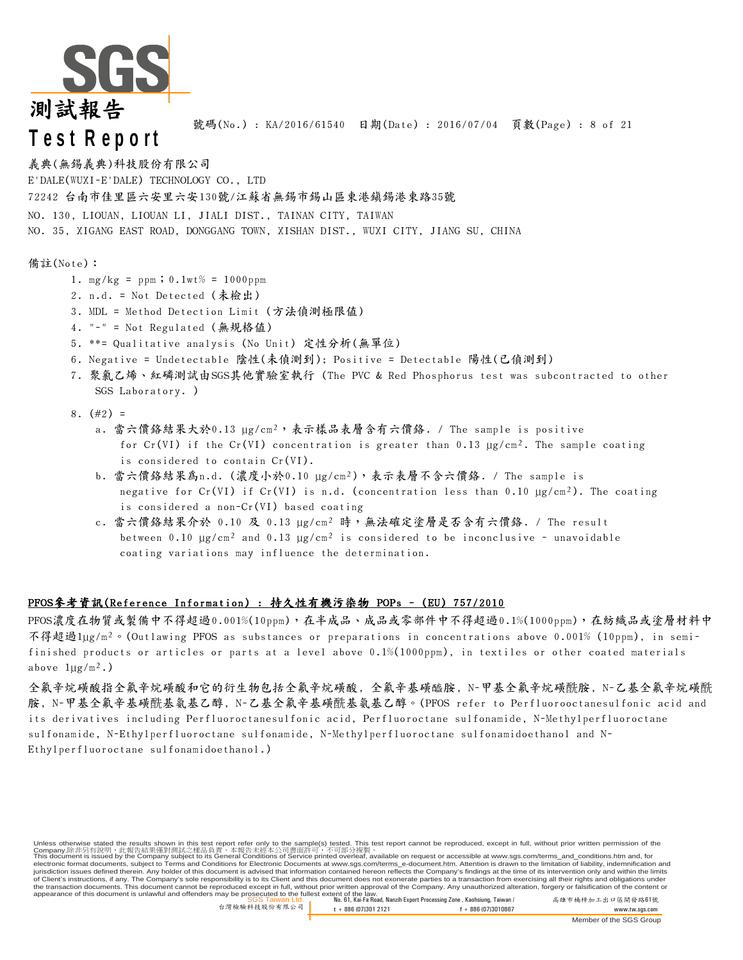

號碼(No.) : KA/2016/61540 日期(Date) : 2016/07/04 頁數(Page) : 8 of 21

### 義典(無錫義典)科技股份有限公司

E'DALE(WUXI-E'DALE) TECHNOLOGY CO., LTD

72242 台南市佳里區六安里六安130號/江蘇省無錫市錫山區東港鎮錫港東路35號

NO. 130, LIOUAN, LIOUAN LI, JIALI DIST., TAINAN CITY, TAIWAN

NO. 35, XIGANG EAST ROAD, DONGGANG TOWN, XISHAN DIST., WUXI CITY, JIANG SU, CHINA

#### 備註(Note):

- 1. mg/kg = ppm;  $0.1wt% = 1000ppm$
- 2. n.d. = Not Detected (未檢出)
- 3. MDL = Method Detection Limit (方法偵測極限值)
- 4. "-" = Not Regulated (無規格值)
- 5. \*\*= Qualitative analysis (No Unit) 定性分析(無單位)
- 6. Negative = Undetectable 陰性(未偵測到); Positive = Detectable 陽性(已偵測到)
- 7. 聚氯乙烯、紅磷測試由SGS其他實驗室執行 (The PVC & Red Phosphorus test was subcontracted to other SGS Laboratory. )
- 8.  $(\#2) =$ 
	- a. 當六價鉻結果大於0.13 µg/cm²,表示樣品表層含有六價鉻. / The sample is positive for Cr(VI) if the Cr(VI) concentration is greater than 0.13  $\mu$ g/cm<sup>2</sup>. The sample coating is considered to contain Cr(VI).
	- b. 當六價鉻結果為n.d. (濃度小於0.10 µg/cm²),表示表層不含六價鉻. / The sample is negative for Cr(VI) if Cr(VI) is n.d. (concentration less than 0.10  $\mu$ g/cm<sup>2</sup>). The coating is considered a non-Cr(VI) based coating
	- c. 當六價絡結果介於 0.10 及 0.13 µg/cm<sup>2</sup> 時,無法確定塗層是否含有六價絡. / The result between 0.10  $\mu$ g/cm<sup>2</sup> and 0.13  $\mu$ g/cm<sup>2</sup> is considered to be inconclusive - unavoidable coating variations may influence the determination.

#### PFOS參考資訊(Reference Information) : 持久性有機污染物 POPs - (EU) 757/2010

PFOS濃度在物質或製備中不得超過0.001%(10ppm),在半成品、成品或零部件中不得超過0.1%(1000ppm),在紡織品或塗層材料中 不得超過1µg/m²。(Outlawing PFOS as substances or preparations in concentrations above 0.001% (10ppm), in semifinished products or articles or parts at a level above 0.1%(1000ppm), in textiles or other coated materials above  $1\mu g/m^2$ .)

全氟辛烷磺酸指全氟辛烷磺酸和它的衍生物包括全氟辛烷磺酸, 全氟辛基磺醯胺, N-甲基全氟辛烷磺酰胺, N-乙基全氟辛烷磺酰 胺, N-甲基全氟辛基磺酰基氨基乙醇, N-乙基全氟辛基磺酰基氨基乙醇。(PFOS refer to Perfluorooctanesulfonic acid and its derivatives including Perfluoroctanesulfonic acid, Perfluoroctane sulfonamide, N-Methylperfluoroctane sulfonamide, N-Ethylperfluoroctane sulfonamide, N-Methylperfluoroctane sulfonamidoethanol and N-Ethylperfluoroctane sulfonamidoethanol.)

SGS Taiwan Ltd. No. 61, Kai-Fa Road, Nanzih Export Processing Zone , Kaohsiung, Taiwan / 高雄市楠梓加工出口區開發路61號 appearance of this document is unlawful and offenders may be prosecuted to the fullest extent of the law. Unless otherwise stated the results shown in this test report refer only to the sample(s) tested. This test report cannot be reproduced, except in full, without prior written permission of the Company.除非另有說明,此報告結果僅對測試之樣品負責。本報告未經本公司書面許可,不可部分複製。<br>This document is issued by the Company subject to its General Conditions of Service printed overleaf, available on request or accessible at <u>www.sgs.com/terms\_and\_conditi</u> of Client's instructions, if any. The Company's sole responsibility is to its Client and this document does not exonerate parties to a transaction from exercising all their rights and obligations under<br>the transaction docu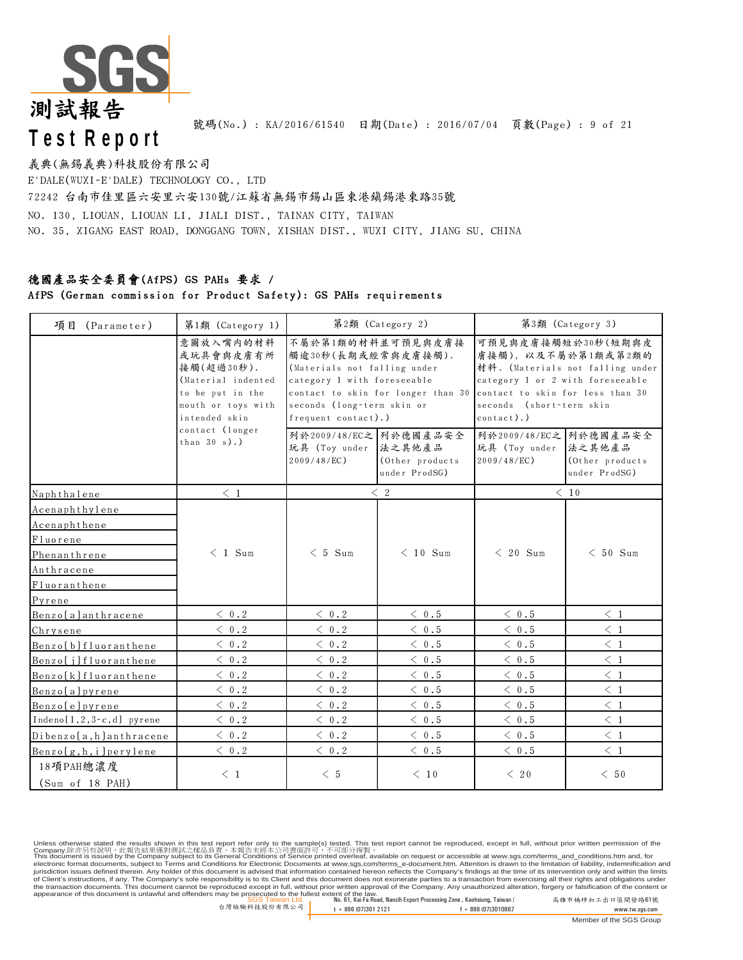

號碼(No.): KA/2016/61540 日期(Date): 2016/07/04 頁數(Page): 9 of 21

### 72242 台南市佳里區六安里六安130號/江蘇省無錫市錫山區東港鎮錫港東路35號 NO. 130, LIOUAN, LIOUAN LI, JIALI DIST., TAINAN CITY, TAIWAN NO. 35, XIGANG EAST ROAD, DONGGANG TOWN, XISHAN DIST., WUXI CITY, JIANG SU, CHINA E'DALE(WUXI-E'DALE) TECHNOLOGY CO., LTD 義典(無錫義典)科技股份有限公司

### 德國產品安全委員會(AfPS) GS PAHs 要求 /

#### AfPS (German commission for Product Safety): GS PAHs requirements

| 項目 (Parameter)               | 第1類 (Category 1)                                                                                                      |                                                                                                                                                             | 第2類 (Category 2)                   |                                                                                                                   | 第3類 (Category 3)                                                              |
|------------------------------|-----------------------------------------------------------------------------------------------------------------------|-------------------------------------------------------------------------------------------------------------------------------------------------------------|------------------------------------|-------------------------------------------------------------------------------------------------------------------|-------------------------------------------------------------------------------|
|                              | 意圖放入嘴内的材料<br>或玩具會與皮膚有所<br>接觸(超過30秒).<br>(Material indented<br>to be put in the<br>mouth or toys with<br>intended skin | 不屬於第1類的材料並可預見與皮膚接<br>觸逾30秒(長期或經常與皮膚接觸).<br>(Materials not falling under<br>category 1 with foreseeable<br>seconds (long-term skin or<br>frequent contact).) | contact to skin for longer than 30 | category 1 or 2 with foreseeable<br>contact to skin for less than 30<br>seconds (short-term skin<br>$contact$ ).) | 可預見與皮膚接觸短於30秒(短期與皮<br>膚接觸), 以及不屬於第1類或第2類的<br>材料. (Materials not falling under |
|                              | contact (longer<br>than $30 s$ ).)                                                                                    | 列於2009/48/EC之 列於德國產品安全<br>玩具 (Toy under 法之其他產品<br>$2009/48/EC$ )                                                                                            | (Other products)<br>under ProdSG)  | 列於2009/48/EC之 列於德國產品安全<br>玩具 (Toy under 法之其他產品<br>$2009/48/EC$ )                                                  | (Other products<br>under ProdSG)                                              |
| Naphthalene                  | $\leq~1$                                                                                                              |                                                                                                                                                             | $\langle 2$                        |                                                                                                                   | $\leq 10$                                                                     |
| Acenaphthylene               |                                                                                                                       |                                                                                                                                                             |                                    |                                                                                                                   |                                                                               |
| Acenaphthene                 |                                                                                                                       |                                                                                                                                                             |                                    |                                                                                                                   |                                                                               |
| Fluorene                     |                                                                                                                       |                                                                                                                                                             |                                    |                                                                                                                   |                                                                               |
| Phenanthrene                 | $< 1$ Sum                                                                                                             | $< 5$ Sum                                                                                                                                                   | $< 10$ Sum                         | $< 20$ Sum                                                                                                        | $< 50$ Sum                                                                    |
| Anthracene                   |                                                                                                                       |                                                                                                                                                             |                                    |                                                                                                                   |                                                                               |
| Fluoranthene                 |                                                                                                                       |                                                                                                                                                             |                                    |                                                                                                                   |                                                                               |
| Pyrene                       |                                                                                                                       |                                                                                                                                                             |                                    |                                                                                                                   |                                                                               |
| Benzo [a] anthracene         | $\langle 0.2$                                                                                                         | $\leq 0.2$                                                                                                                                                  | $\langle 0.5$                      | $\langle 0.5$                                                                                                     | $\leq~1$                                                                      |
| Chrysene                     | $\langle 0.2$                                                                                                         | $\langle 0.2$                                                                                                                                               | $\langle 0.5$                      | $\langle 0.5$                                                                                                     | $\langle 1$                                                                   |
| Benzo [b] fluoranthene       | $\ < \ 0$ . $2$                                                                                                       | $<\;$ 0 . 2                                                                                                                                                 | $\langle 0.5$                      | $\leq~0$ .5                                                                                                       | $\leq 1$                                                                      |
| Benzo[j]fluoranthene         | $\langle 0.2$                                                                                                         | $\langle 0.2$                                                                                                                                               | $\langle 0.5$                      | $\langle 0.5$                                                                                                     | $\leq 1$                                                                      |
| Benzo [k] fluoranthene       | $\langle 0.2$                                                                                                         | $\langle 0.2$                                                                                                                                               | $\langle 0.5$                      | $\langle 0.5$                                                                                                     | $\langle 1$                                                                   |
| Benzo[a]pyrene               | $\langle 0.2$                                                                                                         | $\langle 0.2$                                                                                                                                               | $\langle 0.5$                      | $\leq~0$ .5                                                                                                       | $\leq 1$                                                                      |
| Benzo[e]pyrene               | $<$ 0.2                                                                                                               | $\leq 0.2$                                                                                                                                                  | $\langle 0.5$                      | $\langle 0.5$                                                                                                     | $\leq 1$                                                                      |
| $Indeno(1,2,3-c,d)$ pyrene   | $\langle 0.2$                                                                                                         | < 0.2                                                                                                                                                       | $\langle 0.5$                      | < 0.5                                                                                                             | $\langle 1$                                                                   |
| $Dibenzo[a,h]$ anthracene    | $\langle 0.2$                                                                                                         | $\langle 0.2$                                                                                                                                               | < 0.5                              | < 0.5                                                                                                             | $\leq~1$                                                                      |
| Benzo [g, h, i ] perylene    | $\langle 0.2$                                                                                                         | < 0.2                                                                                                                                                       | $\langle 0.5$                      | $\langle 0.5$                                                                                                     | $\langle 1$                                                                   |
| 18項PAH總濃度<br>(Sum of 18 PAH) | $\langle 1$                                                                                                           | $\leq 5$                                                                                                                                                    | $\leq 10$                          | $\leq 20$                                                                                                         | < 50                                                                          |

Unless otherwise stated the results shown in this test report refer only to the sample(s) tested. This test report cannot be reproduced, except in full, without prior written permission of the<br>Company.除非另有說明,此當告誤果僅對測試之樣品 of Client's instructions, if any. The Company's sole responsibility is to its Client and this document does not exonerate parties to a transaction from exercising all their rights and obligations under<br>the transaction docu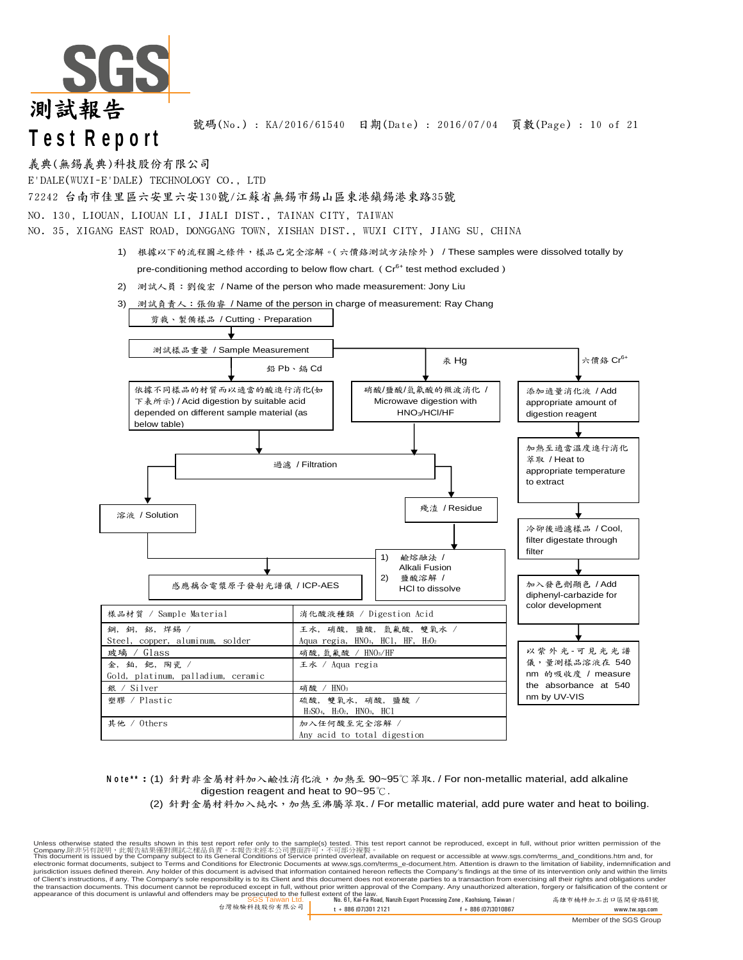

號碼(No.) : KA/2016/61540 日期(Date) : 2016/07/04 頁數(Page) : 10 of 21

義典(無錫義典)科技股份有限公司

E'DALE(WUXI-E'DALE) TECHNOLOGY CO., LTD

72242 台南市佳里區六安里六安130號/江蘇省無錫市錫山區東港鎮錫港東路35號

NO. 130, LIOUAN, LIOUAN LI, JIALI DIST., TAINAN CITY, TAIWAN

NO. 35, XIGANG EAST ROAD, DONGGANG TOWN, XISHAN DIST., WUXI CITY, JIANG SU, CHINA

- 1) 根據以下的流程圖之條件,樣品已完全溶解。(六價鉻測試方法除外) / These samples were dissolved totally by pre-conditioning method according to below flow chart. ( $Cr<sup>6+</sup>$  test method excluded)
- 2) 測試人員:劉俊宏 / Name of the person who made measurement: Jony Liu



**Note\*\*: (1) 針對非金屬材料加入鹼性消化液,加熱至 90~95℃萃取. / For non-metallic material, add alkaline** digestion reagent and heat to 90~95℃.

(2) 針對金屬材料加入純水,加熱至沸騰萃取. / For metallic material, add pure water and heat to boiling.

SGS Taiwan Ltd. No. 61, Kai-Fa Road, Nanzih Export Processing Zone , Kaohsiung, Taiwan / 高雄市楠梓加工出口區開發路61號 appearance of this document is unlawful and offenders may be prosecuted to the fullest extent of the law. Unless otherwise stated the results shown in this test report refer only to the sample(s) tested. This test report cannot be reproduced, except in full, without prior written permission of the<br>Company.除非另有說明,此當告誤果僅對測試之樣品 of Client's instructions, if any. The Company's sole responsibility is to its Client and this document does not exonerate parties to a transaction from exercising all their rights and obligations under<br>the transaction docu

台灣檢驗科技股份有限公司 t + 886 (07)301 2121 f + 886 (07)3010867 www.tw.sgs.com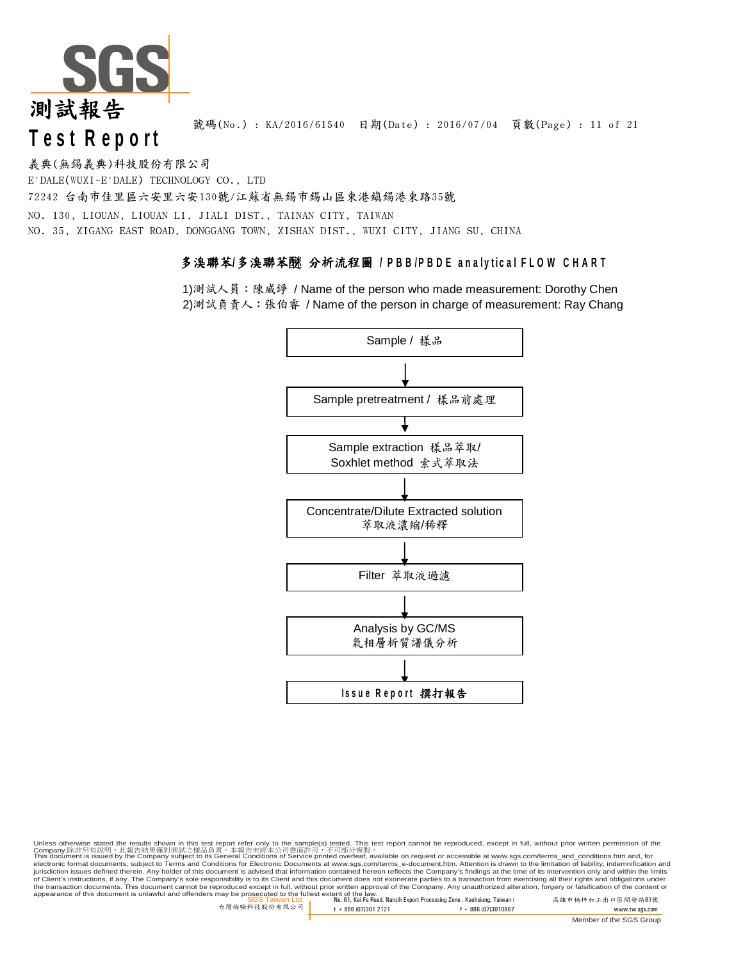

號碼(No.) : KA/2016/61540 日期(Date) : 2016/07/04 頁數(Page) : 11 of 21

義典(無錫義典)科技股份有限公司

E'DALE(WUXI-E'DALE) TECHNOLOGY CO., LTD

72242 台南市佳里區六安里六安130號/江蘇省無錫市錫山區東港鎮錫港東路35號 NO. 130, LIOUAN, LIOUAN LI, JIALI DIST., TAINAN CITY, TAIWAN NO. 35, XIGANG EAST ROAD, DONGGANG TOWN, XISHAN DIST., WUXI CITY, JIANG SU, CHINA

### 多溴聯苯/多溴聯苯醚 分析流程圖 / PBB/PBDE analytical FLOW CHART

1)測試人員:陳威錚 / Name of the person who made measurement: Dorothy Chen 2)測試負責人:張伯睿 / Name of the person in charge of measurement: Ray Chang



Unless otherwise stated the results shown in this test report refer only to the sample(s) tested. This test report cannot be reproduced, except in full, without prior written permission of the<br>Company.除非另有說明,此當告誤果僅對測試之樣品

SGS Taiwan Ltd. No. 61, Kai-Fa Road, Nanzih Export Processing Zone , Kaohsiung, Taiwan / 高雄市楠梓加工出口區開發路61號 appearance of this document is unlawful and offenders may be prosecuted to the fullest extent of the law. of Client's instructions, if any. The Company's sole responsibility is to its Client and this document does not exonerate parties to a transaction from exercising all their rights and obligations under<br>the transaction docu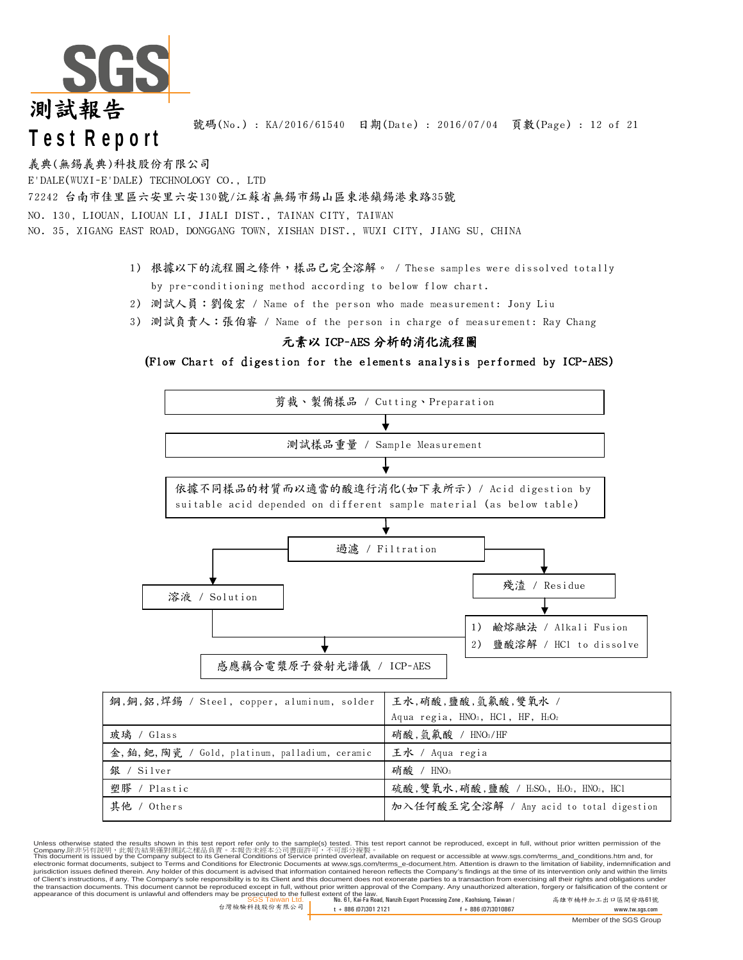

號碼(No.) : KA/2016/61540 日期(Date) : 2016/07/04 頁數(Page) : 12 of 21

義典(無錫義典)科技股份有限公司

E'DALE(WUXI-E'DALE) TECHNOLOGY CO., LTD

72242 台南市佳里區六安里六安130號/江蘇省無錫市錫山區東港鎮錫港東路35號

NO. 130, LIOUAN, LIOUAN LI, JIALI DIST., TAINAN CITY, TAIWAN

NO. 35, XIGANG EAST ROAD, DONGGANG TOWN, XISHAN DIST., WUXI CITY, JIANG SU, CHINA

- 1) 根據以下的流程圖之條件,樣品已完全溶解。 / These samples were dissolved totally by pre-conditioning method according to below flow chart.
- 2) 測試人員:劉俊宏 / Name of the person who made measurement: Jony Liu
- 3) 測試負責人:張伯睿 / Name of the person in charge of measurement: Ray Chang

### 元素以 ICP-AES 分析的消化流程圖

**(**Flow Chart of digestion for the elements analysis performed by ICP-AES)



Unless otherwise stated the results shown in this test report refer only to the sample(s) tested. This test report cannot be reproduced, except in full, without prior written permission of the<br>Company.除非另有說明,此當告誤果僅對測試之樣品 of Client's instructions, if any. The Company's sole responsibility is to its Client and this document does not exonerate parties to a transaction from exercising all their rights and obligations under<br>the transaction docu

其他 / Others <mark>加入任何酸至完全溶解</mark> / Any acid to total digestion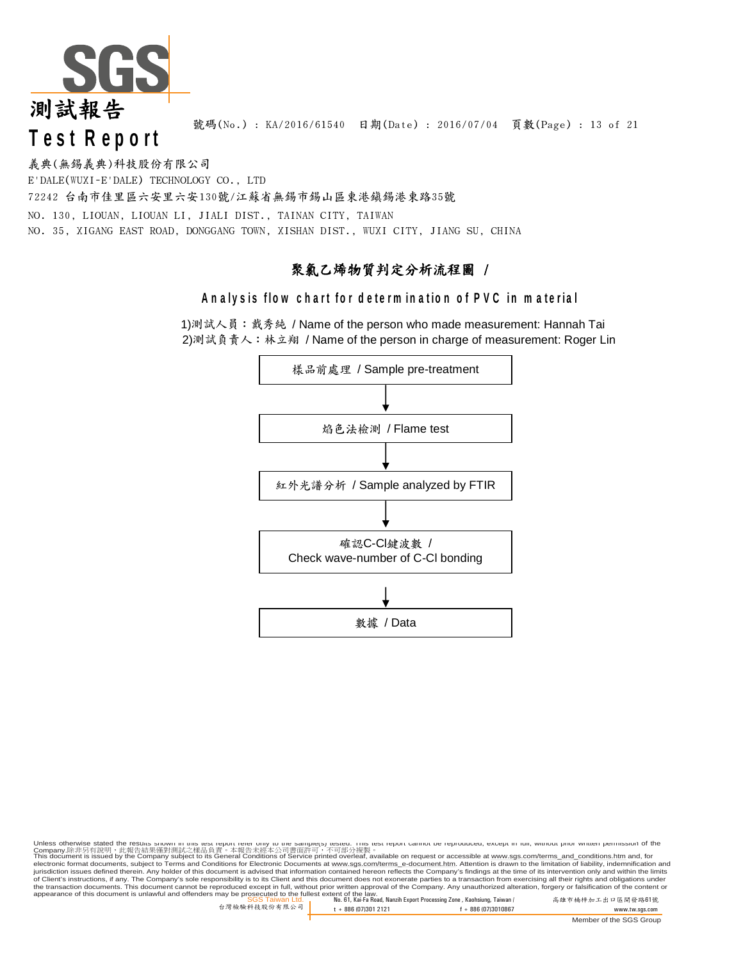

號碼(No.) : KA/2016/61540 日期(Date) : 2016/07/04 頁數(Page) : 13 of 21

NO. 130, LIOUAN, LIOUAN LI, JIALI DIST., TAINAN CITY, TAIWAN NO. 35, XIGANG EAST ROAD, DONGGANG TOWN, XISHAN DIST., WUXI CITY, JIANG SU, CHINA 72242 台南市佳里區六安里六安130號/江蘇省無錫市錫山區東港鎮錫港東路35號 義典(無錫義典)科技股份有限公司 E'DALE(WUXI-E'DALE) TECHNOLOGY CO., LTD

### 聚氯乙烯物質判定分析流程圖 /

### Analysis flow chart for determination of PVC in material

1)測試人員:戴秀純 / Name of the person who made measurement: Hannah Tai 2)測試負責人:林立翔 / Name of the person in charge of measurement: Roger Lin



Unless otherwise stated the resurs snown in mis test report rener only to the samplets) restep. I ins rest report cannot be reproduced, except in rull, witnout prior written permission of the<br>Company.除非另有說明,此當告誤果僅對測試之樣品

of Client's instructions, if any. The Company's sole responsibility is to its Client and this document does not exonerate parties to a transaction from exercising all their rights and obligations under<br>the transaction docu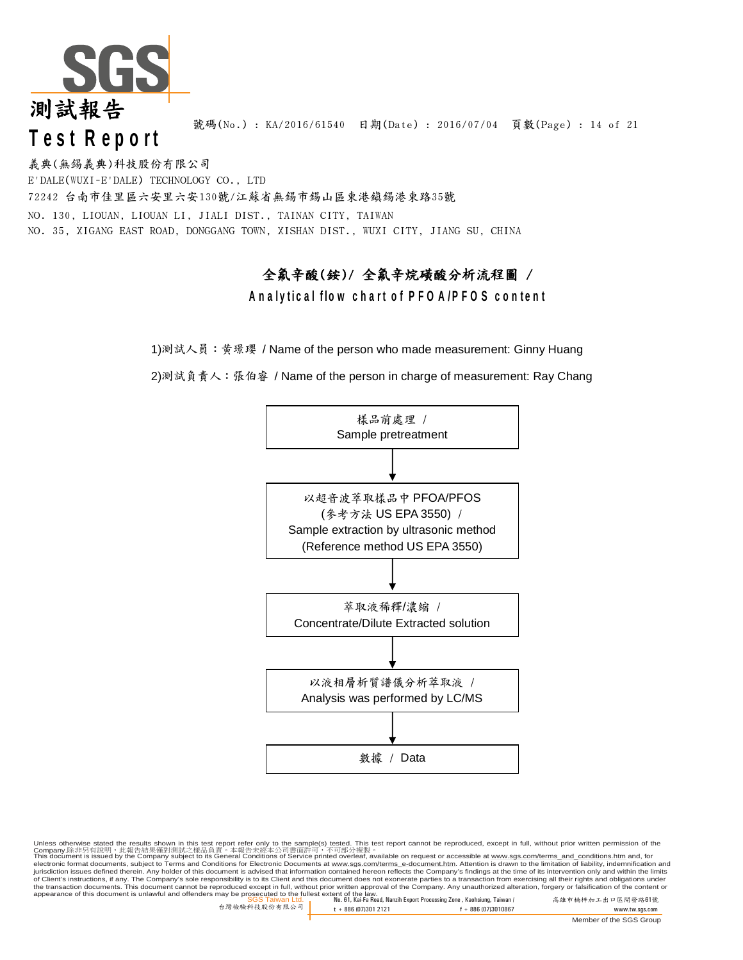

號碼(No.) : KA/2016/61540 日期(Date) : 2016/07/04 頁數(Page) : 14 of 21

義典(無錫義典)科技股份有限公司 E'DALE(WUXI-E'DALE) TECHNOLOGY CO., LTD 72242 台南市佳里區六安里六安130號/江蘇省無錫市錫山區東港鎮錫港東路35號 NO. 130, LIOUAN, LIOUAN LI, JIALI DIST., TAINAN CITY, TAIWAN NO. 35, XIGANG EAST ROAD, DONGGANG TOWN, XISHAN DIST., WUXI CITY, JIANG SU, CHINA

### 全氟辛酸(銨)/ 全氟辛烷磺酸分析流程圖 / **Analytical flow chart of PFOA/PFOS content**

1)測試人員:黃璟瓔 / Name of the person who made measurement: Ginny Huang

2)測試負責人:張伯睿 / Name of the person in charge of measurement: Ray Chang



SGS Taiwan Ltd. No. 61, Kai-Fa Road, Nanzih Export Processing Zone , Kaohsiung, Taiwan / 高雄市楠梓加工出口區開發路61號 appearance of this document is unlawful and offenders may be prosecuted to the fullest extent of the law. Unless otherwise stated the results shown in this test report refer only to the sample(s) tested. This test report cannot be reproduced, except in full, without prior written permission of the Company.除非另有說明,此報告結果僅對測試之樣品負責。本報告未經本公司書面許可,不可部分複製。<br>This document is issued by the Company subject to its General Conditions of Service printed overleaf, available on request or accessible at <u>www.sgs.com/terms\_and\_conditi</u> of Client's instructions, if any. The Company's sole responsibility is to its Client and this document does not exonerate parties to a transaction from exercising all their rights and obligations under<br>the transaction docu

台灣檢驗科技股份有限公司 t + 886 (07)301 2121 f + 886 (07)3010867 www.tw.sgs.com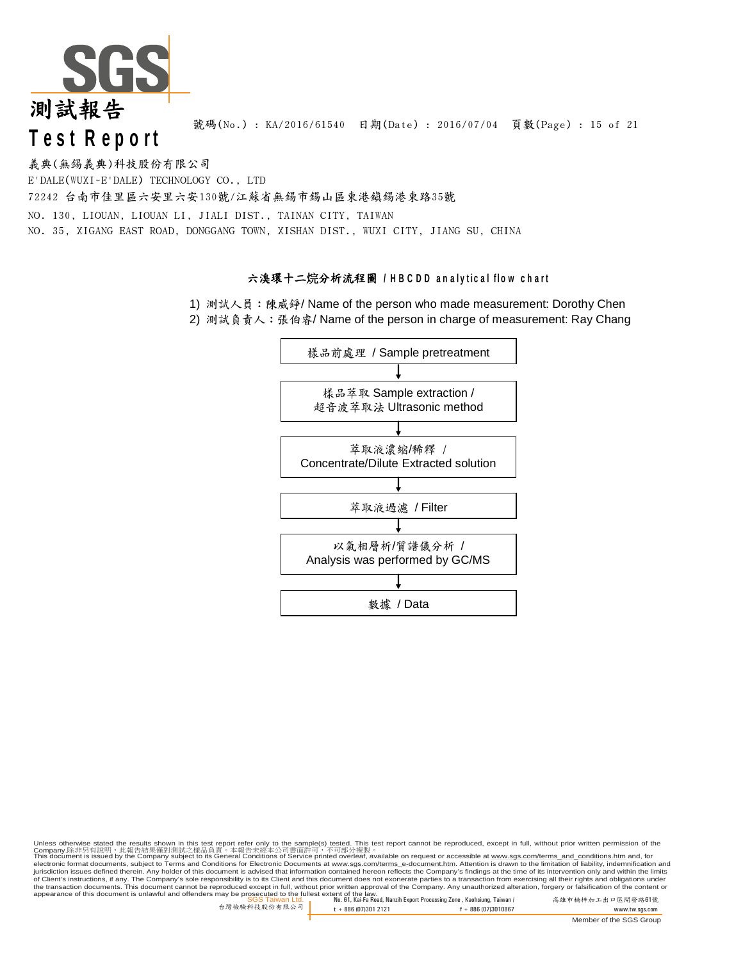

號碼(No.) : KA/2016/61540 日期(Date) : 2016/07/04 頁數(Page) : 15 of 21

義典(無錫義典)科技股份有限公司 E'DALE(WUXI-E'DALE) TECHNOLOGY CO., LTD 72242 台南市佳里區六安里六安130號/江蘇省無錫市錫山區東港鎮錫港東路35號 NO. 130, LIOUAN, LIOUAN LI, JIALI DIST., TAINAN CITY, TAIWAN NO. 35, XIGANG EAST ROAD, DONGGANG TOWN, XISHAN DIST., WUXI CITY, JIANG SU, CHINA

### 六溴環十二烷分析流程圖 / HBCDD analytical flow chart

1) 測試人員:陳威錚/ Name of the person who made measurement: Dorothy Chen

2) 測試負責人: 張伯睿/ Name of the person in charge of measurement: Ray Chang



Unless otherwise stated the results shown in this test report refer only to the sample(s) tested. This test report cannot be reproduced, except in full, without prior written permission of the<br>Company.除非另有說明,此當告誤果僅對測試之樣品 of Client's instructions, if any. The Company's sole responsibility is to its Client and this document does not exonerate parties to a transaction from exercising all their rights and obligations under<br>the transaction docu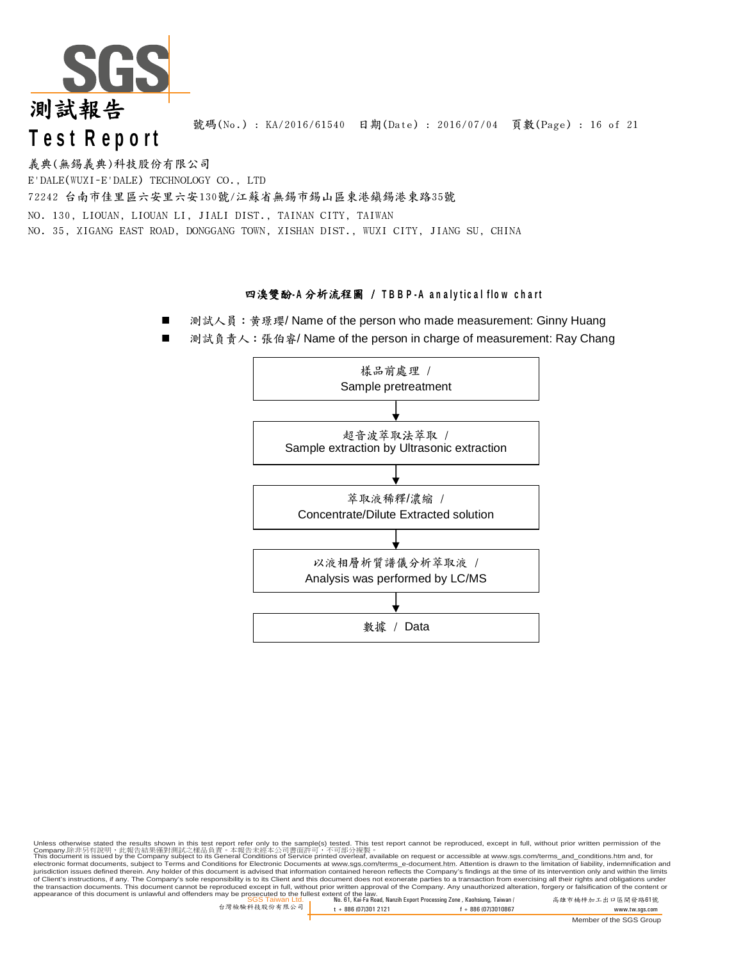

號碼(No.) : KA/2016/61540 日期(Date) : 2016/07/04 頁數(Page) : 16 of 21

E'DALE(WUXI-E'DALE) TECHNOLOGY CO., LTD 72242 台南市佳里區六安里六安130號/江蘇省無錫市錫山區東港鎮錫港東路35號 NO. 130, LIOUAN, LIOUAN LI, JIALI DIST., TAINAN CITY, TAIWAN NO. 35, XIGANG EAST ROAD, DONGGANG TOWN, XISHAN DIST., WUXI CITY, JIANG SU, CHINA 義典(無錫義典)科技股份有限公司

#### **四溴雙酚-A分析流程圖 / TBBP-A analytical flow chart**

- 測試人員: 黃璟瓔/ Name of the person who made measurement: Ginny Huang
- 測試負責人: 張伯睿/ Name of the person in charge of measurement: Ray Chang



Unless otherwise stated the results shown in this test report refer only to the sample(s) tested. This test report cannot be reproduced, except in full, without prior written permission of the<br>Company.除非另有說明,此當告誤果僅對測試之樣品 of Client's instructions, if any. The Company's sole responsibility is to its Client and this document does not exonerate parties to a transaction from exercising all their rights and obligations under<br>the transaction docu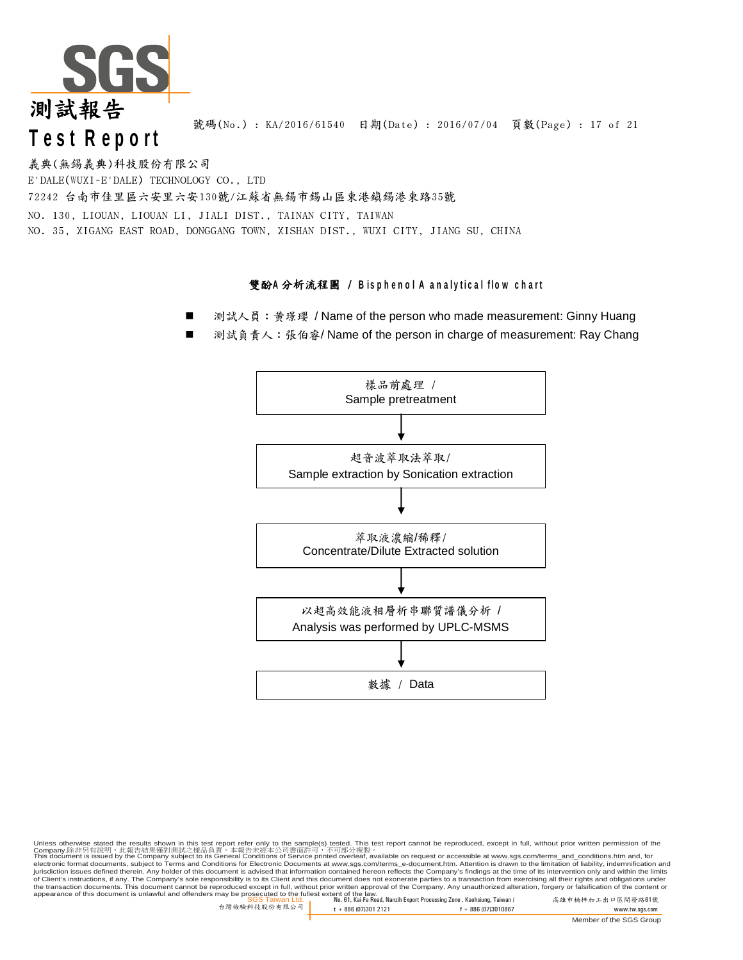

號碼(No.) : KA/2016/61540 日期(Date) : 2016/07/04 頁數(Page) : 17 of 21

義典(無錫義典)科技股份有限公司 E'DALE(WUXI-E'DALE) TECHNOLOGY CO., LTD 72242 台南市佳里區六安里六安130號/江蘇省無錫市錫山區東港鎮錫港東路35號 NO. 130, LIOUAN, LIOUAN LI, JIALI DIST., TAINAN CITY, TAIWAN NO. 35, XIGANG EAST ROAD, DONGGANG TOWN, XISHAN DIST., WUXI CITY, JIANG SU, CHINA

#### **雙酚A分析流程圖 / Bisphenol A analytical flow chart**

- 測試人員: 黄璟瓔 / Name of the person who made measurement: Ginny Huang
- 測試負責人: 張伯睿/ Name of the person in charge of measurement: Ray Chang



SGS Taiwan Ltd. No. 61, Kai-Fa Road, Nanzih Export Processing Zone , Kaohsiung, Taiwan / 高雄市楠梓加工出口區開發路61號 appearance of this document is unlawful and offenders may be prosecuted to the fullest extent of the law. Unless otherwise stated the results shown in this test report refer only to the sample(s) tested. This test report cannot be reproduced, except in full, without prior written permission of the<br>Company.除非另有說明,此當告誤果僅對測試之樣品 of Client's instructions, if any. The Company's sole responsibility is to its Client and this document does not exonerate parties to a transaction from exercising all their rights and obligations under<br>the transaction docu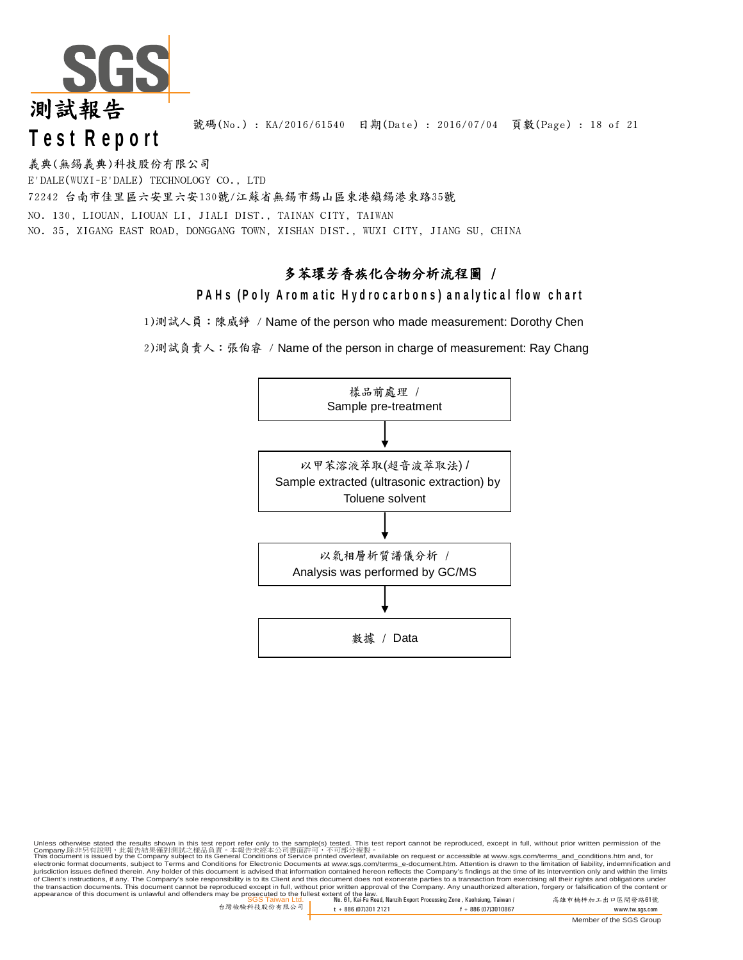

號碼(No.): KA/2016/61540 日期(Date): 2016/07/04 頁數(Page): 18 of 21

72242 台南市佳里區六安里六安130號/江蘇省無錫市錫山區東港鎮錫港東路35號 NO. 130, LIOUAN, LIOUAN LI, JIALI DIST., TAINAN CITY, TAIWAN NO. 35, XIGANG EAST ROAD, DONGGANG TOWN, XISHAN DIST., WUXI CITY, JIANG SU, CHINA 義典(無錫義典)科技股份有限公司 E'DALE(WUXI-E'DALE) TECHNOLOGY CO., LTD

### 多苯環芳香族化合物分析流程圖 /

### **PAHs (Poly Aromatic Hydrocarbons) analytical flow chart**

1)測試人員:陳威錚 / Name of the person who made measurement: Dorothy Chen

2)測試負責人:張伯睿 / Name of the person in charge of measurement: Ray Chang



Unless otherwise stated the results shown in this test report refer only to the sample(s) tested. This test report cannot be reproduced, except in full, without prior written permission of the Company.除非另有說明,此報告結果僅對測試之樣品負責。本報告未經本公司書面許可,不可部分複製。<br>This document is issued by the Company subject to its General Conditions of Service printed overleaf, available on request or accessible at <u>www.sgs.com/terms\_and\_conditi</u>

SGS Taiwan Ltd. No. 61, Kai-Fa Road, Nanzih Export Processing Zone , Kaohsiung, Taiwan / 高雄市楠梓加工出口區開發路61號 appearance of this document is unlawful and offenders may be prosecuted to the fullest extent of the law. of Client's instructions, if any. The Company's sole responsibility is to its Client and this document does not exonerate parties to a transaction from exercising all their rights and obligations under<br>the transaction docu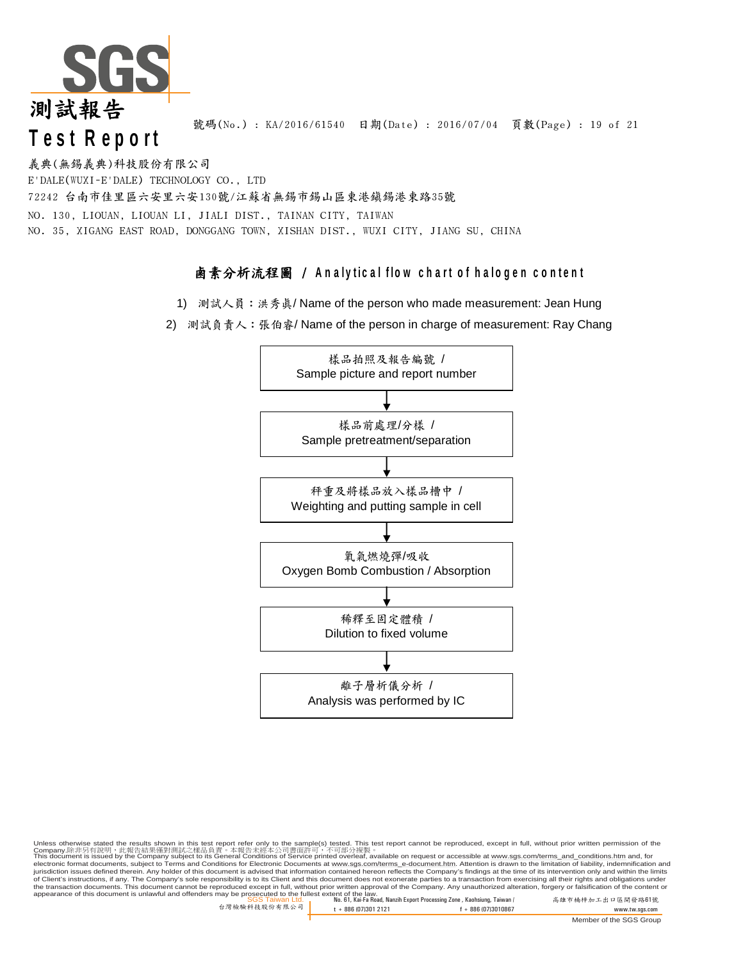

號碼(No.): KA/2016/61540 日期(Date): 2016/07/04 頁數(Page): 19 of 21

NO. 130, LIOUAN, LIOUAN LI, JIALI DIST., TAINAN CITY, TAIWAN NO. 35, XIGANG EAST ROAD, DONGGANG TOWN, XISHAN DIST., WUXI CITY, JIANG SU, CHINA 義典(無錫義典)科技股份有限公司 E'DALE(WUXI-E'DALE) TECHNOLOGY CO., LTD 72242 台南市佳里區六安里六安130號/江蘇省無錫市錫山區東港鎮錫港東路35號

### **鹵素分析流程圖 / Analytical flow chart of halogen content**

- 1) 測試人員:洪秀真/ Name of the person who made measurement: Jean Hung
- 2) 測試負責人: 張伯睿/ Name of the person in charge of measurement: Ray Chang



Unless otherwise stated the results shown in this test report refer only to the sample(s) tested. This test report cannot be reproduced, except in full, without prior written permission of the Company.除非另有說明,此報告結果僅對測試之樣品負責。本報告未經本公司書面許可,不可部分複製。<br>This document is issued by the Company subject to its General Conditions of Service printed overleaf, available on request or accessible at <u>www.sgs.com/terms\_and\_conditi</u>

SGS Taiwan Ltd. No. 61, Kai-Fa Road, Nanzih Export Processing Zone , Kaohsiung, Taiwan / 高雄市楠梓加工出口區開發路61號 appearance of this document is unlawful and offenders may be prosecuted to the fullest extent of the law. of Client's instructions, if any. The Company's sole responsibility is to its Client and this document does not exonerate parties to a transaction from exercising all their rights and obligations under<br>the transaction docu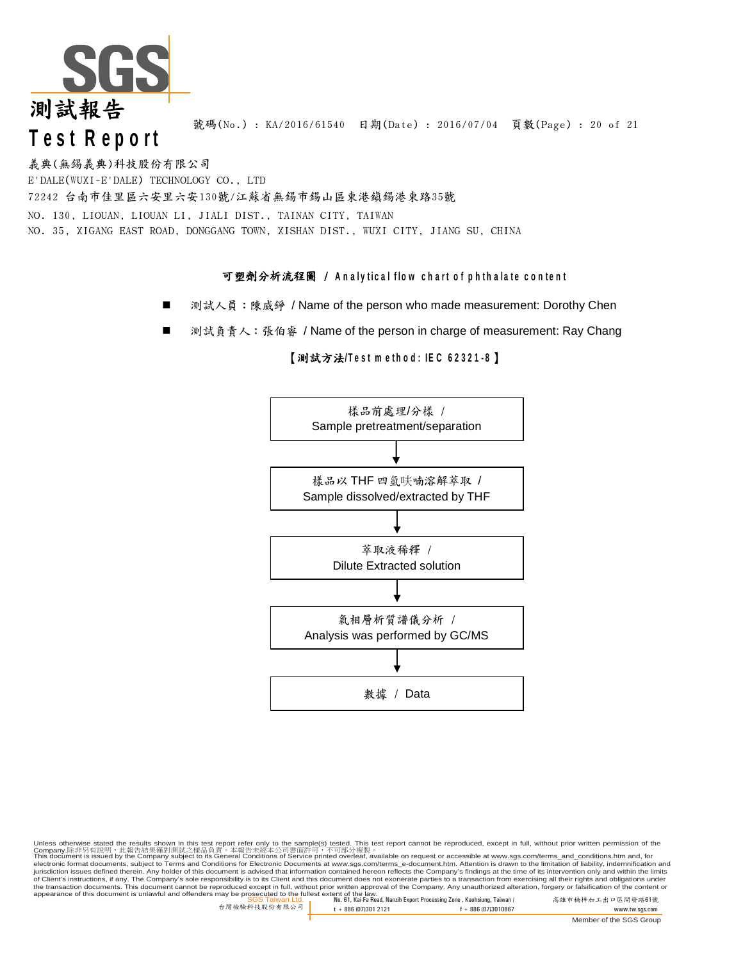

號碼(No.) : KA/2016/61540 日期(Date) : 2016/07/04 頁數(Page) : 20 of 21

義典(無錫義典)科技股份有限公司 E'DALE(WUXI-E'DALE) TECHNOLOGY CO., LTD 72242 台南市佳里區六安里六安130號/江蘇省無錫市錫山區東港鎮錫港東路35號 NO. 130, LIOUAN, LIOUAN LI, JIALI DIST., TAINAN CITY, TAIWAN NO. 35, XIGANG EAST ROAD, DONGGANG TOWN, XISHAN DIST., WUXI CITY, JIANG SU, CHINA

### 可塑劑分析流程圖 / Analytical flow chart of phthalate content

- 測試人員: 陳威錚 / Name of the person who made measurement: Dorothy Chen
- 測試負責人: 張伯睿 / Name of the person in charge of measurement: Ray Chang

#### 【測試方法/Test method: IEC 62321-8】



Unless otherwise stated the results shown in this test report refer only to the sample(s) tested. This test report cannot be reproduced, except in full, without prior written permission of the<br>Company.除非另有說明,此當告誤果僅對測試之樣品 of Client's instructions, if any. The Company's sole responsibility is to its Client and this document does not exonerate parties to a transaction from exercising all their rights and obligations under<br>the transaction docu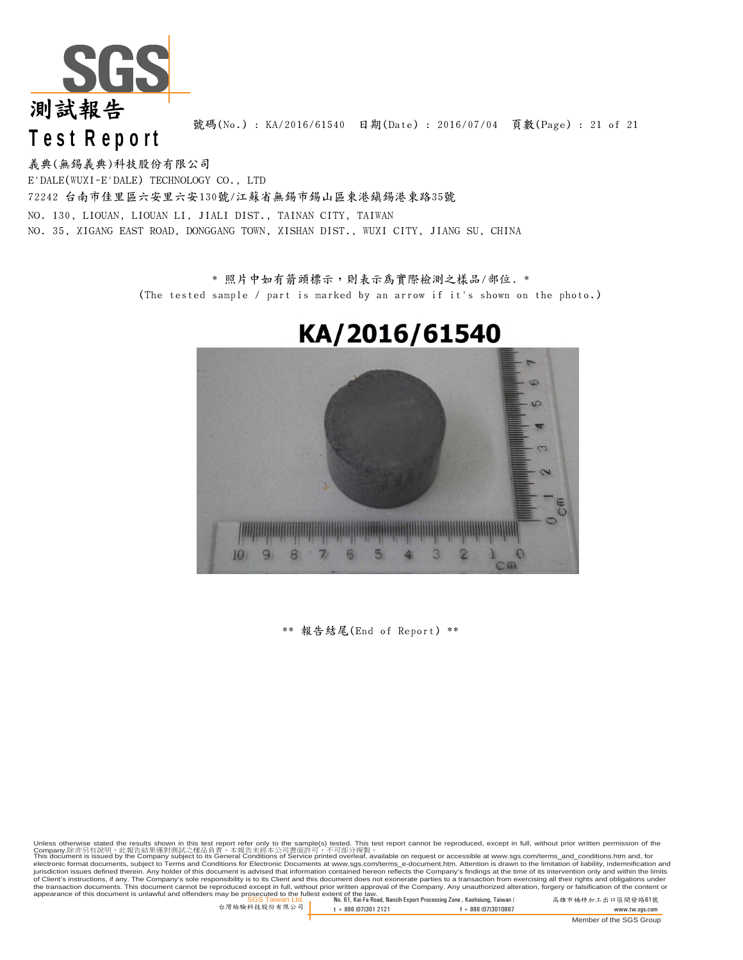

號碼(No.) : KA/2016/61540 日期(Date) : 2016/07/04 頁數(Page) : 21 of 21

義典(無錫義典)科技股份有限公司 E'DALE(WUXI-E'DALE) TECHNOLOGY CO., LTD 72242 台南市佳里區六安里六安130號/江蘇省無錫市錫山區東港鎮錫港東路35號 NO. 130, LIOUAN, LIOUAN LI, JIALI DIST., TAINAN CITY, TAIWAN NO. 35, XIGANG EAST ROAD, DONGGANG TOWN, XISHAN DIST., WUXI CITY, JIANG SU, CHINA

> \* 照片中如有箭頭標示,則表示為實際檢測之樣品/部位. \* (The tested sample / part is marked by an arrow if it's shown on the photo.)



## KA/2016/61540

\*\* 報告結尾(End of Report) \*\*

SGS Taiwan Ltd. No. 61, Kai-Fa Road, Nanzih Export Processing Zone , Kaohsiung, Taiwan / 高雄市楠梓加工出口區開發路61號 appearance of this document is unlawful and offenders may be prosecuted to the fullest extent of the law. Unless otherwise stated the results shown in this test report refer only to the sample(s) tested. This test report cannot be reproduced, except in full, without prior written permission of the<br>Company.除非另有說明,此當告誤果僅對測試之樣品 of Client's instructions, if any. The Company's sole responsibility is to its Client and this document does not exonerate parties to a transaction from exercising all their rights and obligations under<br>the transaction docu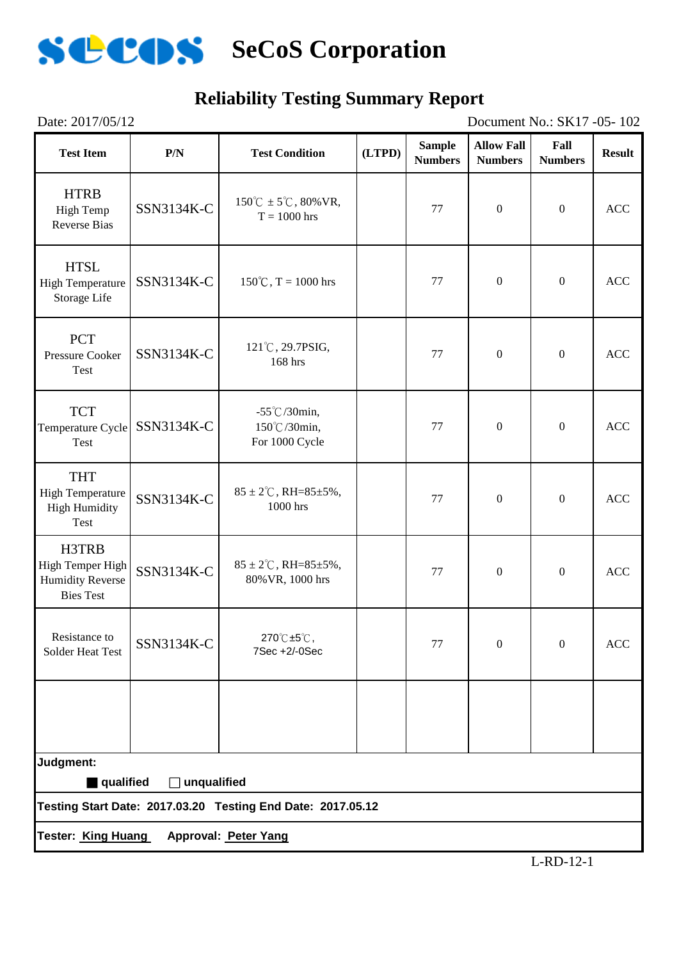

## **Reliability Testing Summary Report**

| Date: 2017/05/12<br>Document No.: SK17 -05-102                           |              |                                                               |        |                                 |                                     |                        |               |
|--------------------------------------------------------------------------|--------------|---------------------------------------------------------------|--------|---------------------------------|-------------------------------------|------------------------|---------------|
| <b>Test Item</b>                                                         | P/N          | <b>Test Condition</b>                                         | (LTPD) | <b>Sample</b><br><b>Numbers</b> | <b>Allow Fall</b><br><b>Numbers</b> | Fall<br><b>Numbers</b> | <b>Result</b> |
| <b>HTRB</b><br><b>High Temp</b><br><b>Reverse Bias</b>                   | SSN3134K-C   | $150^{\circ}$ C ± 5 <sup>°</sup> C, 80% VR,<br>$T = 1000$ hrs |        | 77                              | $\boldsymbol{0}$                    | $\boldsymbol{0}$       | ACC           |
| <b>HTSL</b><br><b>High Temperature</b><br>Storage Life                   | SSN3134K-C   | $150^{\circ}$ C, T = 1000 hrs                                 |        | 77                              | $\boldsymbol{0}$                    | $\boldsymbol{0}$       | <b>ACC</b>    |
| <b>PCT</b><br><b>Pressure Cooker</b><br>Test                             | SSN3134K-C   | 121°C, 29.7PSIG,<br>168 hrs                                   |        | 77                              | $\boldsymbol{0}$                    | $\overline{0}$         | ACC           |
| <b>TCT</b><br>Temperature Cycle<br>Test                                  | SSN3134K-C   | $-55^{\circ}$ C/30min,<br>150℃/30min,<br>For 1000 Cycle       |        | 77                              | $\boldsymbol{0}$                    | $\boldsymbol{0}$       | <b>ACC</b>    |
| <b>THT</b><br><b>High Temperature</b><br><b>High Humidity</b><br>Test    | SSN3134K-C   | $85 \pm 2^{\circ}$ C, RH= $85 \pm 5\%$ ,<br>1000 hrs          |        | 77                              | $\boldsymbol{0}$                    | $\boldsymbol{0}$       | <b>ACC</b>    |
| H3TRB<br>High Temper High<br><b>Humidity Reverse</b><br><b>Bies Test</b> | SSN3134K-C   | $85 \pm 2^{\circ}$ C, RH= $85 \pm 5\%$ ,<br>80% VR, 1000 hrs  |        | 77                              | $\boldsymbol{0}$                    | $\boldsymbol{0}$       | <b>ACC</b>    |
| Resistance to<br><b>Solder Heat Test</b>                                 | SSN3134K-C   | 270℃±5℃,<br>7Sec +2/-0Sec                                     |        | 77                              | $\mathbf{0}$                        | $\boldsymbol{0}$       | <b>ACC</b>    |
|                                                                          |              |                                                               |        |                                 |                                     |                        |               |
| Judgment:                                                                |              |                                                               |        |                                 |                                     |                        |               |
| qualified                                                                | Junqualified | Testing Start Date: 2017.03.20 Testing End Date: 2017.05.12   |        |                                 |                                     |                        |               |
| Tester: King Huang                                                       |              | Approval: Peter Yang                                          |        |                                 |                                     |                        |               |
|                                                                          |              |                                                               |        |                                 |                                     |                        |               |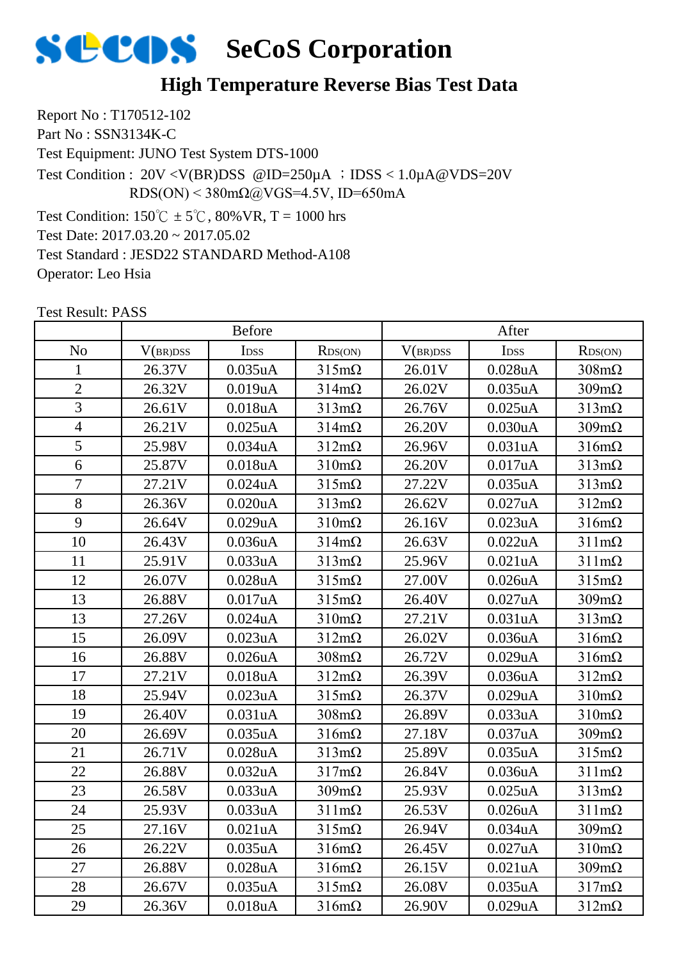

## **High Temperature Reverse Bias Test Data**

Report No : T170512-102 Part No : SSN3134K-C Test Equipment: JUNO Test System DTS-1000 Test Condition:  $150^{\circ}\text{C} \pm 5^{\circ}\text{C}$ ,  $80\% \text{VR}$ , T = 1000 hrs Test Date: 2017.03.20 ~ 2017.05.02 Test Standard : JESD22 STANDARD Method-A108 Operator: Leo Hsia Test Condition : 20V <V(BR)DSS @ID=250µA ;IDSS < 1.0µA@VDS=20V RDS(ON) <  $380 \text{m}\Omega$  ( $\omega$ VGS=4.5V, ID=650mA

|                | <b>Before</b> |            |                      | After    |            |                      |
|----------------|---------------|------------|----------------------|----------|------------|----------------------|
| N <sub>o</sub> | V(BR)DSS      | IDSS       | RDS(ON)              | V(BR)DSS | IDSS       | RDS(ON)              |
| 1              | 26.37V        | 0.035uA    | $315 \text{m}\Omega$ | 26.01V   | $0.028$ uA | $308 \text{m}\Omega$ |
| $\overline{2}$ | 26.32V        | 0.019uA    | $314 \text{m}\Omega$ | 26.02V   | 0.035uA    | $309m\Omega$         |
| $\overline{3}$ | 26.61V        | 0.018uA    | $313 \text{mA}$      | 26.76V   | $0.025$ uA | $313 \text{mA}$      |
| $\overline{4}$ | 26.21V        | $0.025$ uA | $314m\Omega$         | 26.20V   | 0.030uA    | $309m\Omega$         |
| 5              | 25.98V        | 0.034uA    | $312m\Omega$         | 26.96V   | 0.031uA    | $316m\Omega$         |
| 6              | 25.87V        | 0.018uA    | $310 \text{m}\Omega$ | 26.20V   | 0.017uA    | $313 \text{m}\Omega$ |
| $\overline{7}$ | 27.21V        | 0.024uA    | $315 \text{m}\Omega$ | 27.22V   | 0.035uA    | $313 \text{m}\Omega$ |
| 8              | 26.36V        | 0.020uA    | $313 \text{mA}$      | 26.62V   | 0.027uA    | $312m\Omega$         |
| 9              | 26.64V        | 0.029uA    | $310 \text{m}\Omega$ | 26.16V   | 0.023uA    | $316m\Omega$         |
| 10             | 26.43V        | 0.036uA    | $314 \text{m}\Omega$ | 26.63V   | 0.022uA    | $311 \text{m}\Omega$ |
| 11             | 25.91V        | 0.033uA    | $313 \text{mA}$      | 25.96V   | 0.021uA    | $311 \text{m}\Omega$ |
| 12             | 26.07V        | 0.028uA    | $315 \text{m}\Omega$ | 27.00V   | 0.026uA    | $315m\Omega$         |
| 13             | 26.88V        | 0.017uA    | $315 \text{m}\Omega$ | 26.40V   | 0.027uA    | $309m\Omega$         |
| 13             | 27.26V        | 0.024uA    | $310 \text{m}\Omega$ | 27.21V   | 0.031uA    | $313 \text{mA}$      |
| 15             | 26.09V        | 0.023uA    | $312m\Omega$         | 26.02V   | 0.036uA    | $316m\Omega$         |
| 16             | 26.88V        | 0.026uA    | $308 \text{m}\Omega$ | 26.72V   | 0.029uA    | $316m\Omega$         |
| 17             | 27.21V        | 0.018uA    | $312m\Omega$         | 26.39V   | 0.036uA    | $312 \text{m}\Omega$ |
| 18             | 25.94V        | 0.023uA    | $315 \text{m}\Omega$ | 26.37V   | 0.029uA    | $310 \text{m}\Omega$ |
| 19             | 26.40V        | 0.031uA    | $308 \text{m}\Omega$ | 26.89V   | 0.033uA    | $310 \text{m}\Omega$ |
| 20             | 26.69V        | 0.035uA    | $316m\Omega$         | 27.18V   | 0.037uA    | $309m\Omega$         |
| 21             | 26.71V        | $0.028$ uA | $313 \text{mA}$      | 25.89V   | $0.035$ uA | $315 \text{m}\Omega$ |
| 22             | 26.88V        | 0.032uA    | $317m\Omega$         | 26.84V   | 0.036uA    | $311 \text{m}\Omega$ |
| 23             | 26.58V        | 0.033uA    | $309m\Omega$         | 25.93V   | $0.025$ uA | $313 \text{mA}$      |
| 24             | 25.93V        | 0.033uA    | $311 \text{m}\Omega$ | 26.53V   | 0.026uA    | $311 \text{m}\Omega$ |
| 25             | 27.16V        | 0.021uA    | $315 \text{m}\Omega$ | 26.94V   | 0.034uA    | $309m\Omega$         |
| 26             | 26.22V        | 0.035uA    | $316m\Omega$         | 26.45V   | $0.027$ uA | $310 \text{m}\Omega$ |
| 27             | 26.88V        | 0.028uA    | $316m\Omega$         | 26.15V   | 0.021uA    | $309m\Omega$         |
| 28             | 26.67V        | 0.035uA    | $315 \text{m}\Omega$ | 26.08V   | 0.035uA    | $317m\Omega$         |
| 29             | 26.36V        | 0.018uA    | $316m\Omega$         | 26.90V   | 0.029uA    | $312m\Omega$         |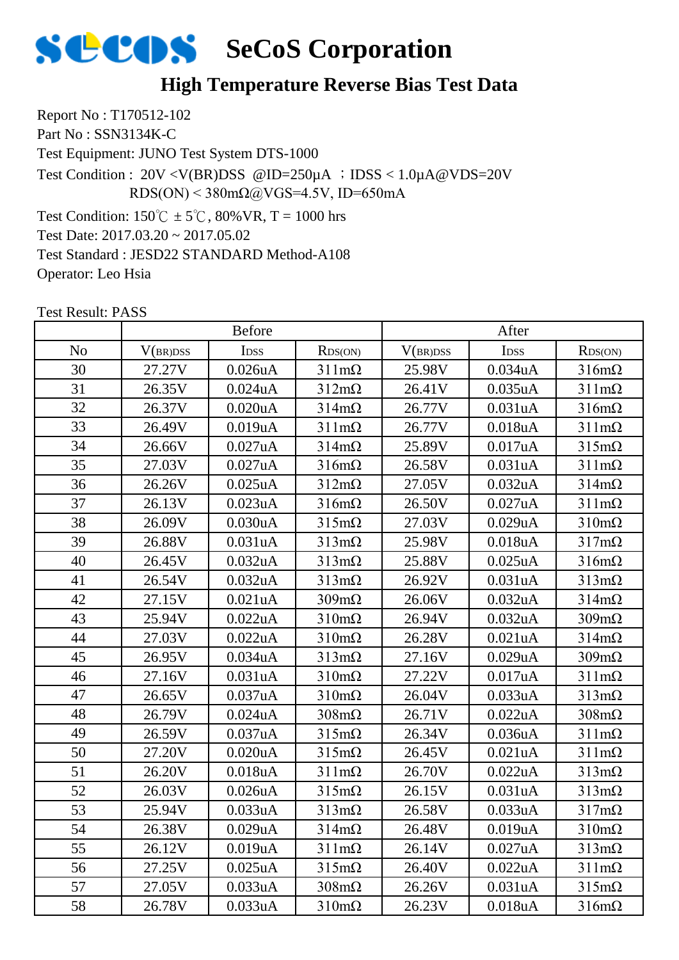

## **High Temperature Reverse Bias Test Data**

Report No : T170512-102 Part No : SSN3134K-C Test Equipment: JUNO Test System DTS-1000 Test Condition:  $150^{\circ}\text{C} \pm 5^{\circ}\text{C}$ ,  $80\% \text{VR}$ , T = 1000 hrs Test Date: 2017.03.20 ~ 2017.05.02 Test Standard : JESD22 STANDARD Method-A108 Operator: Leo Hsia Test Condition : 20V <V(BR)DSS @ID=250µA ;IDSS < 1.0µA@VDS=20V RDS(ON) <  $380 \text{m}\Omega$  ( $\omega$ VGS=4.5V, ID=650mA

|          | <b>Before</b> |               |                      | After    |                  |                      |
|----------|---------------|---------------|----------------------|----------|------------------|----------------------|
| $\rm No$ | V(BR)DSS      | IDSS          | RDS(ON)              | V(BR)DSS | I <sub>DSS</sub> | RDS(ON)              |
| 30       | 27.27V        | $0.026$ u $A$ | $311 \text{mA}$      | 25.98V   | 0.034uA          | $316m\Omega$         |
| 31       | 26.35V        | $0.024$ u $A$ | $312 \text{m}\Omega$ | 26.41V   | 0.035uA          | $311 \text{m}\Omega$ |
| 32       | 26.37V        | 0.020uA       | $314 \text{m}\Omega$ | 26.77V   | 0.031uA          | $316m\Omega$         |
| 33       | 26.49V        | 0.019uA       | $311 \text{m}\Omega$ | 26.77V   | 0.018uA          | $311 \text{m}\Omega$ |
| 34       | 26.66V        | 0.027uA       | $314m\Omega$         | 25.89V   | 0.017uA          | $315m\Omega$         |
| 35       | 27.03V        | 0.027uA       | $316m\Omega$         | 26.58V   | 0.031uA          | $311 \text{m}\Omega$ |
| 36       | 26.26V        | $0.025$ uA    | $312 \text{m}\Omega$ | 27.05V   | 0.032uA          | $314 \text{m}\Omega$ |
| 37       | 26.13V        | 0.023uA       | $316m\Omega$         | 26.50V   | 0.027uA          | $311 \text{m}\Omega$ |
| 38       | 26.09V        | 0.030uA       | $315 \text{m}\Omega$ | 27.03V   | 0.029uA          | $310 \text{m}\Omega$ |
| 39       | 26.88V        | 0.031uA       | $313 \text{mA}$      | 25.98V   | 0.018uA          | $317m\Omega$         |
| 40       | 26.45V        | 0.032uA       | $313 \text{mA}$      | 25.88V   | $0.025$ uA       | $316m\Omega$         |
| 41       | 26.54V        | 0.032uA       | $313 \text{mA}$      | 26.92V   | 0.031uA          | $313 \text{mA}$      |
| 42       | 27.15V        | 0.021uA       | $309 \text{m}\Omega$ | 26.06V   | 0.032uA          | $314 \text{m}\Omega$ |
| 43       | 25.94V        | 0.022uA       | $310 \text{m}\Omega$ | 26.94V   | 0.032uA          | $309m\Omega$         |
| 44       | 27.03V        | 0.022uA       | $310 \text{m}\Omega$ | 26.28V   | 0.021uA          | $314m\Omega$         |
| 45       | 26.95V        | 0.034uA       | $313 \text{mA}$      | 27.16V   | 0.029uA          | $309 \text{m}\Omega$ |
| 46       | 27.16V        | 0.031uA       | $310 \text{m}\Omega$ | 27.22V   | 0.017uA          | $311 \text{m}\Omega$ |
| 47       | 26.65V        | 0.037uA       | $310 \text{m}\Omega$ | 26.04V   | 0.033uA          | $313m\Omega$         |
| 48       | 26.79V        | 0.024uA       | $308 \text{m}\Omega$ | 26.71V   | 0.022uA          | $308 \text{m}\Omega$ |
| 49       | 26.59V        | 0.037uA       | $315 \text{m}\Omega$ | 26.34V   | 0.036uA          | $311 \text{m}\Omega$ |
| 50       | 27.20V        | 0.020uA       | $315 \text{m}\Omega$ | 26.45V   | 0.021uA          | $311 \text{m}\Omega$ |
| 51       | 26.20V        | 0.018uA       | $311 \text{m}\Omega$ | 26.70V   | 0.022uA          | $313 \text{m}\Omega$ |
| 52       | 26.03V        | 0.026uA       | $315 \text{m}\Omega$ | 26.15V   | 0.031uA          | $313m\Omega$         |
| 53       | 25.94V        | 0.033uA       | $313 \text{mA}$      | 26.58V   | 0.033uA          | $317m\Omega$         |
| 54       | 26.38V        | 0.029uA       | $314m\Omega$         | 26.48V   | 0.019uA          | $310 \text{m}\Omega$ |
| 55       | 26.12V        | 0.019uA       | $311 \text{m}\Omega$ | 26.14V   | 0.027uA          | $313m\Omega$         |
| 56       | 27.25V        | $0.025$ uA    | $315 \text{m}\Omega$ | 26.40V   | 0.022uA          | $311 \text{m}\Omega$ |
| 57       | 27.05V        | 0.033uA       | $308 \text{m}\Omega$ | 26.26V   | 0.031uA          | $315 \text{m}\Omega$ |
| 58       | 26.78V        | 0.033uA       | $310 \text{m}\Omega$ | 26.23V   | 0.018uA          | $316m\Omega$         |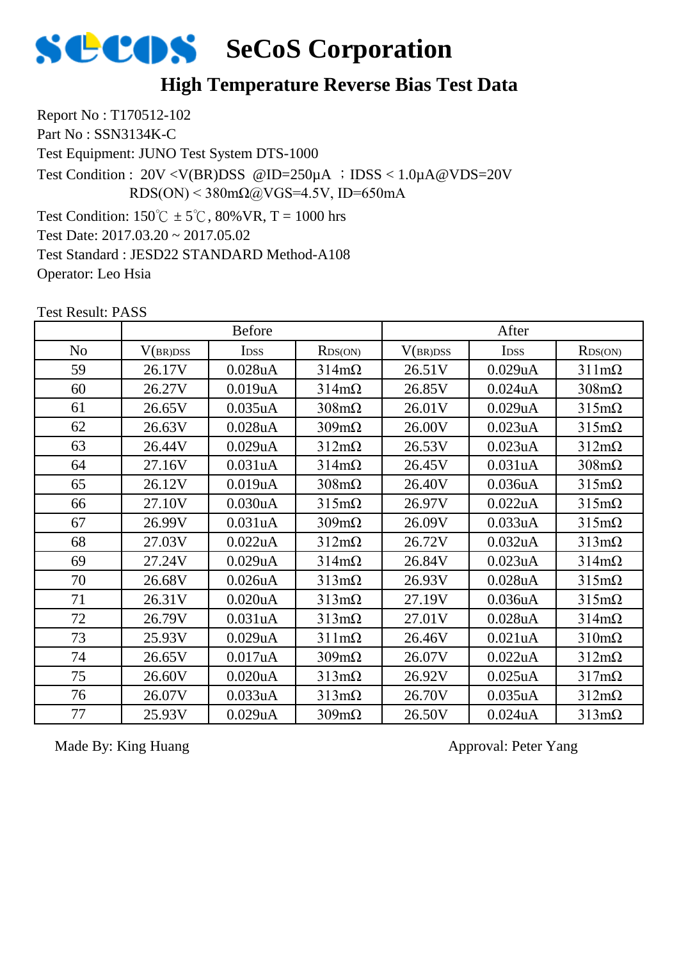

## **High Temperature Reverse Bias Test Data**

Report No : T170512-102 Part No : SSN3134K-C Test Equipment: JUNO Test System DTS-1000 Test Condition:  $150^{\circ}C \pm 5^{\circ}C$ ,  $80\%$  VR, T = 1000 hrs Test Date: 2017.03.20 ~ 2017.05.02 Test Standard : JESD22 STANDARD Method-A108 Operator: Leo Hsia Test Condition :  $20V < V(BR)DSS$  @ID=250 $\mu$ A ; IDSS < 1.0 $\mu$ A @VDS=20V RDS(ON) <  $380 \text{m}\Omega$  ( $\omega$ VGS=4.5V, ID=650mA

Test Result: PASS

|                | <b>Before</b> |                      |                      | After    |                      |                      |
|----------------|---------------|----------------------|----------------------|----------|----------------------|----------------------|
| N <sub>o</sub> | V(BR)DSS      | <b>IDSS</b>          | RDS(ON)              | V(BR)DSS | I <sub>DSS</sub>     | RDS(ON)              |
| 59             | 26.17V        | 0.028uA              | $314 \text{m}\Omega$ | 26.51V   | 0.029uA              | $311 \text{m}\Omega$ |
| 60             | 26.27V        | 0.019uA              | $314 \text{m}\Omega$ | 26.85V   | $0.024$ uA           | $308 \text{m}\Omega$ |
| 61             | 26.65V        | $0.035$ uA           | $308 \text{m}\Omega$ | 26.01V   | 0.029uA              | $315m\Omega$         |
| 62             | 26.63V        | $0.028$ u $A$        | $309m\Omega$         | 26.00V   | 0.023uA              | $315m\Omega$         |
| 63             | 26.44V        | 0.029uA              | $312m\Omega$         | 26.53V   | 0.023uA              | $312m\Omega$         |
| 64             | 27.16V        | 0.031 <sub>u</sub> A | $314 \text{m}\Omega$ | 26.45V   | 0.031 <sub>u</sub> A | $308 \text{m}\Omega$ |
| 65             | 26.12V        | 0.019uA              | $308 \text{m}\Omega$ | 26.40V   | 0.036uA              | $315m\Omega$         |
| 66             | 27.10V        | 0.030uA              | $315 \text{m}\Omega$ | 26.97V   | 0.022uA              | $315m\Omega$         |
| 67             | 26.99V        | 0.031uA              | $309m\Omega$         | 26.09V   | 0.033uA              | $315 \text{m}\Omega$ |
| 68             | 27.03V        | 0.022uA              | $312m\Omega$         | 26.72V   | 0.032 <sub>u</sub> A | $313 \text{mA}$      |
| 69             | 27.24V        | 0.029uA              | $314 \text{m}\Omega$ | 26.84V   | 0.023uA              | $314m\Omega$         |
| 70             | 26.68V        | $0.026$ u $A$        | $313 \text{mA}$      | 26.93V   | $0.028$ uA           | $315m\Omega$         |
| 71             | 26.31V        | 0.020uA              | $313 \text{mA}$      | 27.19V   | 0.036 <sub>u</sub> A | $315m\Omega$         |
| 72             | 26.79V        | 0.031uA              | $313 \text{mA}$      | 27.01V   | $0.028$ uA           | $314 \text{m}\Omega$ |
| 73             | 25.93V        | 0.029uA              | $311 \text{mA}$      | 26.46V   | 0.021uA              | $310 \text{m}\Omega$ |
| 74             | 26.65V        | 0.017uA              | $309m\Omega$         | 26.07V   | 0.022uA              | $312m\Omega$         |
| 75             | 26.60V        | 0.020uA              | $313 \text{mA}$      | 26.92V   | $0.025$ uA           | $317m\Omega$         |
| 76             | 26.07V        | 0.033uA              | $313 \text{mA}$      | 26.70V   | $0.035$ uA           | $312m\Omega$         |
| 77             | 25.93V        | 0.029uA              | $309m\Omega$         | 26.50V   | $0.024$ u $A$        | $313 \text{mA}$      |

Made By: King Huang Approval: Peter Yang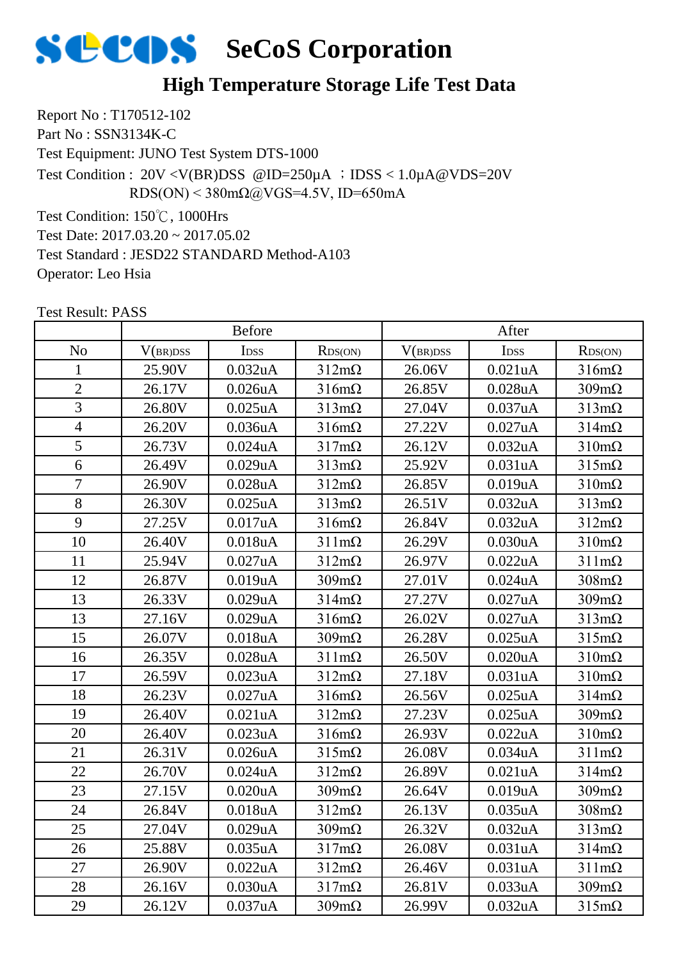

## **High Temperature Storage Life Test Data**

Report No : T170512-102 Part No : SSN3134K-C Test Equipment: JUNO Test System DTS-1000 Test Condition: 150℃, 1000Hrs Test Date: 2017.03.20 ~ 2017.05.02 Test Condition : 20V <V(BR)DSS @ID=250µA ;IDSS < 1.0µA@VDS=20V RDS(ON) <  $380 \text{m}\Omega$ @VGS=4.5V, ID=650mA

Test Standard : JESD22 STANDARD Method-A103

Operator: Leo Hsia

|                | <b>Before</b> |                  |                      | After    |               |                      |
|----------------|---------------|------------------|----------------------|----------|---------------|----------------------|
| N <sub>o</sub> | V(BR)DSS      | I <sub>DSS</sub> | RDS(ON)              | V(BR)DSS | IDSS          | RDS(ON)              |
| $\mathbf{1}$   | 25.90V        | 0.032uA          | $312m\Omega$         | 26.06V   | 0.021uA       | $316m\Omega$         |
| $\overline{2}$ | 26.17V        | $0.026$ u $A$    | $316m\Omega$         | 26.85V   | $0.028$ u $A$ | $309m\Omega$         |
| $\overline{3}$ | 26.80V        | $0.025$ uA       | $313 \text{mA}$      | 27.04V   | 0.037uA       | $313 \text{mA}$      |
| $\overline{4}$ | 26.20V        | 0.036uA          | $316m\Omega$         | 27.22V   | 0.027uA       | $314m\Omega$         |
| 5              | 26.73V        | $0.024$ u $A$    | $317m\Omega$         | 26.12V   | 0.032uA       | $310 \text{m}\Omega$ |
| 6              | 26.49V        | 0.029uA          | $313 \text{mA}$      | 25.92V   | 0.031uA       | $315m\Omega$         |
| $\overline{7}$ | 26.90V        | 0.028uA          | $312m\Omega$         | 26.85V   | 0.019uA       | $310 \text{m}\Omega$ |
| 8              | 26.30V        | $0.025$ uA       | $313 \text{mA}$      | 26.51V   | 0.032uA       | $313 \text{mA}$      |
| 9              | 27.25V        | 0.017uA          | $316m\Omega$         | 26.84V   | 0.032uA       | $312m\Omega$         |
| 10             | 26.40V        | 0.018uA          | $311 \text{m}\Omega$ | 26.29V   | 0.030uA       | $310 \text{m}\Omega$ |
| 11             | 25.94V        | 0.027uA          | $312m\Omega$         | 26.97V   | 0.022uA       | $311 \text{m}\Omega$ |
| 12             | 26.87V        | 0.019uA          | $309m\Omega$         | 27.01V   | $0.024$ uA    | $308 \text{m}\Omega$ |
| 13             | 26.33V        | 0.029uA          | $314 \text{m}\Omega$ | 27.27V   | 0.027uA       | $309 \text{m}\Omega$ |
| 13             | 27.16V        | 0.029uA          | $316m\Omega$         | 26.02V   | 0.027uA       | $313 \text{m}\Omega$ |
| 15             | 26.07V        | 0.018uA          | $309 \text{m}\Omega$ | 26.28V   | $0.025$ uA    | $315m\Omega$         |
| 16             | 26.35V        | $0.028$ uA       | $311 \text{m}\Omega$ | 26.50V   | 0.020uA       | $310 \text{m}\Omega$ |
| 17             | 26.59V        | 0.023uA          | $312m\Omega$         | 27.18V   | 0.031uA       | $310 \text{m}\Omega$ |
| 18             | 26.23V        | 0.027uA          | $316m\Omega$         | 26.56V   | $0.025$ uA    | $314m\Omega$         |
| 19             | 26.40V        | 0.021uA          | $312 \text{m}\Omega$ | 27.23V   | $0.025$ uA    | $309m\Omega$         |
| 20             | 26.40V        | 0.023uA          | $316m\Omega$         | 26.93V   | 0.022uA       | $310 \text{m}\Omega$ |
| 21             | 26.31V        | 0.026uA          | $315 \text{m}\Omega$ | 26.08V   | 0.034uA       | $311 \text{m}\Omega$ |
| 22             | 26.70V        | $0.024$ u $A$    | $312m\Omega$         | 26.89V   | 0.021uA       | $314m\Omega$         |
| 23             | 27.15V        | 0.020uA          | $309 \text{mA}$      | 26.64V   | 0.019uA       | $309m\Omega$         |
| 24             | 26.84V        | 0.018uA          | $312 \text{m}\Omega$ | 26.13V   | 0.035uA       | $308 \text{m}\Omega$ |
| 25             | 27.04V        | 0.029uA          | $309m\Omega$         | 26.32V   | 0.032uA       | $313 \text{mA}$      |
| 26             | 25.88V        | 0.035uA          | $317m\Omega$         | 26.08V   | 0.031uA       | $314 \text{m}\Omega$ |
| 27             | 26.90V        | 0.022uA          | $312m\Omega$         | 26.46V   | 0.031uA       | $311 \text{m}\Omega$ |
| 28             | 26.16V        | 0.030uA          | $317m\Omega$         | 26.81V   | 0.033uA       | $309 \text{m}\Omega$ |
| 29             | 26.12V        | 0.037uA          | $309m\Omega$         | 26.99V   | 0.032uA       | $315m\Omega$         |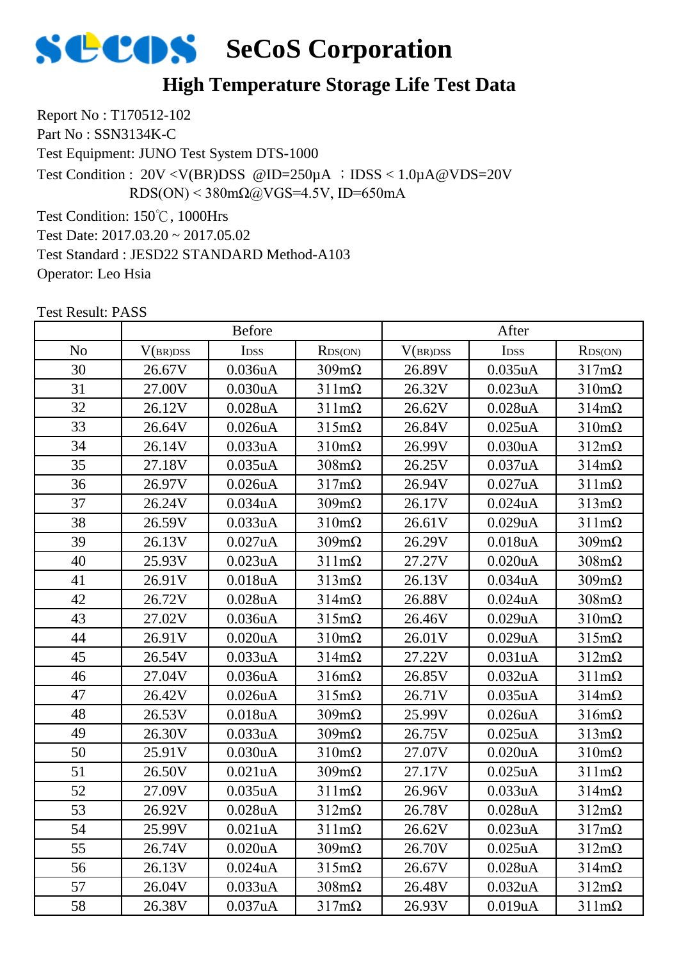

## **High Temperature Storage Life Test Data**

Report No : T170512-102 Part No : SSN3134K-C Test Equipment: JUNO Test System DTS-1000 Test Condition: 150℃, 1000Hrs Test Date: 2017.03.20 ~ 2017.05.02 Test Condition : 20V <V(BR)DSS @ID=250µA ;IDSS < 1.0µA@VDS=20V RDS(ON) <  $380 \text{m}\Omega$ @VGS=4.5V, ID=650mA

Test Standard : JESD22 STANDARD Method-A103

Operator: Leo Hsia

|                | <b>Before</b> |                      |                      | After    |                      |                      |
|----------------|---------------|----------------------|----------------------|----------|----------------------|----------------------|
| N <sub>o</sub> | V(BR)DSS      | <b>IDSS</b>          | RDS(ON)              | V(BR)DSS | I <sub>DSS</sub>     | RDS(ON)              |
| 30             | 26.67V        | 0.036uA              | $309m\Omega$         | 26.89V   | $0.035$ uA           | $317m\Omega$         |
| 31             | 27.00V        | 0.030uA              | $311 \text{m}\Omega$ | 26.32V   | 0.023uA              | $310 \text{m}\Omega$ |
| 32             | 26.12V        | 0.028uA              | $311 \text{m}\Omega$ | 26.62V   | $0.028$ uA           | $314 \text{m}\Omega$ |
| 33             | 26.64V        | $0.026$ u $A$        | $315m\Omega$         | 26.84V   | $0.025$ uA           | $310 \text{m}\Omega$ |
| 34             | 26.14V        | 0.033uA              | $310 \text{m}\Omega$ | 26.99V   | 0.030uA              | $312m\Omega$         |
| 35             | 27.18V        | $0.035$ uA           | $308 \text{m}\Omega$ | 26.25V   | 0.037uA              | $314m\Omega$         |
| 36             | 26.97V        | $0.026$ u $A$        | $317m\Omega$         | 26.94V   | $0.027$ uA           | $311 \text{m}\Omega$ |
| 37             | 26.24V        | 0.034uA              | $309m\Omega$         | 26.17V   | $0.024$ uA           | $313 \text{mA}$      |
| 38             | 26.59V        | 0.033uA              | $310 \text{m}\Omega$ | 26.61V   | 0.029uA              | $311 \text{m}\Omega$ |
| 39             | 26.13V        | 0.027uA              | $309m\Omega$         | 26.29V   | $0.018$ u $A$        | $309m\Omega$         |
| 40             | 25.93V        | 0.023uA              | $311 \text{m}\Omega$ | 27.27V   | 0.020uA              | $308 \text{m}\Omega$ |
| 41             | 26.91V        | 0.018uA              | $313 \text{mA}$      | 26.13V   | 0.034uA              | $309m\Omega$         |
| 42             | 26.72V        | 0.028uA              | $314m\Omega$         | 26.88V   | $0.024$ uA           | $308 \text{m}\Omega$ |
| 43             | 27.02V        | 0.036uA              | $315m\Omega$         | 26.46V   | $0.029$ uA           | $310 \text{m}\Omega$ |
| 44             | 26.91V        | $0.020$ u $A$        | $310 \text{m}\Omega$ | 26.01V   | 0.029uA              | $315 \text{m}\Omega$ |
| 45             | 26.54V        | 0.033uA              | $314m\Omega$         | 27.22V   | 0.031uA              | $312m\Omega$         |
| 46             | 27.04V        | 0.036uA              | $316m\Omega$         | 26.85V   | 0.032 <sub>u</sub> A | $311 \text{m}\Omega$ |
| 47             | 26.42V        | 0.026uA              | $315m\Omega$         | 26.71V   | $0.035$ uA           | $314 \text{m}\Omega$ |
| 48             | 26.53V        | 0.018uA              | $309m\Omega$         | 25.99V   | $0.026$ u $A$        | $316m\Omega$         |
| 49             | 26.30V        | 0.033uA              | $309m\Omega$         | 26.75V   | $0.025$ uA           | $313 \text{mA}$      |
| 50             | 25.91V        | 0.030uA              | $310 \text{m}\Omega$ | 27.07V   | 0.020 <sub>u</sub> A | $310 \text{m}\Omega$ |
| 51             | 26.50V        | 0.021uA              | $309 \text{mA}$      | 27.17V   | $0.025$ uA           | $311 \text{m}\Omega$ |
| 52             | 27.09V        | 0.035uA              | $311 \text{m}\Omega$ | 26.96V   | 0.033uA              | $314 \text{m}\Omega$ |
| 53             | 26.92V        | 0.028uA              | $312m\Omega$         | 26.78V   | $0.028$ u $A$        | $312m\Omega$         |
| 54             | 25.99V        | 0.021uA              | $311 \text{m}\Omega$ | 26.62V   | 0.023uA              | $317m\Omega$         |
| 55             | 26.74V        | 0.020 <sub>u</sub> A | $309 \text{m}\Omega$ | 26.70V   | $0.025$ uA           | $312m\Omega$         |
| 56             | 26.13V        | $0.024$ uA           | $315 \text{m}\Omega$ | 26.67V   | 0.028 <sub>u</sub> A | $314 \text{m}\Omega$ |
| 57             | 26.04V        | 0.033uA              | $308 \text{m}\Omega$ | 26.48V   | 0.032 <sub>u</sub> A | $312m\Omega$         |
| 58             | 26.38V        | 0.037uA              | $317m\Omega$         | 26.93V   | 0.019uA              | $311 \text{m}\Omega$ |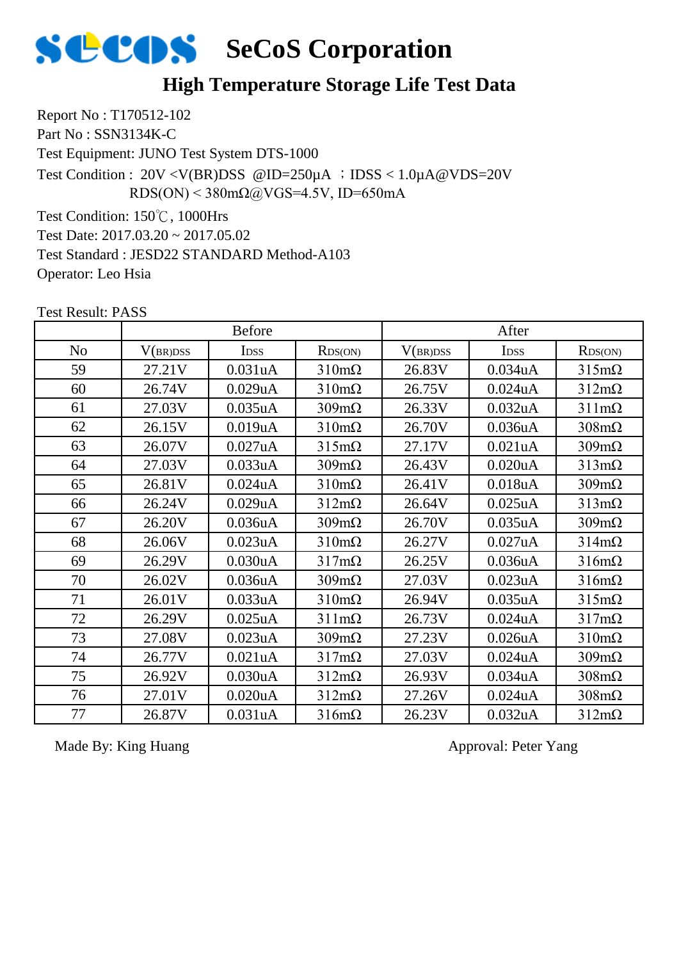

### **High Temperature Storage Life Test Data**

Report No : T170512-102 Part No : SSN3134K-C Test Equipment: JUNO Test System DTS-1000 Test Condition: 150℃, 1000Hrs Test Date: 2017.03.20 ~ 2017.05.02 Test Condition :  $20V < V(BR)DSS$  @ID=250 $\mu$ A ; IDSS < 1.0 $\mu$ A @VDS=20V RDS(ON) <  $380 \text{m}\Omega$ @VGS=4.5V, ID=650mA

Test Standard : JESD22 STANDARD Method-A103

Operator: Leo Hsia

No | V(br)dss | Idss | Rds(on) | V(br)dss | Idss | Rds(on) Before After 59 | 27.21V | 0.031uA | 310mΩ | 26.83V | 0.034uA | 315mΩ 26.74V 0.029uA 310mΩ 26.75V 0.024uA 312mΩ 27.03V 0.035uA 309mΩ 26.33V 0.032uA 311mΩ 62 | 26.15V | 0.019uA | 310mΩ | 26.70V | 0.036uA | 308mΩ 26.07V 0.027uA 315mΩ 27.17V 0.021uA 309mΩ 27.03V 0.033uA 309mΩ 26.43V 0.020uA 313mΩ 26.81V 0.024uA 310mΩ 26.41V 0.018uA 309mΩ 26.24V 0.029uA 312mΩ 26.64V 0.025uA 313mΩ 26.20V 0.036uA 309mΩ 26.70V 0.035uA 309mΩ 26.06V 0.023uA 310mΩ 26.27V 0.027uA 314mΩ 26.29V 0.030uA 317mΩ 26.25V 0.036uA 316mΩ 26.02V 0.036uA 309mΩ 27.03V 0.023uA 316mΩ 26.01V 0.033uA 310mΩ 26.94V 0.035uA 315mΩ 26.29V 0.025uA 311mΩ 26.73V 0.024uA 317mΩ 27.08V 0.023uA 309mΩ 27.23V 0.026uA 310mΩ 26.77V 0.021uA 317mΩ 27.03V 0.024uA 309mΩ 26.92V 0.030uA 312mΩ 26.93V 0.034uA 308mΩ 27.01V 0.020uA 312mΩ 27.26V 0.024uA 308mΩ 26.87V 0.031uA 316mΩ 26.23V 0.032uA 312mΩ

Test Result: PASS

Made By: King Huang Approval: Peter Yang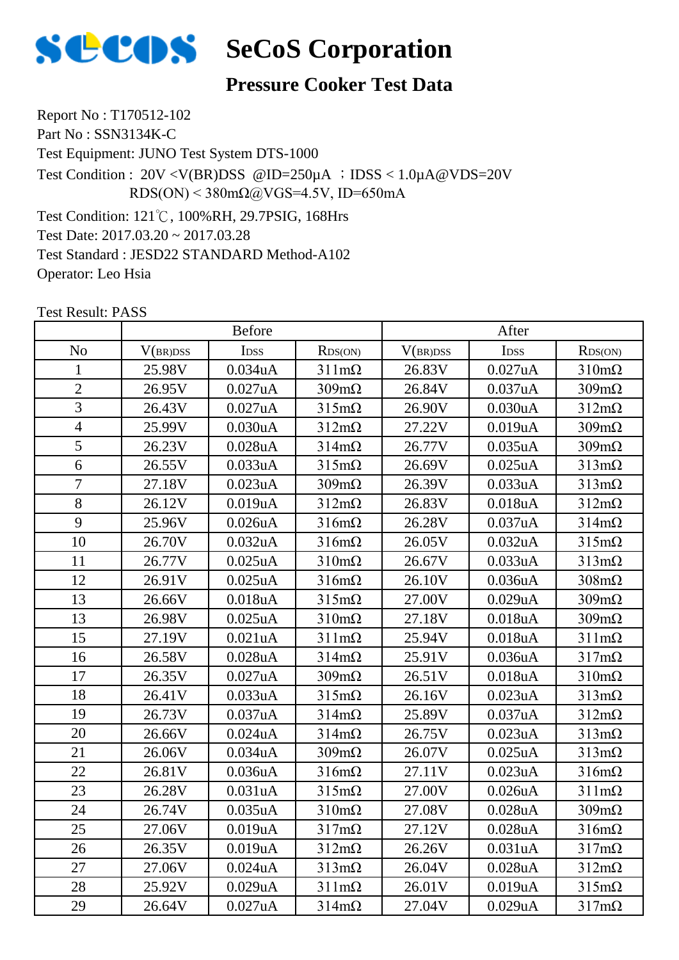

## **Pressure Cooker Test Data**

Report No : T170512-102 Part No : SSN3134K-C Test Equipment: JUNO Test System DTS-1000 Test Condition: 121℃, 100%RH, 29.7PSIG, 168Hrs Test Date: 2017.03.20 ~ 2017.03.28 Test Standard : JESD22 STANDARD Method-A102 Operator: Leo Hsia Test Condition : 20V <V(BR)DSS @ID=250µA ;IDSS < 1.0µA@VDS=20V RDS(ON) <  $380 \text{m}\Omega$ @VGS=4.5V, ID=650mA

|                | <b>Before</b> |                  |                      | After    |            |                      |
|----------------|---------------|------------------|----------------------|----------|------------|----------------------|
| N <sub>o</sub> | V(BR)DSS      | I <sub>DSS</sub> | RDS(ON)              | V(BR)DSS | IDSS       | RDS(ON)              |
| $\mathbf{1}$   | 25.98V        | 0.034uA          | $311 \text{m}\Omega$ | 26.83V   | 0.027uA    | $310 \text{m}\Omega$ |
| $\overline{2}$ | 26.95V        | 0.027uA          | $309m\Omega$         | 26.84V   | 0.037uA    | $309m\Omega$         |
| 3              | 26.43V        | 0.027uA          | $315 \text{m}\Omega$ | 26.90V   | 0.030uA    | $312m\Omega$         |
| $\overline{4}$ | 25.99V        | 0.030uA          | $312m\Omega$         | 27.22V   | 0.019uA    | $309m\Omega$         |
| 5              | 26.23V        | $0.028$ uA       | $314 \text{m}\Omega$ | 26.77V   | 0.035uA    | $309m\Omega$         |
| 6              | 26.55V        | 0.033uA          | $315 \text{m}\Omega$ | 26.69V   | $0.025$ uA | $313m\Omega$         |
| $\overline{7}$ | 27.18V        | 0.023uA          | $309m\Omega$         | 26.39V   | 0.033uA    | $313 \text{mA}$      |
| 8              | 26.12V        | 0.019uA          | $312m\Omega$         | 26.83V   | 0.018uA    | $312m\Omega$         |
| 9              | 25.96V        | $0.026$ u $A$    | $316m\Omega$         | 26.28V   | 0.037uA    | $314 \text{m}\Omega$ |
| 10             | 26.70V        | 0.032uA          | $316m\Omega$         | 26.05V   | 0.032uA    | $315m\Omega$         |
| 11             | 26.77V        | $0.025$ uA       | $310 \text{m}\Omega$ | 26.67V   | 0.033uA    | $313m\Omega$         |
| 12             | 26.91V        | $0.025$ uA       | $316m\Omega$         | 26.10V   | 0.036uA    | $308 \text{m}\Omega$ |
| 13             | 26.66V        | 0.018uA          | $315m\Omega$         | 27.00V   | 0.029uA    | $309 \text{m}\Omega$ |
| 13             | 26.98V        | 0.025uA          | $310 \text{m}\Omega$ | 27.18V   | 0.018uA    | $309 \text{m}\Omega$ |
| 15             | 27.19V        | 0.021uA          | $311 \text{m}\Omega$ | 25.94V   | 0.018uA    | $311 \text{m}\Omega$ |
| 16             | 26.58V        | 0.028uA          | $314m\Omega$         | 25.91V   | 0.036uA    | $317m\Omega$         |
| 17             | 26.35V        | 0.027uA          | $309m\Omega$         | 26.51V   | 0.018uA    | $310 \text{m}\Omega$ |
| 18             | 26.41V        | 0.033uA          | $315 \text{m}\Omega$ | 26.16V   | 0.023uA    | $313 \text{mA}$      |
| 19             | 26.73V        | 0.037uA          | $314 \text{m}\Omega$ | 25.89V   | 0.037uA    | $312m\Omega$         |
| 20             | 26.66V        | $0.024$ u $A$    | $314m\Omega$         | 26.75V   | 0.023uA    | $313 \text{mA}$      |
| 21             | 26.06V        | 0.034uA          | $309m\Omega$         | 26.07V   | $0.025$ uA | $313 \text{mA}$      |
| 22             | 26.81V        | 0.036uA          | $316m\Omega$         | 27.11V   | 0.023uA    | $316m\Omega$         |
| 23             | 26.28V        | 0.031uA          | $315m\Omega$         | 27.00V   | $0.026$ uA | $311 \text{m}\Omega$ |
| 24             | 26.74V        | 0.035uA          | $310 \text{m}\Omega$ | 27.08V   | 0.028uA    | $309 \text{m}\Omega$ |
| 25             | 27.06V        | 0.019uA          | $317m\Omega$         | 27.12V   | 0.028uA    | $316m\Omega$         |
| 26             | 26.35V        | 0.019uA          | $312m\Omega$         | 26.26V   | 0.031uA    | $317m\Omega$         |
| 27             | 27.06V        | $0.024$ u $A$    | $313 \text{mA}$      | 26.04V   | 0.028uA    | $312m\Omega$         |
| 28             | 25.92V        | 0.029uA          | $311 \text{m}\Omega$ | 26.01V   | 0.019uA    | $315 \text{m}\Omega$ |
| 29             | 26.64V        | 0.027uA          | $314m\Omega$         | 27.04V   | 0.029uA    | $317m\Omega$         |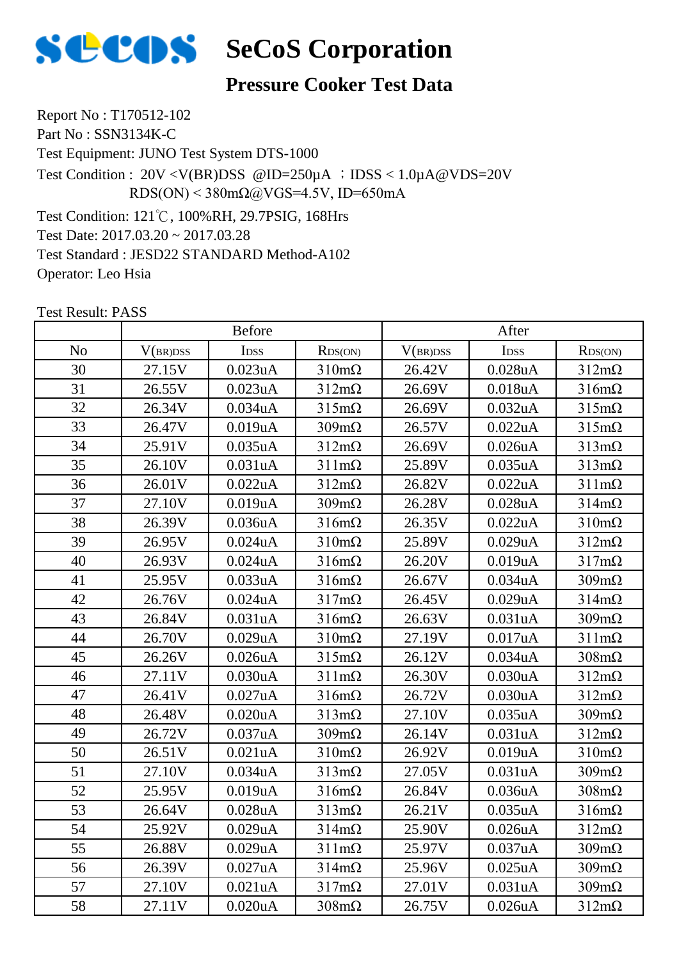

## **Pressure Cooker Test Data**

Report No : T170512-102 Part No : SSN3134K-C Test Equipment: JUNO Test System DTS-1000 Test Condition: 121℃, 100%RH, 29.7PSIG, 168Hrs Test Date: 2017.03.20 ~ 2017.03.28 Test Standard : JESD22 STANDARD Method-A102 Operator: Leo Hsia Test Condition : 20V <V(BR)DSS @ID=250µA ;IDSS < 1.0µA@VDS=20V RDS(ON) <  $380 \text{m}\Omega$ @VGS=4.5V, ID=650mA

|                | Before   |               |                      | After    |               |                      |
|----------------|----------|---------------|----------------------|----------|---------------|----------------------|
| N <sub>o</sub> | V(BR)DSS | IDSS          | RDS(ON)              | V(BR)DSS | IDSS          | RDS(ON)              |
| 30             | 27.15V   | 0.023uA       | $310 \text{m}\Omega$ | 26.42V   | $0.028$ u $A$ | $312m\Omega$         |
| 31             | 26.55V   | 0.023uA       | $312m\Omega$         | 26.69V   | 0.018uA       | $316m\Omega$         |
| 32             | 26.34V   | 0.034uA       | $315 \text{m}\Omega$ | 26.69V   | 0.032uA       | $315 \text{m}\Omega$ |
| 33             | 26.47V   | 0.019uA       | $309m\Omega$         | 26.57V   | 0.022uA       | $315 \text{m}\Omega$ |
| 34             | 25.91V   | 0.035uA       | $312m\Omega$         | 26.69V   | 0.026uA       | $313 \text{mA}$      |
| 35             | 26.10V   | 0.031uA       | $311 \text{m}\Omega$ | 25.89V   | 0.035uA       | $313 \text{mA}$      |
| 36             | 26.01V   | 0.022uA       | $312m\Omega$         | 26.82V   | 0.022uA       | $311 \text{m}\Omega$ |
| 37             | 27.10V   | 0.019uA       | $309m\Omega$         | 26.28V   | 0.028uA       | $314m\Omega$         |
| 38             | 26.39V   | 0.036uA       | $316m\Omega$         | 26.35V   | 0.022uA       | $310 \text{m}\Omega$ |
| 39             | 26.95V   | $0.024$ u $A$ | $310 \text{m}\Omega$ | 25.89V   | 0.029uA       | $312m\Omega$         |
| 40             | 26.93V   | $0.024$ uA    | $316m\Omega$         | 26.20V   | 0.019uA       | $317m\Omega$         |
| 41             | 25.95V   | 0.033uA       | $316m\Omega$         | 26.67V   | 0.034uA       | $309m\Omega$         |
| 42             | 26.76V   | $0.024$ u $A$ | $317m\Omega$         | 26.45V   | 0.029uA       | $314 \text{m}\Omega$ |
| 43             | 26.84V   | 0.031uA       | $316m\Omega$         | 26.63V   | 0.031uA       | $309m\Omega$         |
| 44             | 26.70V   | 0.029uA       | $310 \text{m}\Omega$ | 27.19V   | 0.017uA       | $311 \text{m}\Omega$ |
| 45             | 26.26V   | $0.026$ u $A$ | $315 \text{m}\Omega$ | 26.12V   | 0.034uA       | $308 \text{m}\Omega$ |
| 46             | 27.11V   | 0.030uA       | $311 \text{m}\Omega$ | 26.30V   | 0.030uA       | $312m\Omega$         |
| 47             | 26.41V   | 0.027uA       | $316m\Omega$         | 26.72V   | 0.030uA       | $312m\Omega$         |
| 48             | 26.48V   | 0.020uA       | $313 \text{mA}$      | 27.10V   | $0.035$ uA    | $309 \text{m}\Omega$ |
| 49             | 26.72V   | 0.037uA       | $309 \text{m}\Omega$ | 26.14V   | 0.031uA       | $312m\Omega$         |
| 50             | 26.51V   | 0.021uA       | $310 \text{m}\Omega$ | 26.92V   | 0.019uA       | $310 \text{m}\Omega$ |
| 51             | 27.10V   | 0.034uA       | $313 \text{mA}$      | 27.05V   | 0.031uA       | $309m\Omega$         |
| 52             | 25.95V   | 0.019uA       | $316m\Omega$         | 26.84V   | 0.036uA       | $308 \text{m}\Omega$ |
| 53             | 26.64V   | 0.028uA       | $313 \text{m}\Omega$ | 26.21V   | 0.035uA       | $316m\Omega$         |
| 54             | 25.92V   | 0.029uA       | $314 \text{m}\Omega$ | 25.90V   | $0.026$ uA    | $312 \text{m}\Omega$ |
| 55             | 26.88V   | 0.029uA       | $311 \text{m}\Omega$ | 25.97V   | 0.037uA       | $309m\Omega$         |
| 56             | 26.39V   | 0.027uA       | $314 \text{m}\Omega$ | 25.96V   | 0.025uA       | $309 \text{m}\Omega$ |
| 57             | 27.10V   | 0.021uA       | $317m\Omega$         | 27.01V   | 0.031uA       | $309 \text{m}\Omega$ |
| 58             | 27.11V   | 0.020uA       | $308 \text{m}\Omega$ | 26.75V   | $0.026$ uA    | $312m\Omega$         |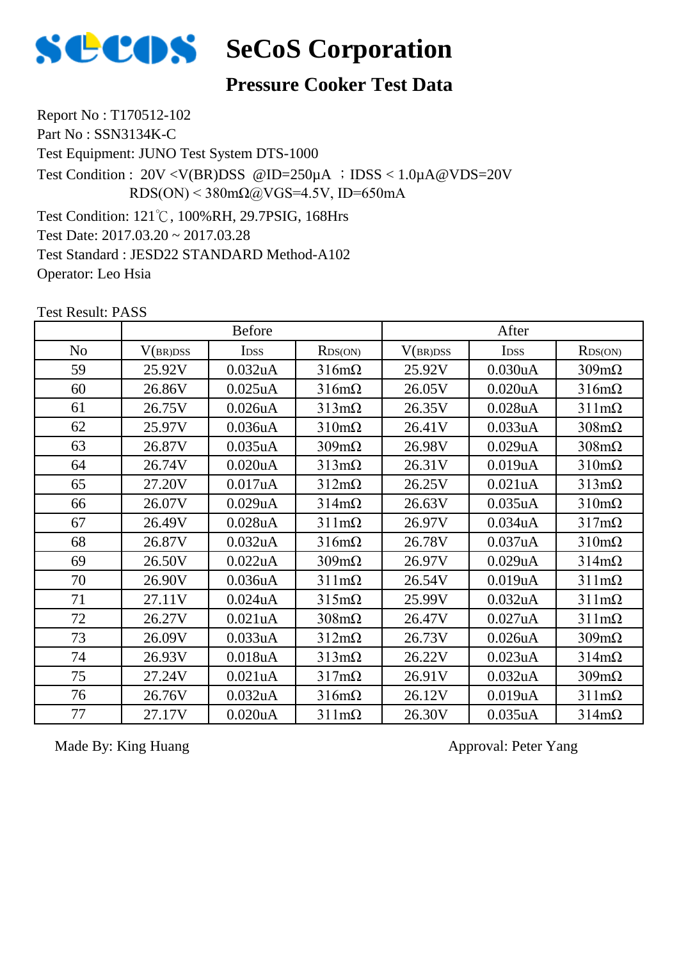

## **Pressure Cooker Test Data**

Report No : T170512-102 Part No : SSN3134K-C Test Equipment: JUNO Test System DTS-1000 Test Condition: 121℃, 100%RH, 29.7PSIG, 168Hrs Test Date: 2017.03.20 ~ 2017.03.28 Test Standard : JESD22 STANDARD Method-A102 Operator: Leo Hsia Test Condition :  $20V < V(BR)DSS$  @ID=250 $\mu$ A ; IDSS < 1.0 $\mu$ A @VDS=20V RDS(ON) <  $380 \text{m}\Omega$  ( $\omega$ VGS=4.5V, ID=650mA

Test Result: PASS

|                | <b>Before</b> |                      |                      | After    |                      |                      |
|----------------|---------------|----------------------|----------------------|----------|----------------------|----------------------|
| N <sub>o</sub> | V(BR)DSS      | <b>IDSS</b>          | RDS(ON)              | V(BR)DSS | <b>IDSS</b>          | RDS(ON)              |
| 59             | 25.92V        | 0.032 <sub>u</sub> A | $316m\Omega$         | 25.92V   | 0.030uA              | $309m\Omega$         |
| 60             | 26.86V        | $0.025$ uA           | $316m\Omega$         | 26.05V   | 0.020 <sub>u</sub> A | $316m\Omega$         |
| 61             | 26.75V        | $0.026$ u $A$        | $313m\Omega$         | 26.35V   | $0.028$ u $A$        | $311 \text{m}\Omega$ |
| 62             | 25.97V        | 0.036 <sub>u</sub> A | $310 \text{m}\Omega$ | 26.41V   | 0.033uA              | $308 \text{m}\Omega$ |
| 63             | 26.87V        | $0.035$ uA           | $309m\Omega$         | 26.98V   | 0.029uA              | $308 \text{m}\Omega$ |
| 64             | 26.74V        | 0.020uA              | $313m\Omega$         | 26.31V   | 0.019uA              | $310 \text{m}\Omega$ |
| 65             | 27.20V        | 0.017uA              | $312m\Omega$         | 26.25V   | 0.021uA              | $313 \text{mA}$      |
| 66             | 26.07V        | 0.029uA              | $314m\Omega$         | 26.63V   | 0.035uA              | $310 \text{m}\Omega$ |
| 67             | 26.49V        | $0.028$ u $A$        | $311 \text{m}\Omega$ | 26.97V   | 0.034uA              | $317m\Omega$         |
| 68             | 26.87V        | 0.032 <sub>u</sub> A | $316m\Omega$         | 26.78V   | 0.037uA              | $310 \text{m}\Omega$ |
| 69             | 26.50V        | 0.022uA              | $309m\Omega$         | 26.97V   | 0.029uA              | $314m\Omega$         |
| 70             | 26.90V        | 0.036 <sub>u</sub> A | $311 \text{m}\Omega$ | 26.54V   | 0.019uA              | $311 \text{m}\Omega$ |
| 71             | 27.11V        | $0.024$ uA           | $315m\Omega$         | 25.99V   | 0.032uA              | $311 \text{m}\Omega$ |
| 72             | 26.27V        | 0.021 <sub>u</sub> A | $308 \text{m}\Omega$ | 26.47V   | 0.027uA              | $311 \text{m}\Omega$ |
| 73             | 26.09V        | 0.033uA              | $312m\Omega$         | 26.73V   | 0.026 <sub>u</sub> A | $309m\Omega$         |
| 74             | 26.93V        | 0.018uA              | $313m\Omega$         | 26.22V   | 0.023uA              | $314m\Omega$         |
| 75             | 27.24V        | 0.021uA              | $317m\Omega$         | 26.91V   | 0.032uA              | $309m\Omega$         |
| 76             | 26.76V        | 0.032uA              | $316m\Omega$         | 26.12V   | 0.019uA              | $311 \text{m}\Omega$ |
| 77             | 27.17V        | 0.020 <sub>u</sub> A | $311 \text{m}\Omega$ | 26.30V   | $0.035$ uA           | $314 \text{m}\Omega$ |

Made By: King Huang Approval: Peter Yang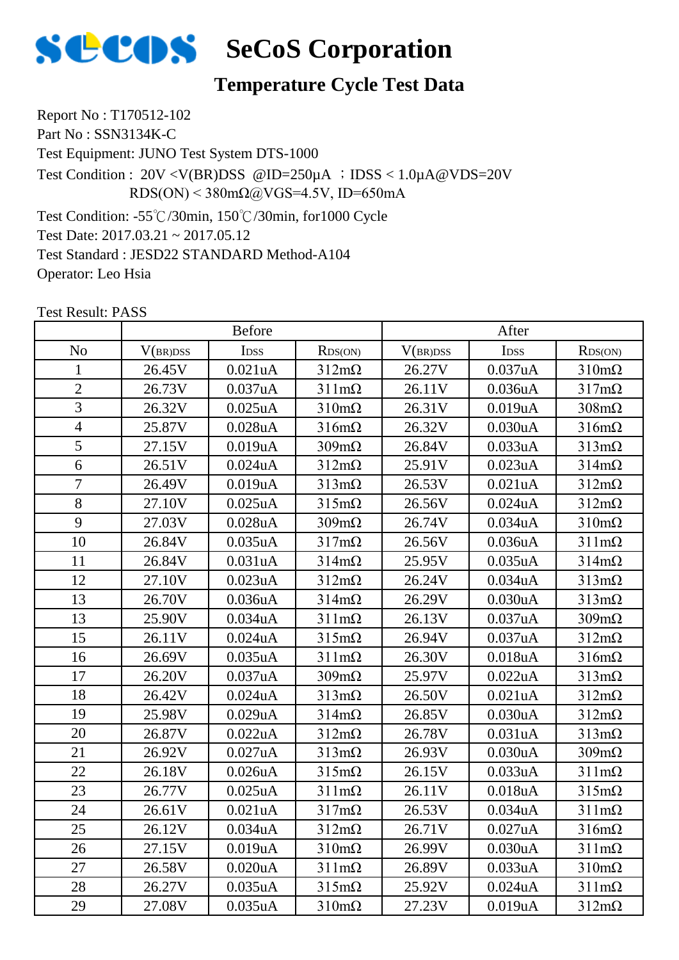

## **Temperature Cycle Test Data**

Report No : T170512-102 Part No : SSN3134K-C Test Equipment: JUNO Test System DTS-1000 Test Condition :  $20V < V(BR)DSS$  @ID=250 $\mu$ A ; IDSS < 1.0 $\mu$ A @VDS=20V RDS(ON) <  $380 \text{m}\Omega$  ( $\omega$ VGS=4.5V, ID=650mA

Test Condition: -55℃/30min, 150℃/30min, for1000 Cycle Test Date: 2017.03.21 ~ 2017.05.12 Test Standard : JESD22 STANDARD Method-A104 Operator: Leo Hsia

|                | <b>Before</b> |               |                      | After    |            |                      |
|----------------|---------------|---------------|----------------------|----------|------------|----------------------|
| N <sub>o</sub> | V(BR)DSS      | IDSS          | RDS(ON)              | V(BR)DSS | IDSS       | RDS(ON)              |
| 1              | 26.45V        | 0.021uA       | $312m\Omega$         | 26.27V   | 0.037uA    | $310 \text{m}\Omega$ |
| $\overline{2}$ | 26.73V        | 0.037uA       | $311 \text{m}\Omega$ | 26.11V   | 0.036uA    | $317m\Omega$         |
| $\overline{3}$ | 26.32V        | $0.025$ uA    | $310 \text{m}\Omega$ | 26.31V   | 0.019uA    | $308 \text{m}\Omega$ |
| $\overline{4}$ | 25.87V        | 0.028uA       | $316m\Omega$         | 26.32V   | 0.030uA    | $316m\Omega$         |
| 5              | 27.15V        | 0.019uA       | $309m\Omega$         | 26.84V   | 0.033uA    | $313 \text{mA}$      |
| 6              | 26.51V        | $0.024$ uA    | $312m\Omega$         | 25.91V   | 0.023uA    | $314m\Omega$         |
| $\overline{7}$ | 26.49V        | 0.019uA       | $313 \text{mA}$      | 26.53V   | 0.021uA    | $312m\Omega$         |
| 8              | 27.10V        | $0.025$ uA    | $315m\Omega$         | 26.56V   | 0.024uA    | $312m\Omega$         |
| 9              | 27.03V        | 0.028uA       | $309 \text{m}\Omega$ | 26.74V   | 0.034uA    | $310 \text{m}\Omega$ |
| 10             | 26.84V        | 0.035uA       | $317m\Omega$         | 26.56V   | 0.036uA    | $311 \text{m}\Omega$ |
| 11             | 26.84V        | 0.031uA       | $314m\Omega$         | 25.95V   | $0.035$ uA | $314m\Omega$         |
| 12             | 27.10V        | 0.023uA       | $312m\Omega$         | 26.24V   | 0.034uA    | $313 \text{mA}$      |
| 13             | 26.70V        | 0.036uA       | $314m\Omega$         | 26.29V   | 0.030uA    | $313 \text{mA}$      |
| 13             | 25.90V        | 0.034uA       | $311 \text{m}\Omega$ | 26.13V   | 0.037uA    | $309m\Omega$         |
| 15             | 26.11V        | $0.024$ uA    | $315 \text{m}\Omega$ | 26.94V   | 0.037uA    | $312m\Omega$         |
| 16             | 26.69V        | 0.035uA       | $311 \text{m}\Omega$ | 26.30V   | 0.018uA    | $316m\Omega$         |
| 17             | 26.20V        | 0.037uA       | $309m\Omega$         | 25.97V   | 0.022uA    | $313 \text{mA}$      |
| 18             | 26.42V        | $0.024$ u $A$ | $313 \text{mA}$      | 26.50V   | 0.021uA    | $312m\Omega$         |
| 19             | 25.98V        | 0.029uA       | $314m\Omega$         | 26.85V   | 0.030uA    | $312m\Omega$         |
| 20             | 26.87V        | 0.022uA       | $312m\Omega$         | 26.78V   | 0.031uA    | $313 \text{mA}$      |
| 21             | 26.92V        | 0.027uA       | $313 \text{mA}$      | 26.93V   | 0.030uA    | $309m\Omega$         |
| 22             | 26.18V        | 0.026uA       | $315 \text{m}\Omega$ | 26.15V   | 0.033uA    | $311 \text{m}\Omega$ |
| 23             | 26.77V        | $0.025$ uA    | $311 \text{m}\Omega$ | 26.11V   | 0.018uA    | $315 \text{m}\Omega$ |
| 24             | 26.61V        | 0.021uA       | $317m\Omega$         | 26.53V   | 0.034uA    | $311 \text{m}\Omega$ |
| 25             | 26.12V        | 0.034uA       | $312m\Omega$         | 26.71V   | 0.027uA    | $316m\Omega$         |
| 26             | 27.15V        | 0.019uA       | $310 \text{m}\Omega$ | 26.99V   | 0.030uA    | $311 \text{m}\Omega$ |
| 27             | 26.58V        | 0.020uA       | $311 \text{m}\Omega$ | 26.89V   | 0.033uA    | $310 \text{m}\Omega$ |
| 28             | 26.27V        | 0.035uA       | $315 \text{m}\Omega$ | 25.92V   | $0.024$ uA | $311 \text{m}\Omega$ |
| 29             | 27.08V        | $0.035$ uA    | $310 \text{m}\Omega$ | 27.23V   | 0.019uA    | $312m\Omega$         |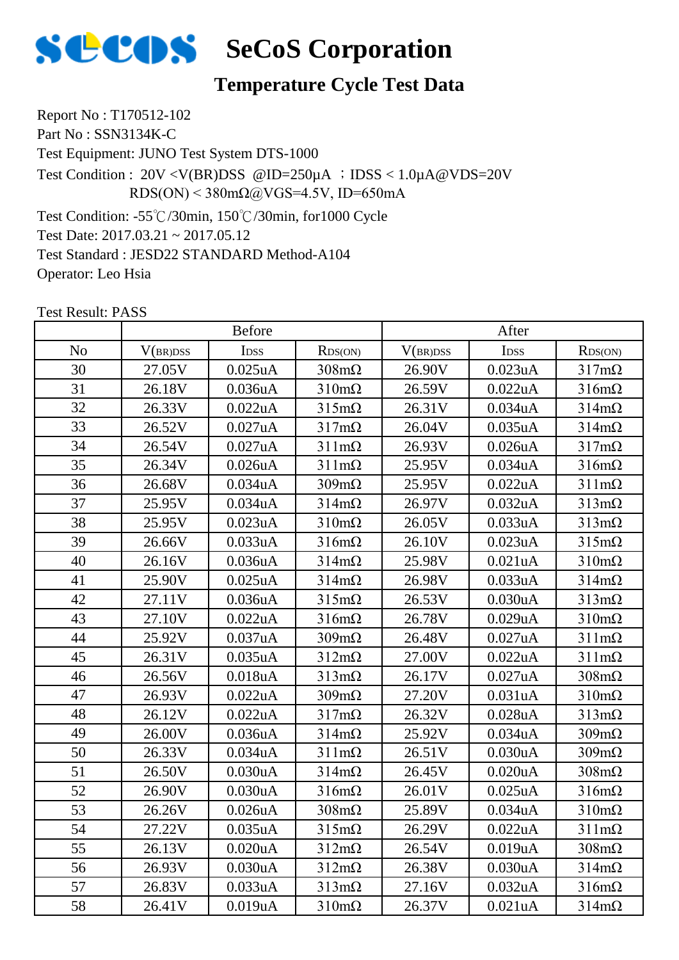

## **Temperature Cycle Test Data**

Report No : T170512-102 Part No : SSN3134K-C Test Equipment: JUNO Test System DTS-1000 Test Condition :  $20V < V(BR)DSS$  @ID=250 $\mu$ A ; IDSS < 1.0 $\mu$ A @VDS=20V RDS(ON) <  $380 \text{m}\Omega$  ( $\omega$ VGS=4.5V, ID=650mA

Test Condition: -55℃/30min, 150℃/30min, for1000 Cycle Test Date: 2017.03.21 ~ 2017.05.12 Test Standard : JESD22 STANDARD Method-A104 Operator: Leo Hsia

|                | <b>Before</b> |               |                      | After    |            |                      |
|----------------|---------------|---------------|----------------------|----------|------------|----------------------|
| N <sub>o</sub> | V(BR)DSS      | IDSS          | RDS(ON)              | V(BR)DSS | IDSS       | RDS(ON)              |
| 30             | 27.05V        | $0.025$ uA    | $308 \text{m}\Omega$ | 26.90V   | 0.023uA    | $317m\Omega$         |
| 31             | 26.18V        | 0.036uA       | $310 \text{m}\Omega$ | 26.59V   | 0.022uA    | $316m\Omega$         |
| 32             | 26.33V        | 0.022uA       | $315 \text{m}\Omega$ | 26.31V   | 0.034uA    | $314m\Omega$         |
| 33             | 26.52V        | 0.027uA       | $317m\Omega$         | 26.04V   | $0.035$ uA | $314m\Omega$         |
| 34             | 26.54V        | 0.027uA       | $311 \text{m}\Omega$ | 26.93V   | 0.026uA    | $317m\Omega$         |
| 35             | 26.34V        | $0.026$ u $A$ | $311 \text{mA}$      | 25.95V   | 0.034uA    | $316m\Omega$         |
| 36             | 26.68V        | 0.034uA       | $309m\Omega$         | 25.95V   | 0.022uA    | $311 \text{m}\Omega$ |
| 37             | 25.95V        | 0.034uA       | $314 \text{m}\Omega$ | 26.97V   | 0.032uA    | $313 \text{mA}$      |
| 38             | 25.95V        | 0.023uA       | $310 \text{m}\Omega$ | 26.05V   | 0.033uA    | $313 \text{mA}$      |
| 39             | 26.66V        | 0.033uA       | $316m\Omega$         | 26.10V   | 0.023uA    | $315m\Omega$         |
| 40             | 26.16V        | $0.036$ u $A$ | $314 \text{m}\Omega$ | 25.98V   | 0.021uA    | $310 \text{m}\Omega$ |
| 41             | 25.90V        | 0.025uA       | $314 \text{m}\Omega$ | 26.98V   | 0.033uA    | $314 \text{m}\Omega$ |
| 42             | 27.11V        | 0.036uA       | $315 \text{m}\Omega$ | 26.53V   | 0.030uA    | $313 \text{mA}$      |
| 43             | 27.10V        | 0.022uA       | $316m\Omega$         | 26.78V   | 0.029uA    | $310 \text{m}\Omega$ |
| 44             | 25.92V        | 0.037uA       | $309m\Omega$         | 26.48V   | 0.027uA    | $311m\Omega$         |
| 45             | 26.31V        | $0.035$ uA    | $312m\Omega$         | 27.00V   | 0.022uA    | $311 \text{m}\Omega$ |
| 46             | 26.56V        | 0.018uA       | $313 \text{mA}$      | 26.17V   | 0.027uA    | $308 \text{m}\Omega$ |
| 47             | 26.93V        | 0.022uA       | $309 \text{mA}$      | 27.20V   | 0.031uA    | $310 \text{m}\Omega$ |
| 48             | 26.12V        | 0.022uA       | $317m\Omega$         | 26.32V   | 0.028uA    | $313 \text{mA}$      |
| 49             | 26.00V        | 0.036uA       | $314 \text{m}\Omega$ | 25.92V   | 0.034uA    | $309m\Omega$         |
| 50             | 26.33V        | 0.034uA       | $311 \text{m}\Omega$ | 26.51V   | 0.030uA    | $309m\Omega$         |
| 51             | 26.50V        | 0.030uA       | $314 \text{m}\Omega$ | 26.45V   | 0.020uA    | $308 \text{m}\Omega$ |
| 52             | 26.90V        | 0.030uA       | $316m\Omega$         | 26.01V   | $0.025$ uA | $316m\Omega$         |
| 53             | 26.26V        | 0.026uA       | $308 \text{m}\Omega$ | 25.89V   | 0.034uA    | $310 \text{m}\Omega$ |
| 54             | 27.22V        | $0.035$ uA    | $315 \text{m}\Omega$ | 26.29V   | 0.022uA    | $311 \text{m}\Omega$ |
| 55             | 26.13V        | 0.020uA       | $312m\Omega$         | 26.54V   | 0.019uA    | $308 \text{m}\Omega$ |
| 56             | 26.93V        | 0.030uA       | $312m\Omega$         | 26.38V   | 0.030uA    | $314 \text{m}\Omega$ |
| 57             | 26.83V        | 0.033uA       | $313 \text{mA}$      | 27.16V   | 0.032uA    | $316m\Omega$         |
| 58             | 26.41V        | 0.019uA       | $310 \text{m}\Omega$ | 26.37V   | 0.021uA    | $314m\Omega$         |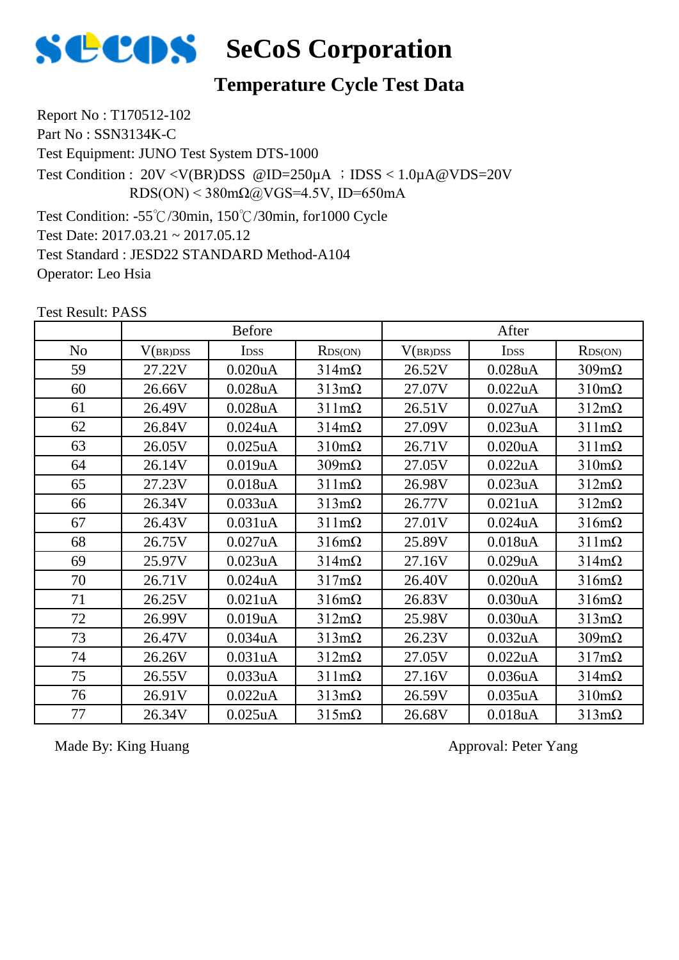

## **Temperature Cycle Test Data**

Report No : T170512-102 Part No : SSN3134K-C Test Equipment: JUNO Test System DTS-1000 Test Condition: -55℃/30min, 150℃/30min, for1000 Cycle Test Condition :  $20V < V(BR)DSS$  @ID=250 $\mu$ A ; IDSS < 1.0 $\mu$ A @VDS=20V RDS(ON) <  $380 \text{m}\Omega$  ( $\omega$ VGS=4.5V, ID=650mA

Test Date: 2017.03.21 ~ 2017.05.12 Test Standard : JESD22 STANDARD Method-A104 Operator: Leo Hsia

Test Result: PASS

|                | <b>Before</b> |                      |                      | After    |                      |                      |
|----------------|---------------|----------------------|----------------------|----------|----------------------|----------------------|
| N <sub>o</sub> | V(BR)DSS      | <b>IDSS</b>          | RDS(ON)              | V(BR)DSS | <b>IDSS</b>          | RDS(ON)              |
| 59             | 27.22V        | 0.020 <sub>u</sub> A | $314m\Omega$         | 26.52V   | $0.028$ u $A$        | $309m\Omega$         |
| 60             | 26.66V        | $0.028$ u $A$        | $313 \text{mA}$      | 27.07V   | 0.022uA              | $310 \text{m}\Omega$ |
| 61             | 26.49V        | $0.028$ u $A$        | $311 \text{m}\Omega$ | 26.51V   | 0.027uA              | $312m\Omega$         |
| 62             | 26.84V        | $0.024$ uA           | $314 \text{m}\Omega$ | 27.09V   | 0.023uA              | $311 \text{m}\Omega$ |
| 63             | 26.05V        | $0.025$ uA           | $310 \text{m}\Omega$ | 26.71V   | $0.020$ u $A$        | $311 \text{m}\Omega$ |
| 64             | 26.14V        | 0.019uA              | $309 \text{mA}$      | 27.05V   | 0.022uA              | $310 \text{m}\Omega$ |
| 65             | 27.23V        | 0.018uA              | $311 \text{mA}$      | 26.98V   | 0.023uA              | $312m\Omega$         |
| 66             | 26.34V        | 0.033uA              | $313 \text{mA}$      | 26.77V   | 0.021uA              | $312m\Omega$         |
| 67             | 26.43V        | 0.031uA              | $311 \text{mA}$      | 27.01V   | $0.024$ uA           | $316m\Omega$         |
| 68             | 26.75V        | 0.027uA              | $316m\Omega$         | 25.89V   | $0.018$ u $A$        | $311 \text{m}\Omega$ |
| 69             | 25.97V        | 0.023uA              | $314 \text{m}\Omega$ | 27.16V   | 0.029uA              | $314m\Omega$         |
| 70             | 26.71V        | $0.024$ u $A$        | $317m\Omega$         | 26.40V   | 0.020 <sub>u</sub> A | $316m\Omega$         |
| 71             | 26.25V        | 0.021uA              | $316m\Omega$         | 26.83V   | 0.030uA              | $316m\Omega$         |
| 72             | 26.99V        | 0.019uA              | $312m\Omega$         | 25.98V   | 0.030uA              | $313 \text{mA}$      |
| 73             | 26.47V        | 0.034 <sub>u</sub> A | $313 \text{mA}$      | 26.23V   | 0.032 <sub>u</sub> A | $309m\Omega$         |
| 74             | 26.26V        | 0.031uA              | $312m\Omega$         | 27.05V   | 0.022uA              | $317m\Omega$         |
| 75             | 26.55V        | 0.033uA              | $311 \text{mA}$      | 27.16V   | 0.036 <sub>u</sub> A | $314m\Omega$         |
| 76             | 26.91V        | 0.022uA              | $313 \text{mA}$      | 26.59V   | 0.035uA              | $310 \text{m}\Omega$ |
| 77             | 26.34V        | $0.025$ uA           | $315 \text{m}\Omega$ | 26.68V   | 0.018uA              | $313 \text{mA}$      |

Made By: King Huang Approval: Peter Yang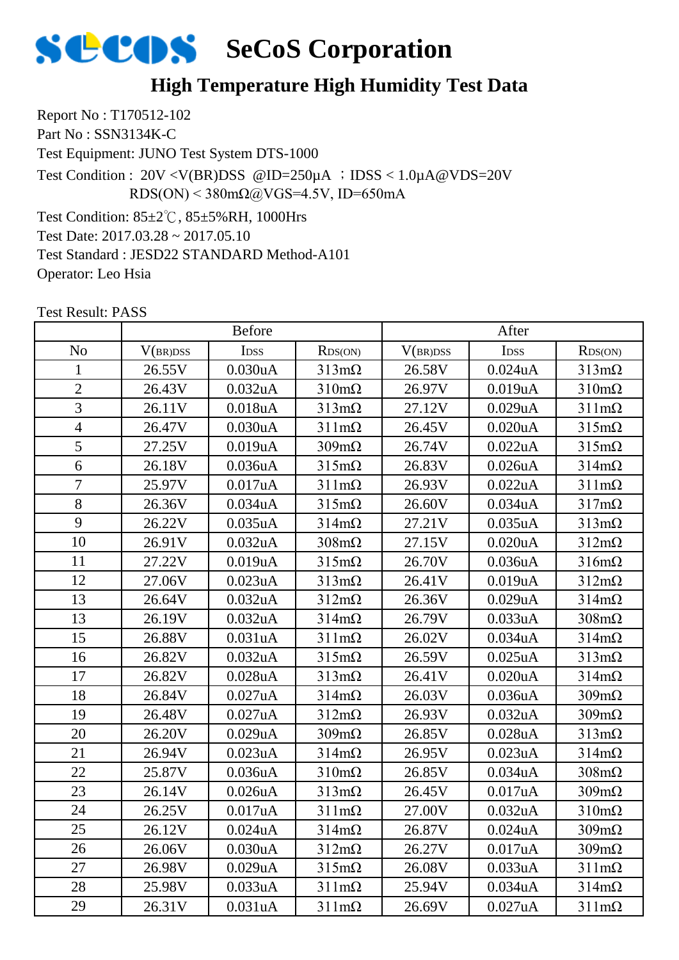

## **High Temperature High Humidity Test Data**

Report No : T170512-102 Part No : SSN3134K-C Test Equipment: JUNO Test System DTS-1000 Test Condition: 85±2℃, 85±5%RH, 1000Hrs Test Date: 2017.03.28 ~ 2017.05.10 Test Standard : JESD22 STANDARD Method-A101 Test Condition : 20V <V(BR)DSS @ID=250µA ;IDSS < 1.0µA@VDS=20V RDS(ON) <  $380 \text{m}\Omega$  (a) VGS=4.5V, ID=650mA

Test Result: PASS

Operator: Leo Hsia

|                | <b>Before</b> |                  |                      | After    |            |                      |
|----------------|---------------|------------------|----------------------|----------|------------|----------------------|
| N <sub>o</sub> | V(BR)DSS      | I <sub>DSS</sub> | RDS(ON)              | V(BR)DSS | IDSS       | RDS(ON)              |
| $\mathbf{1}$   | 26.55V        | 0.030uA          | $313 \text{mA}$      | 26.58V   | $0.024$ uA | $313 \text{mA}$      |
| $\overline{2}$ | 26.43V        | 0.032uA          | $310 \text{m}\Omega$ | 26.97V   | 0.019uA    | $310 \text{m}\Omega$ |
| $\overline{3}$ | 26.11V        | 0.018uA          | $313 \text{mA}$      | 27.12V   | 0.029uA    | $311 \text{m}\Omega$ |
| $\overline{4}$ | 26.47V        | 0.030uA          | $311 \text{m}\Omega$ | 26.45V   | 0.020uA    | $315 \text{m}\Omega$ |
| 5              | 27.25V        | 0.019uA          | $309 \text{m}\Omega$ | 26.74V   | 0.022uA    | $315m\Omega$         |
| 6              | 26.18V        | 0.036uA          | $315 \text{m}\Omega$ | 26.83V   | $0.026$ uA | $314 \text{m}\Omega$ |
| $\overline{7}$ | 25.97V        | 0.017uA          | $311 \text{m}\Omega$ | 26.93V   | 0.022uA    | $311 \text{m}\Omega$ |
| 8              | 26.36V        | 0.034uA          | $315 \text{m}\Omega$ | 26.60V   | 0.034uA    | $317m\Omega$         |
| 9              | 26.22V        | 0.035uA          | $314 \text{m}\Omega$ | 27.21V   | 0.035uA    | $313 \text{mA}$      |
| 10             | 26.91V        | 0.032uA          | $308 \text{m}\Omega$ | 27.15V   | 0.020uA    | $312m\Omega$         |
| 11             | 27.22V        | 0.019uA          | $315m\Omega$         | 26.70V   | 0.036uA    | $316m\Omega$         |
| 12             | 27.06V        | 0.023uA          | $313 \text{mA}$      | 26.41V   | 0.019uA    | $312m\Omega$         |
| 13             | 26.64V        | 0.032uA          | $312m\Omega$         | 26.36V   | 0.029uA    | $314 \text{m}\Omega$ |
| 13             | 26.19V        | 0.032uA          | $314 \text{m}\Omega$ | 26.79V   | 0.033uA    | $308 \text{m}\Omega$ |
| 15             | 26.88V        | 0.031uA          | $311 \text{m}\Omega$ | 26.02V   | 0.034uA    | $314 \text{m}\Omega$ |
| 16             | 26.82V        | 0.032uA          | $315m\Omega$         | 26.59V   | $0.025$ uA | $313 \text{m}\Omega$ |
| 17             | 26.82V        | 0.028uA          | $313 \text{mA}$      | 26.41V   | 0.020uA    | $314 \text{m}\Omega$ |
| 18             | 26.84V        | 0.027uA          | $314 \text{m}\Omega$ | 26.03V   | 0.036uA    | $309m\Omega$         |
| 19             | 26.48V        | 0.027uA          | $312m\Omega$         | 26.93V   | 0.032uA    | $309m\Omega$         |
| 20             | 26.20V        | 0.029uA          | $309m\Omega$         | 26.85V   | 0.028uA    | $313 \text{mA}$      |
| 21             | 26.94V        | 0.023uA          | $314m\Omega$         | 26.95V   | 0.023uA    | $314m\Omega$         |
| 22             | 25.87V        | 0.036uA          | $310 \text{m}\Omega$ | 26.85V   | 0.034uA    | $308 \text{m}\Omega$ |
| 23             | 26.14V        | $0.026$ u $A$    | $313 \text{mA}$      | 26.45V   | 0.017uA    | $309m\Omega$         |
| 24             | 26.25V        | 0.017uA          | $311 \text{m}\Omega$ | 27.00V   | 0.032uA    | $310 \text{m}\Omega$ |
| 25             | 26.12V        | $0.024$ u $A$    | $314 \text{m}\Omega$ | 26.87V   | $0.024$ uA | $309m\Omega$         |
| 26             | 26.06V        | 0.030uA          | $312 \text{m}\Omega$ | 26.27V   | 0.017uA    | $309 \text{m}\Omega$ |
| 27             | 26.98V        | 0.029uA          | $315 \text{m}\Omega$ | 26.08V   | 0.033uA    | $311 \text{m}\Omega$ |
| 28             | 25.98V        | 0.033uA          | $311 \text{m}\Omega$ | 25.94V   | 0.034uA    | $314 \text{m}\Omega$ |
| 29             | 26.31V        | 0.031uA          | $311 \text{m}\Omega$ | 26.69V   | 0.027uA    | $311 \text{m}\Omega$ |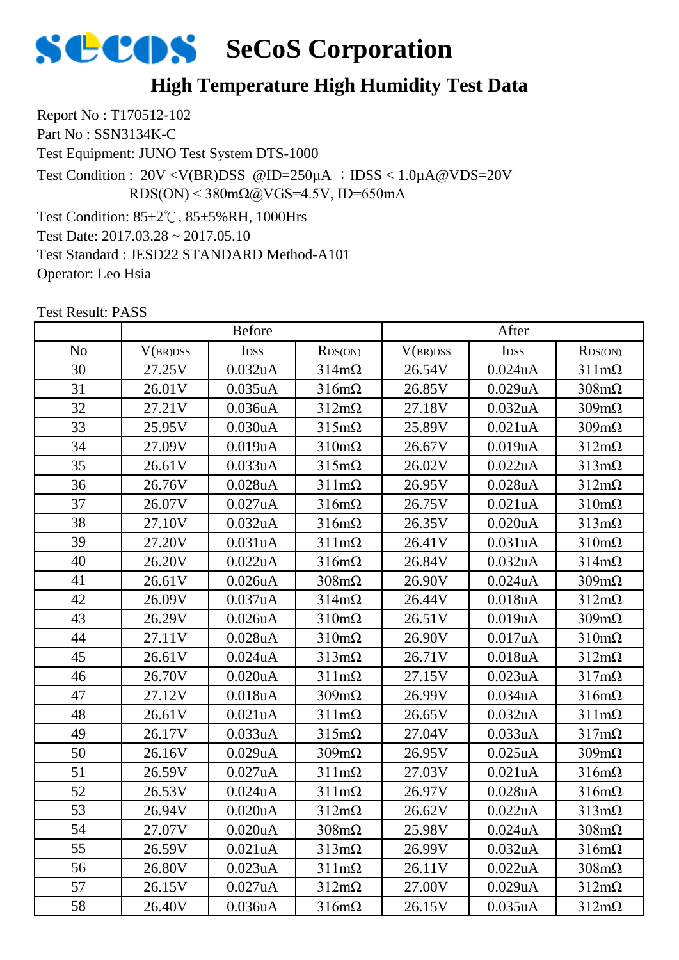

## **High Temperature High Humidity Test Data**

Report No : T170512-102 Part No : SSN3134K-C Test Equipment: JUNO Test System DTS-1000 Test Condition: 85±2℃, 85±5%RH, 1000Hrs Test Date: 2017.03.28 ~ 2017.05.10 Test Standard : JESD22 STANDARD Method-A101 Test Condition : 20V <V(BR)DSS @ID=250µA ;IDSS < 1.0µA@VDS=20V RDS(ON) <  $380 \text{m}\Omega$  (a) VGS=4.5V, ID=650mA

Test Result: PASS

Operator: Leo Hsia

|                | <b>Before</b> |             |                      | After    |                      |                      |
|----------------|---------------|-------------|----------------------|----------|----------------------|----------------------|
| N <sub>o</sub> | V(BR)DSS      | <b>IDSS</b> | RDS(ON)              | V(BR)DSS | <b>IDSS</b>          | RDS(ON)              |
| 30             | 27.25V        | 0.032uA     | $314m\Omega$         | 26.54V   | $0.024$ u $A$        | $311 \text{m}\Omega$ |
| 31             | 26.01V        | 0.035uA     | $316m\Omega$         | 26.85V   | 0.029uA              | $308 \text{m}\Omega$ |
| 32             | 27.21V        | 0.036uA     | $312m\Omega$         | 27.18V   | 0.032 <sub>u</sub> A | $309m\Omega$         |
| 33             | 25.95V        | 0.030uA     | $315 \text{m}\Omega$ | 25.89V   | 0.021uA              | $309m\Omega$         |
| 34             | 27.09V        | 0.019uA     | $310 \text{m}\Omega$ | 26.67V   | 0.019uA              | $312m\Omega$         |
| 35             | 26.61V        | 0.033uA     | $315m\Omega$         | 26.02V   | 0.022uA              | $313 \text{mA}$      |
| 36             | 26.76V        | 0.028uA     | $311 \text{m}\Omega$ | 26.95V   | $0.028$ u $A$        | $312m\Omega$         |
| 37             | 26.07V        | 0.027uA     | $316m\Omega$         | 26.75V   | 0.021uA              | $310 \text{m}\Omega$ |
| 38             | 27.10V        | 0.032uA     | $316m\Omega$         | 26.35V   | $0.020$ u $A$        | $313 \text{mA}$      |
| 39             | 27.20V        | 0.031uA     | $311 \text{m}\Omega$ | 26.41V   | 0.031uA              | $310 \text{m}\Omega$ |
| 40             | 26.20V        | 0.022uA     | $316m\Omega$         | 26.84V   | 0.032 <sub>u</sub> A | $314 \text{m}\Omega$ |
| 41             | 26.61V        | 0.026uA     | $308 \text{m}\Omega$ | 26.90V   | $0.024$ uA           | $309m\Omega$         |
| 42             | 26.09V        | 0.037uA     | $314m\Omega$         | 26.44V   | 0.018 <sub>u</sub> A | $312m\Omega$         |
| 43             | 26.29V        | 0.026uA     | $310 \text{m}\Omega$ | 26.51V   | 0.019uA              | $309m\Omega$         |
| 44             | 27.11V        | 0.028uA     | $310 \text{m}\Omega$ | 26.90V   | 0.017uA              | $310 \text{m}\Omega$ |
| 45             | 26.61V        | $0.024$ uA  | $313 \text{mA}$      | 26.71V   | $0.018$ u $A$        | $312m\Omega$         |
| 46             | 26.70V        | 0.020uA     | $311 \text{m}\Omega$ | 27.15V   | 0.023uA              | $317m\Omega$         |
| 47             | 27.12V        | 0.018uA     | $309m\Omega$         | 26.99V   | 0.034 <sub>u</sub> A | $316m\Omega$         |
| 48             | 26.61V        | 0.021uA     | $311 \text{m}\Omega$ | 26.65V   | 0.032uA              | $311 \text{m}\Omega$ |
| 49             | 26.17V        | 0.033uA     | $315 \text{m}\Omega$ | 27.04V   | 0.033uA              | $317m\Omega$         |
| 50             | 26.16V        | 0.029uA     | $309m\Omega$         | 26.95V   | $0.025$ uA           | $309m\Omega$         |
| 51             | 26.59V        | 0.027uA     | $311 \text{m}\Omega$ | 27.03V   | 0.021uA              | $316m\Omega$         |
| 52             | 26.53V        | $0.024$ uA  | $311 \text{m}\Omega$ | 26.97V   | $0.028$ u $A$        | $316m\Omega$         |
| 53             | 26.94V        | 0.020uA     | $312m\Omega$         | 26.62V   | 0.022uA              | $313 \text{mA}$      |
| 54             | 27.07V        | 0.020uA     | $308 \text{m}\Omega$ | 25.98V   | 0.024uA              | $308 \text{m}\Omega$ |
| 55             | 26.59V        | 0.021uA     | $313 \text{mA}$      | 26.99V   | 0.032 <sub>u</sub> A | $316m\Omega$         |
| 56             | 26.80V        | 0.023uA     | $311 \text{m}\Omega$ | 26.11V   | $0.022$ uA           | $308 \text{m}\Omega$ |
| 57             | 26.15V        | 0.027uA     | $312m\Omega$         | 27.00V   | 0.029uA              | $312m\Omega$         |
| 58             | 26.40V        | 0.036uA     | $316m\Omega$         | 26.15V   | $0.035$ uA           | $312m\Omega$         |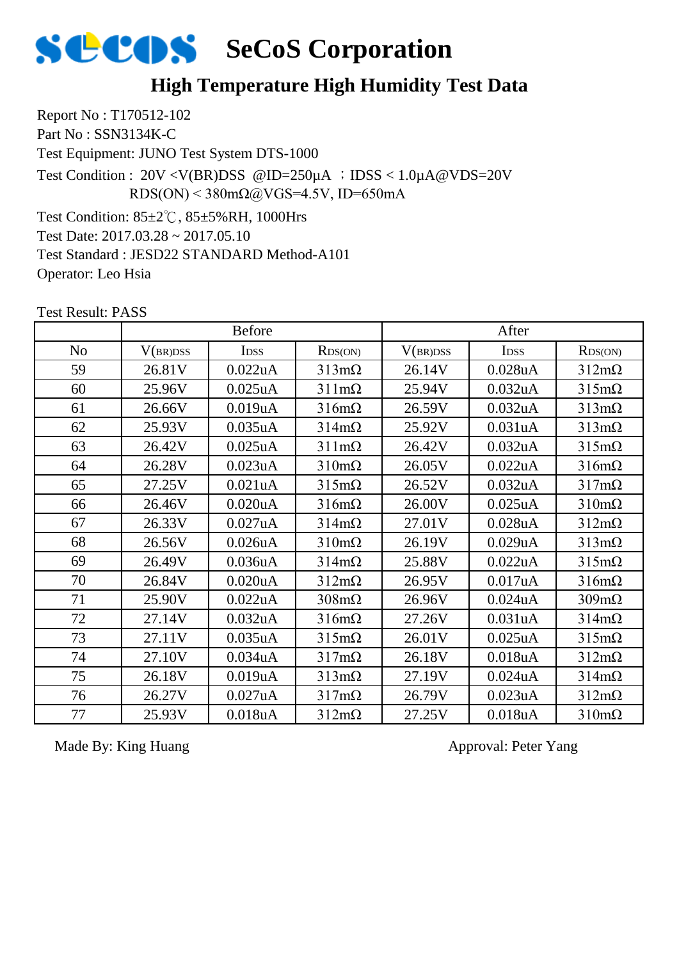

## **High Temperature High Humidity Test Data**

Report No : T170512-102 Part No : SSN3134K-C Test Equipment: JUNO Test System DTS-1000 Test Condition: 85±2℃, 85±5%RH, 1000Hrs Test Date: 2017.03.28 ~ 2017.05.10 Test Standard : JESD22 STANDARD Method-A101 Operator: Leo Hsia Test Condition : 20V <V(BR)DSS @ID=250µA ;IDSS < 1.0µA@VDS=20V  $RDS(ON)$  < 380m $\Omega$ @VGS=4.5V, ID=650mA

Test Result: PASS

|                | <b>Before</b> |             |                      | After    |                      |                      |
|----------------|---------------|-------------|----------------------|----------|----------------------|----------------------|
| N <sub>o</sub> | V(BR)DSS      | <b>IDSS</b> | RDS(ON)              | V(BR)DSS | <b>IDSS</b>          | RDS(ON)              |
| 59             | 26.81V        | 0.022uA     | $313m\Omega$         | 26.14V   | $0.028$ u $A$        | $312m\Omega$         |
| 60             | 25.96V        | $0.025$ uA  | $311 \text{m}\Omega$ | 25.94V   | 0.032 <sub>u</sub> A | $315m\Omega$         |
| 61             | 26.66V        | 0.019uA     | $316m\Omega$         | 26.59V   | 0.032 <sub>u</sub> A | $313 \text{mA}$      |
| 62             | 25.93V        | 0.035uA     | $314 \text{m}\Omega$ | 25.92V   | 0.031uA              | $313 \text{mA}$      |
| 63             | 26.42V        | $0.025$ uA  | $311 \text{mA}$      | 26.42V   | 0.032 <sub>u</sub> A | $315m\Omega$         |
| 64             | 26.28V        | 0.023uA     | $310 \text{m}\Omega$ | 26.05V   | 0.022uA              | $316m\Omega$         |
| 65             | 27.25V        | 0.021uA     | $315 \text{m}\Omega$ | 26.52V   | 0.032uA              | $317m\Omega$         |
| 66             | 26.46V        | 0.020uA     | $316m\Omega$         | 26.00V   | $0.025$ uA           | $310 \text{m}\Omega$ |
| 67             | 26.33V        | 0.027uA     | $314 \text{m}\Omega$ | 27.01V   | $0.028$ u $A$        | $312m\Omega$         |
| 68             | 26.56V        | 0.026uA     | $310 \text{m}\Omega$ | 26.19V   | 0.029uA              | $313 \text{mA}$      |
| 69             | 26.49V        | 0.036uA     | $314m\Omega$         | 25.88V   | 0.022uA              | $315m\Omega$         |
| 70             | 26.84V        | 0.020uA     | $312m\Omega$         | 26.95V   | 0.017uA              | $316m\Omega$         |
| 71             | 25.90V        | 0.022uA     | $308 \text{m}\Omega$ | 26.96V   | $0.024$ uA           | $309m\Omega$         |
| 72             | 27.14V        | 0.032uA     | $316m\Omega$         | 27.26V   | 0.031uA              | $314m\Omega$         |
| 73             | 27.11V        | 0.035uA     | $315 \text{m}\Omega$ | 26.01V   | $0.025$ uA           | $315m\Omega$         |
| 74             | 27.10V        | 0.034uA     | $317m\Omega$         | 26.18V   | 0.018uA              | $312m\Omega$         |
| 75             | 26.18V        | 0.019uA     | $313 \text{mA}$      | 27.19V   | $0.024$ u $A$        | $314m\Omega$         |
| 76             | 26.27V        | 0.027uA     | $317m\Omega$         | 26.79V   | 0.023uA              | $312m\Omega$         |
| 77             | 25.93V        | 0.018uA     | $312m\Omega$         | 27.25V   | 0.018 <sub>u</sub> A | $310 \text{m}\Omega$ |

Made By: King Huang Approval: Peter Yang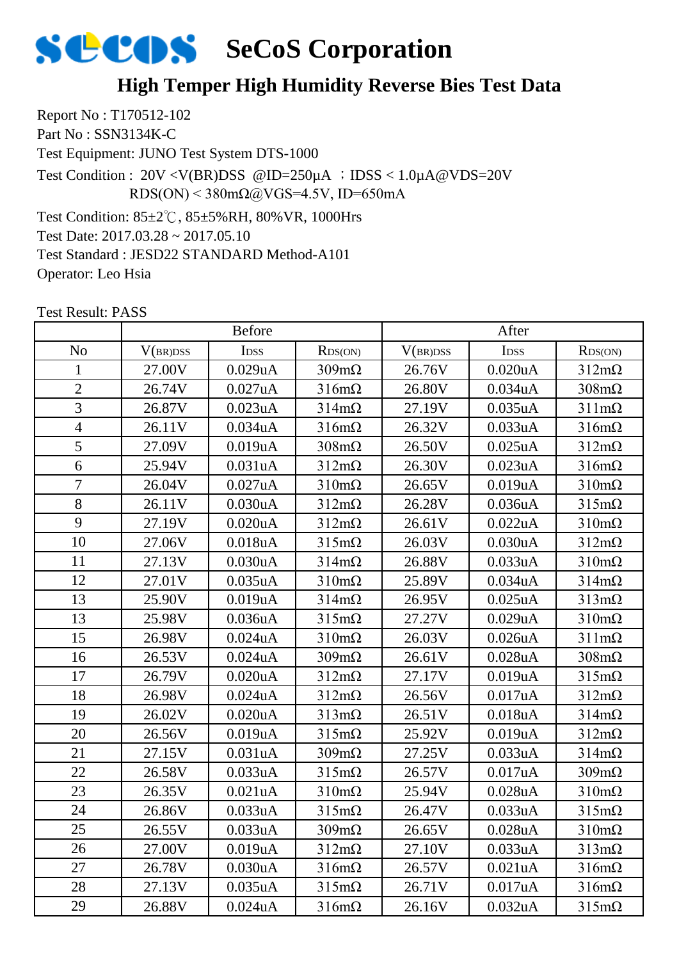## **High Temper High Humidity Reverse Bies Test Data**

Report No : T170512-102 Part No : SSN3134K-C Test Equipment: JUNO Test System DTS-1000 Test Condition: 85±2℃, 85±5%RH, 80%VR, 1000Hrs Test Date: 2017.03.28 ~ 2017.05.10 Test Standard : JESD22 STANDARD Method-A101 Operator: Leo Hsia Test Condition : 20V <V(BR)DSS @ID=250µA ;IDSS < 1.0µA@VDS=20V RDS(ON) <  $380 \text{m}\Omega$  (a) VGS=4.5V, ID=650mA

|                | <b>Before</b> |                      |                      | After    |                  |                      |
|----------------|---------------|----------------------|----------------------|----------|------------------|----------------------|
| N <sub>o</sub> | V(BR)DSS      | I <sub>DSS</sub>     | RDS(ON)              | V(BR)DSS | I <sub>DSS</sub> | RDS(ON)              |
| 1              | 27.00V        | 0.029uA              | $309m\Omega$         | 26.76V   | 0.020uA          | $312m\Omega$         |
| $\overline{2}$ | 26.74V        | 0.027uA              | $316m\Omega$         | 26.80V   | 0.034uA          | $308 \text{m}\Omega$ |
| $\overline{3}$ | 26.87V        | 0.023uA              | $314 \text{m}\Omega$ | 27.19V   | $0.035$ uA       | $311 \text{m}\Omega$ |
| $\overline{4}$ | 26.11V        | 0.034uA              | $316m\Omega$         | 26.32V   | 0.033uA          | $316m\Omega$         |
| 5              | 27.09V        | 0.019uA              | $308 \text{m}\Omega$ | 26.50V   | $0.025$ uA       | $312m\Omega$         |
| 6              | 25.94V        | 0.031uA              | $312m\Omega$         | 26.30V   | 0.023uA          | $316m\Omega$         |
| $\overline{7}$ | 26.04V        | 0.027uA              | $310 \text{m}\Omega$ | 26.65V   | 0.019uA          | $310 \text{m}\Omega$ |
| 8              | 26.11V        | 0.030 <sub>u</sub> A | $312m\Omega$         | 26.28V   | $0.036$ u $A$    | $315 \text{m}\Omega$ |
| 9              | 27.19V        | 0.020uA              | $312m\Omega$         | 26.61V   | 0.022uA          | $310 \text{m}\Omega$ |
| 10             | 27.06V        | 0.018uA              | $315 \text{m}\Omega$ | 26.03V   | 0.030uA          | $312m\Omega$         |
| 11             | 27.13V        | 0.030uA              | $314 \text{m}\Omega$ | 26.88V   | 0.033uA          | $310 \text{m}\Omega$ |
| 12             | 27.01V        | 0.035uA              | $310 \text{m}\Omega$ | 25.89V   | 0.034uA          | $314 \text{m}\Omega$ |
| 13             | 25.90V        | 0.019uA              | $314 \text{m}\Omega$ | 26.95V   | $0.025$ uA       | $313 \text{mA}$      |
| 13             | 25.98V        | 0.036uA              | $315 \text{m}\Omega$ | 27.27V   | 0.029uA          | $310 \text{m}\Omega$ |
| 15             | 26.98V        | $0.024$ uA           | $310 \text{m}\Omega$ | 26.03V   | 0.026uA          | $311 \text{m}\Omega$ |
| 16             | 26.53V        | $0.024$ u $A$        | $309m\Omega$         | 26.61V   | $0.028$ u $A$    | $308 \text{m}\Omega$ |
| 17             | 26.79V        | 0.020uA              | $312m\Omega$         | 27.17V   | 0.019uA          | $315m\Omega$         |
| 18             | 26.98V        | $0.024$ u $A$        | $312m\Omega$         | 26.56V   | 0.017uA          | $312m\Omega$         |
| 19             | 26.02V        | 0.020uA              | $313 \text{mA}$      | 26.51V   | 0.018uA          | $314 \text{m}\Omega$ |
| 20             | 26.56V        | 0.019uA              | $315 \text{m}\Omega$ | 25.92V   | 0.019uA          | $312m\Omega$         |
| 21             | 27.15V        | 0.031uA              | $309m\Omega$         | 27.25V   | 0.033uA          | $314m\Omega$         |
| 22             | 26.58V        | 0.033uA              | $315 \text{m}\Omega$ | 26.57V   | 0.017uA          | $309m\Omega$         |
| 23             | 26.35V        | 0.021uA              | $310 \text{m}\Omega$ | 25.94V   | $0.028$ uA       | $310 \text{m}\Omega$ |
| 24             | 26.86V        | 0.033uA              | $315 \text{m}\Omega$ | 26.47V   | 0.033uA          | $315 \text{m}\Omega$ |
| 25             | 26.55V        | 0.033uA              | $309 \text{m}\Omega$ | 26.65V   | 0.028uA          | $310 \text{m}\Omega$ |
| 26             | 27.00V        | 0.019uA              | $312m\Omega$         | 27.10V   | 0.033uA          | $313 \text{mA}$      |
| 27             | 26.78V        | 0.030uA              | $316m\Omega$         | 26.57V   | 0.021uA          | $316m\Omega$         |
| 28             | 27.13V        | 0.035uA              | $315 \text{m}\Omega$ | 26.71V   | 0.017uA          | $316m\Omega$         |
| 29             | 26.88V        | $0.024$ u $A$        | $316m\Omega$         | 26.16V   | 0.032uA          | $315m\Omega$         |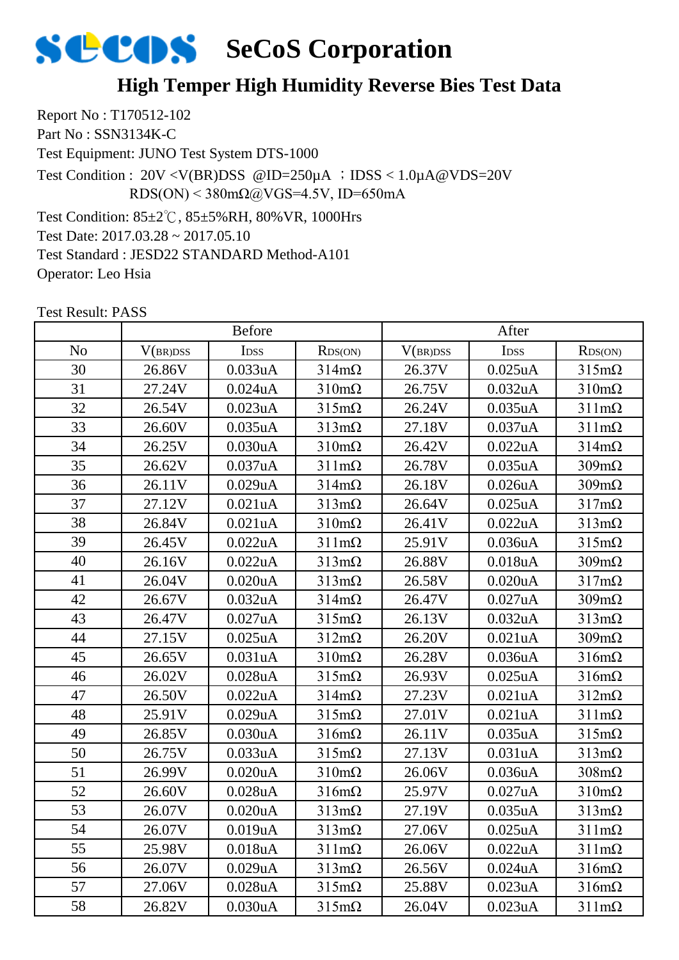## **High Temper High Humidity Reverse Bies Test Data**

Report No : T170512-102 Part No : SSN3134K-C Test Equipment: JUNO Test System DTS-1000 Test Condition: 85±2℃, 85±5%RH, 80%VR, 1000Hrs Test Date: 2017.03.28 ~ 2017.05.10 Test Standard : JESD22 STANDARD Method-A101 Operator: Leo Hsia Test Condition : 20V <V(BR)DSS @ID=250µA ;IDSS < 1.0µA@VDS=20V RDS(ON) <  $380 \text{m}\Omega$  (a) VGS=4.5V, ID=650mA

|                | <b>Before</b> |                      |                      | After    |                      |                      |
|----------------|---------------|----------------------|----------------------|----------|----------------------|----------------------|
| N <sub>o</sub> | V(BR)DSS      | IDSS                 | RDS(ON)              | V(BR)DSS | I <sub>DSS</sub>     | RDS(ON)              |
| 30             | 26.86V        | 0.033uA              | $314m\Omega$         | 26.37V   | $0.025$ uA           | $315 \text{m}\Omega$ |
| 31             | 27.24V        | $0.024$ uA           | $310 \text{m}\Omega$ | 26.75V   | 0.032uA              | $310 \text{m}\Omega$ |
| 32             | 26.54V        | 0.023uA              | $315m\Omega$         | 26.24V   | 0.035uA              | $311 \text{m}\Omega$ |
| 33             | 26.60V        | 0.035uA              | $313 \text{mA}$      | 27.18V   | 0.037uA              | $311 \text{m}\Omega$ |
| 34             | 26.25V        | 0.030uA              | $310 \text{m}\Omega$ | 26.42V   | 0.022uA              | $314m\Omega$         |
| 35             | 26.62V        | 0.037uA              | $311 \text{mA}$      | 26.78V   | 0.035uA              | $309m\Omega$         |
| 36             | 26.11V        | 0.029uA              | $314 \text{m}\Omega$ | 26.18V   | 0.026 <sub>u</sub> A | $309m\Omega$         |
| 37             | 27.12V        | 0.021uA              | $313 \text{mA}$      | 26.64V   | $0.025$ uA           | $317m\Omega$         |
| 38             | 26.84V        | 0.021uA              | $310 \text{m}\Omega$ | 26.41V   | 0.022uA              | $313 \text{mA}$      |
| 39             | 26.45V        | 0.022uA              | $311 \text{mA}$      | 25.91V   | 0.036uA              | $315 \text{m}\Omega$ |
| 40             | 26.16V        | 0.022uA              | $313 \text{mA}$      | 26.88V   | 0.018uA              | $309m\Omega$         |
| 41             | 26.04V        | 0.020uA              | $313 \text{m}\Omega$ | 26.58V   | $0.020$ uA           | $317m\Omega$         |
| 42             | 26.67V        | 0.032uA              | $314 \text{m}\Omega$ | 26.47V   | 0.027uA              | $309m\Omega$         |
| 43             | 26.47V        | 0.027uA              | $315 \text{m}\Omega$ | 26.13V   | 0.032uA              | $313 \text{mA}$      |
| 44             | 27.15V        | $0.025$ uA           | $312m\Omega$         | 26.20V   | 0.021uA              | $309m\Omega$         |
| 45             | 26.65V        | 0.031uA              | $310 \text{m}\Omega$ | 26.28V   | 0.036uA              | $316m\Omega$         |
| 46             | 26.02V        | $0.028$ uA           | $315 \text{m}\Omega$ | 26.93V   | $0.025$ uA           | $316m\Omega$         |
| 47             | 26.50V        | 0.022uA              | $314 \text{m}\Omega$ | 27.23V   | 0.021uA              | $312m\Omega$         |
| 48             | 25.91V        | 0.029uA              | $315 \text{m}\Omega$ | 27.01V   | 0.021uA              | $311 \text{m}\Omega$ |
| 49             | 26.85V        | 0.030uA              | $316m\Omega$         | 26.11V   | $0.035$ uA           | $315 \text{m}\Omega$ |
| 50             | 26.75V        | 0.033uA              | $315 \text{m}\Omega$ | 27.13V   | 0.031uA              | $313 \text{mA}$      |
| 51             | 26.99V        | 0.020uA              | $310 \text{m}\Omega$ | 26.06V   | 0.036uA              | $308 \text{m}\Omega$ |
| 52             | 26.60V        | 0.028uA              | $316m\Omega$         | 25.97V   | 0.027uA              | $310 \text{m}\Omega$ |
| 53             | 26.07V        | 0.020uA              | $313 \text{mA}$      | 27.19V   | 0.035uA              | $313 \text{mA}$      |
| 54             | 26.07V        | 0.019uA              | $313 \text{mA}$      | 27.06V   | 0.025uA              | $311 \text{m}\Omega$ |
| 55             | 25.98V        | 0.018 <sub>u</sub> A | $311 \text{m}\Omega$ | 26.06V   | 0.022uA              | $311 \text{m}\Omega$ |
| 56             | 26.07V        | 0.029uA              | $313 \text{mA}$      | 26.56V   | $0.024$ uA           | $316m\Omega$         |
| 57             | 27.06V        | 0.028uA              | $315 \text{m}\Omega$ | 25.88V   | 0.023uA              | $316m\Omega$         |
| 58             | 26.82V        | 0.030uA              | $315 \text{m}\Omega$ | 26.04V   | 0.023uA              | $311 \text{m}\Omega$ |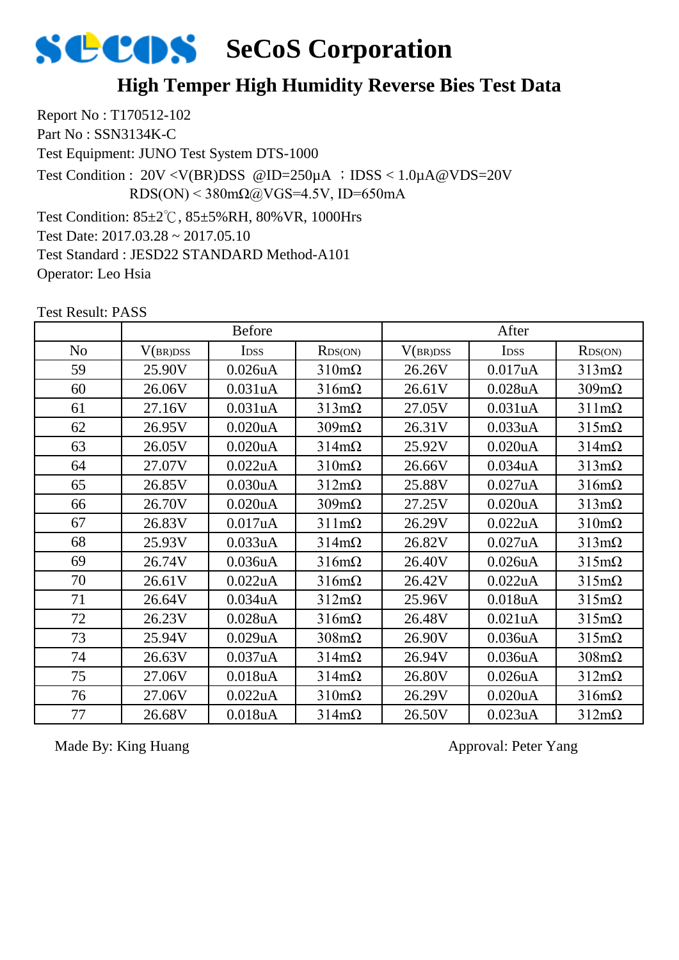## **High Temper High Humidity Reverse Bies Test Data**

Report No : T170512-102 Part No : SSN3134K-C Test Equipment: JUNO Test System DTS-1000 Test Condition: 85±2℃, 85±5%RH, 80%VR, 1000Hrs Test Date: 2017.03.28 ~ 2017.05.10 Test Standard : JESD22 STANDARD Method-A101 Operator: Leo Hsia Test Condition : 20V <V(BR)DSS @ID=250µA ;IDSS < 1.0µA@VDS=20V RDS(ON) <  $380 \text{m}\Omega$  ( $\omega$ VGS=4.5V, ID=650mA

Test Result: PASS

|                | <b>Before</b> |                      |                      | After    |                      |                      |
|----------------|---------------|----------------------|----------------------|----------|----------------------|----------------------|
| N <sub>o</sub> | V(BR)DSS      | <b>IDSS</b>          | RDS(ON)              | V(BR)DSS | <b>IDSS</b>          | RDS(ON)              |
| 59             | 25.90V        | 0.026uA              | $310 \text{m}\Omega$ | 26.26V   | 0.017uA              | $313 \text{mA}$      |
| 60             | 26.06V        | 0.031uA              | $316m\Omega$         | 26.61V   | $0.028$ u $A$        | $309m\Omega$         |
| 61             | 27.16V        | 0.031uA              | $313 \text{mA}$      | 27.05V   | 0.031uA              | $311 \text{m}\Omega$ |
| 62             | 26.95V        | 0.020 <sub>u</sub> A | $309m\Omega$         | 26.31V   | 0.033uA              | $315m\Omega$         |
| 63             | 26.05V        | 0.020uA              | $314m\Omega$         | 25.92V   | 0.020 <sub>u</sub> A | $314m\Omega$         |
| 64             | 27.07V        | 0.022uA              | $310 \text{m}\Omega$ | 26.66V   | 0.034 <sub>u</sub> A | $313 \text{mA}$      |
| 65             | 26.85V        | 0.030uA              | $312m\Omega$         | 25.88V   | 0.027uA              | $316m\Omega$         |
| 66             | 26.70V        | 0.020uA              | $309m\Omega$         | 27.25V   | $0.020$ u $A$        | $313 \text{m}\Omega$ |
| 67             | 26.83V        | 0.017uA              | $311 \text{mA}$      | 26.29V   | 0.022uA              | $310 \text{m}\Omega$ |
| 68             | 25.93V        | 0.033uA              | $314 \text{m}\Omega$ | 26.82V   | 0.027uA              | $313 \text{mA}$      |
| 69             | 26.74V        | 0.036uA              | $316m\Omega$         | 26.40V   | $0.026$ uA           | $315m\Omega$         |
| 70             | 26.61V        | 0.022uA              | $316m\Omega$         | 26.42V   | 0.022uA              | $315m\Omega$         |
| 71             | 26.64V        | 0.034uA              | $312m\Omega$         | 25.96V   | 0.018uA              | $315m\Omega$         |
| 72             | 26.23V        | 0.028uA              | $316m\Omega$         | 26.48V   | 0.021uA              | $315m\Omega$         |
| 73             | 25.94V        | 0.029uA              | $308 \text{m}\Omega$ | 26.90V   | 0.036 <sub>u</sub> A | $315m\Omega$         |
| 74             | 26.63V        | 0.037uA              | $314m\Omega$         | 26.94V   | 0.036uA              | $308 \text{m}\Omega$ |
| 75             | 27.06V        | 0.018uA              | $314 \text{m}\Omega$ | 26.80V   | $0.026$ uA           | $312m\Omega$         |
| 76             | 27.06V        | 0.022uA              | $310 \text{m}\Omega$ | 26.29V   | 0.020 <sub>u</sub> A | $316m\Omega$         |
| 77             | 26.68V        | 0.018uA              | $314m\Omega$         | 26.50V   | 0.023uA              | $312m\Omega$         |

Made By: King Huang Approval: Peter Yang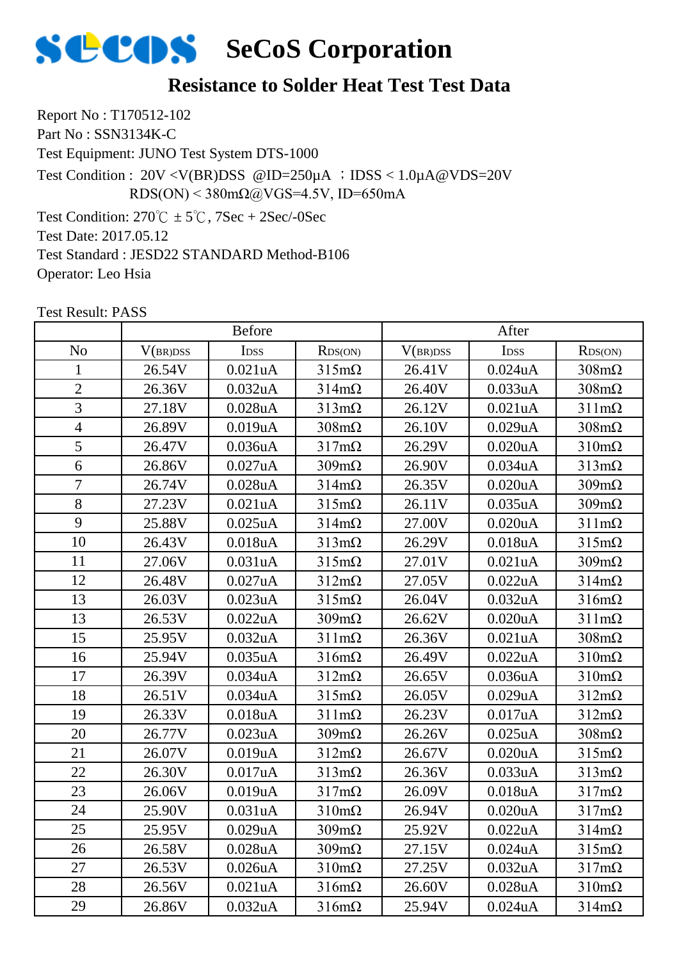### **Resistance to Solder Heat Test Test Data**

Report No : T170512-102 Part No : SSN3134K-C

Test Equipment: JUNO Test System DTS-1000

Test Condition : 20V <V(BR)DSS @ID=250µA ;IDSS < 1.0µA@VDS=20V RDS(ON) <  $380 \text{m}\Omega$ @VGS=4.5V, ID=650mA

Test Condition:  $270^{\circ}\text{C} \pm 5^{\circ}\text{C}$ ,  $7\text{Sec} + 2\text{Sec}$ /-0Sec

Test Date: 2017.05.12

Test Standard : JESD22 STANDARD Method-B106

Operator: Leo Hsia

No | V(br)dss | Idss | Rds(on) | V(br)dss | Idss | Rds(on) 1 | 26.54V | 0.021uA | 315mΩ | 26.41V | 0.024uA | 308mΩ 2 | 26.36V | 0.032uA | 314mΩ | 26.40V | 0.033uA | 308mΩ 3 | 27.18V | 0.028uA | 313mΩ | 26.12V | 0.021uA | 311mΩ 4 | 26.89V | 0.019uA | 308mΩ | 26.10V | 0.029uA | 308mΩ 5 | 26.47V | 0.036uA | 317mΩ | 26.29V | 0.020uA | 310mΩ 6 26.86V 0.027uA 309mΩ 26.90V 0.034uA 313mΩ 7 26.74V 0.028uA 314mΩ 26.35V 0.020uA 309mΩ 8 | 27.23V | 0.021uA | 315mΩ | 26.11V | 0.035uA | 309mΩ 9 | 25.88V | 0.025uA | 314mΩ | 27.00V | 0.020uA | 311mΩ 10 | 26.43V | 0.018uA | 313mΩ | 26.29V | 0.018uA | 315mΩ 11 | 27.06V | 0.031uA | 315mΩ | 27.01V | 0.021uA | 309mΩ 12 | 26.48V | 0.027uA | 312mΩ | 27.05V | 0.022uA | 314mΩ 13 | 26.03V | 0.023uA | 315mΩ | 26.04V | 0.032uA | 316mΩ 13 | 26.53V | 0.022uA | 309mΩ | 26.62V | 0.020uA | 311mΩ 15 | 25.95V | 0.032uA | 311mΩ | 26.36V | 0.021uA | 308mΩ 16 | 25.94V | 0.035uA | 316mΩ | 26.49V | 0.022uA | 310mΩ 17 | 26.39V | 0.034uA | 312mΩ | 26.65V | 0.036uA | 310mΩ 18 | 26.51V | 0.034uA | 315mΩ | 26.05V | 0.029uA | 312mΩ 19 | 26.33V | 0.018uA | 311mΩ | 26.23V | 0.017uA | 312mΩ 20 | 26.77V | 0.023uA | 309mΩ | 26.26V | 0.025uA | 308mΩ 21 | 26.07V | 0.019uA | 312mΩ | 26.67V | 0.020uA | 315mΩ 22 | 26.30V | 0.017uA | 313mΩ | 26.36V | 0.033uA | 313mΩ 23 | 26.06V | 0.019uA | 317mΩ | 26.09V | 0.018uA | 317mΩ 24 | 25.90V | 0.031uA | 310mΩ | 26.94V | 0.020uA | 317mΩ 25 25.95V 0.029uA 309mΩ 25.92V 0.022uA 314mΩ 26 | 26.58V | 0.028uA | 309mΩ | 27.15V | 0.024uA | 315mΩ 27 | 26.53V | 0.026uA | 310mΩ | 27.25V | 0.032uA | 317mΩ 28 | 26.56V | 0.021uA | 316mΩ | 26.60V | 0.028uA | 310mΩ Before After

29 | 26.86V | 0.032uA | 316mΩ | 25.94V | 0.024uA | 314mΩ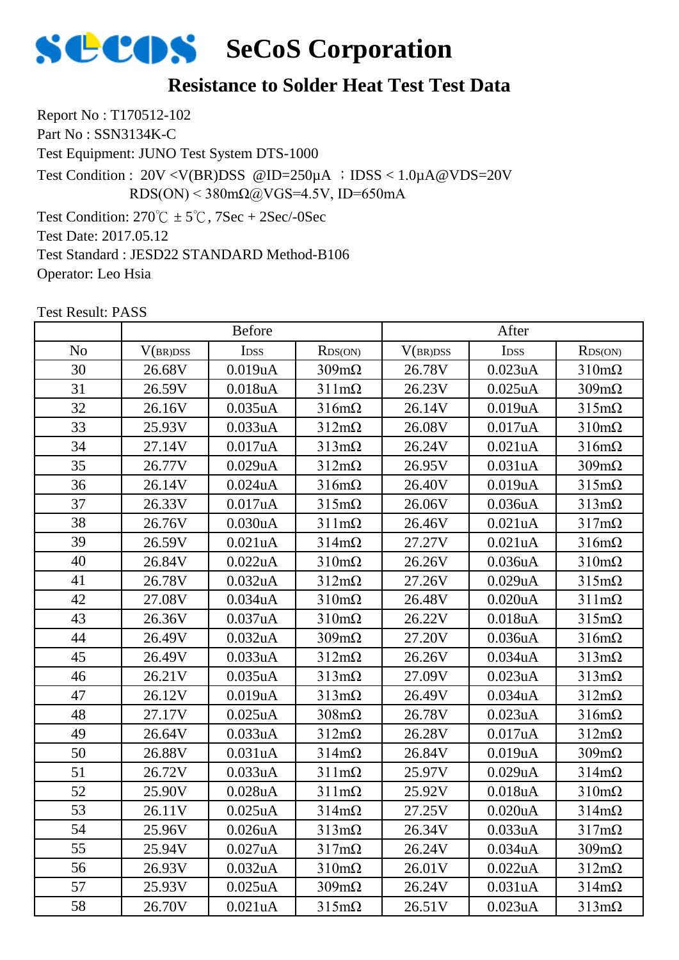### **Resistance to Solder Heat Test Test Data**

Report No : T170512-102 Part No : SSN3134K-C

Test Equipment: JUNO Test System DTS-1000

Test Condition : 20V <V(BR)DSS @ID=250µA ;IDSS < 1.0µA@VDS=20V RDS(ON) <  $380 \text{m}\Omega$ @VGS=4.5V, ID=650mA

Test Condition:  $270^{\circ}\text{C} \pm 5^{\circ}\text{C}$ ,  $7\text{Sec} + 2\text{Sec}$ /-0Sec

Test Date: 2017.05.12

Test Standard : JESD22 STANDARD Method-B106

Operator: Leo Hsia

No | V(br)dss | Idss | Rds(on) | V(br)dss | Idss | Rds(on) Before After 30 | 26.68V | 0.019uA | 309mΩ | 26.78V | 0.023uA | 310mΩ 31 | 26.59V | 0.018uA | 311mΩ | 26.23V | 0.025uA | 309mΩ 32 | 26.16V | 0.035uA | 316mΩ | 26.14V | 0.019uA | 315mΩ 33 | 25.93V | 0.033uA | 312mΩ | 26.08V | 0.017uA | 310mΩ 34 | 27.14V | 0.017uA | 313mΩ | 26.24V | 0.021uA | 316mΩ 35 26.77V 0.029uA 312mΩ 26.95V 0.031uA 309mΩ 36 | 26.14V | 0.024uA | 316mΩ | 26.40V | 0.019uA | 315mΩ 37 | 26.33V | 0.017uA | 315mΩ | 26.06V | 0.036uA | 313mΩ 38 | 26.76V | 0.030uA | 311mΩ | 26.46V | 0.021uA | 317mΩ 39 | 26.59V | 0.021uA | 314mΩ | 27.27V | 0.021uA | 316mΩ 40 | 26.84V | 0.022uA | 310mΩ | 26.26V | 0.036uA | 310mΩ 41 | 26.78V | 0.032uA | 312mΩ | 27.26V | 0.029uA | 315mΩ 42 | 27.08V | 0.034uA | 310mΩ | 26.48V | 0.020uA | 311mΩ 43 | 26.36V | 0.037uA | 310mΩ | 26.22V | 0.018uA | 315mΩ 44 | 26.49V | 0.032uA | 309mΩ | 27.20V | 0.036uA | 316mΩ 45 | 26.49V | 0.033uA | 312mΩ | 26.26V | 0.034uA | 313mΩ 46 | 26.21V | 0.035uA | 313mΩ | 27.09V | 0.023uA | 313mΩ 47 | 26.12V | 0.019uA | 313mΩ | 26.49V | 0.034uA | 312mΩ 48 | 27.17V | 0.025uA | 308mΩ | 26.78V | 0.023uA | 316mΩ 49 | 26.64V | 0.033uA | 312mΩ | 26.28V | 0.017uA | 312mΩ 50 | 26.88V | 0.031uA | 314mΩ | 26.84V | 0.019uA | 309mΩ 51 | 26.72V | 0.033uA | 311mΩ | 25.97V | 0.029uA | 314mΩ 52 | 25.90V | 0.028uA | 311mΩ | 25.92V | 0.018uA | 310mΩ 53 | 26.11V | 0.025uA | 314mΩ | 27.25V | 0.020uA | 314mΩ 54 | 25.96V | 0.026uA | 313mΩ | 26.34V | 0.033uA | 317mΩ 55 | 25.94V | 0.027uA | 317mΩ | 26.24V | 0.034uA | 309mΩ 56 26.93V 0.032uA 310mΩ 26.01V 0.022uA 312mΩ 57 | 25.93V | 0.025uA | 309mΩ | 26.24V | 0.031uA | 314mΩ 58 | 26.70V | 0.021uA | 315mΩ | 26.51V | 0.023uA | 313mΩ